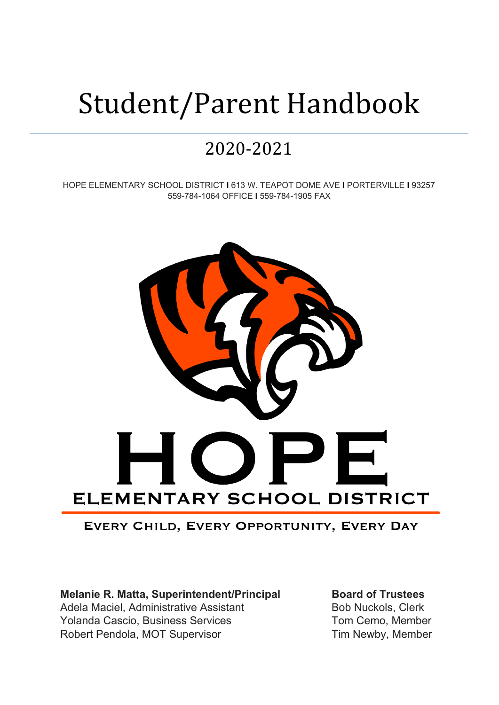# Student/Parent Handbook

## 2020-2021

HOPE ELEMENTARY SCHOOL DISTRICT **I** 613 W. TEAPOT DOME AVE **I** PORTERVILLE **I** 93257 559-784-1064 OFFICE **I** 559-784-1905 FAX



### EVERY CHILD, EVERY OPPORTUNITY, EVERY DAY

**Melanie R. Matta, Superintendent/Principal Board of Trustees** Adela Maciel, Administrative Assistant **Bob Nuckols**, Clerk Yolanda Cascio, Business Services Tom Cemo, Member Robert Pendola, MOT Supervisor Tim Newby, Member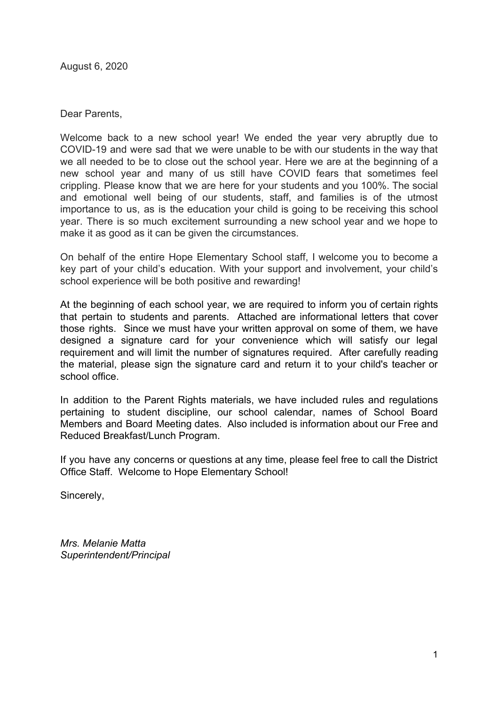August 6, 2020

Dear Parents,

Welcome back to a new school year! We ended the year very abruptly due to COVID-19 and were sad that we were unable to be with our students in the way that we all needed to be to close out the school year. Here we are at the beginning of a new school year and many of us still have COVID fears that sometimes feel crippling. Please know that we are here for your students and you 100%. The social and emotional well being of our students, staff, and families is of the utmost importance to us, as is the education your child is going to be receiving this school year. There is so much excitement surrounding a new school year and we hope to make it as good as it can be given the circumstances.

On behalf of the entire Hope Elementary School staff, I welcome you to become a key part of your child's education. With your support and involvement, your child's school experience will be both positive and rewarding!

At the beginning of each school year, we are required to inform you of certain rights that pertain to students and parents. Attached are informational letters that cover those rights. Since we must have your written approval on some of them, we have designed a signature card for your convenience which will satisfy our legal requirement and will limit the number of signatures required. After carefully reading the material, please sign the signature card and return it to your child's teacher or school office.

In addition to the Parent Rights materials, we have included rules and regulations pertaining to student discipline, our school calendar, names of School Board Members and Board Meeting dates. Also included is information about our Free and Reduced Breakfast/Lunch Program.

If you have any concerns or questions at any time, please feel free to call the District Office Staff. Welcome to Hope Elementary School!

Sincerely,

*Mrs. Melanie Matta Superintendent/Principal*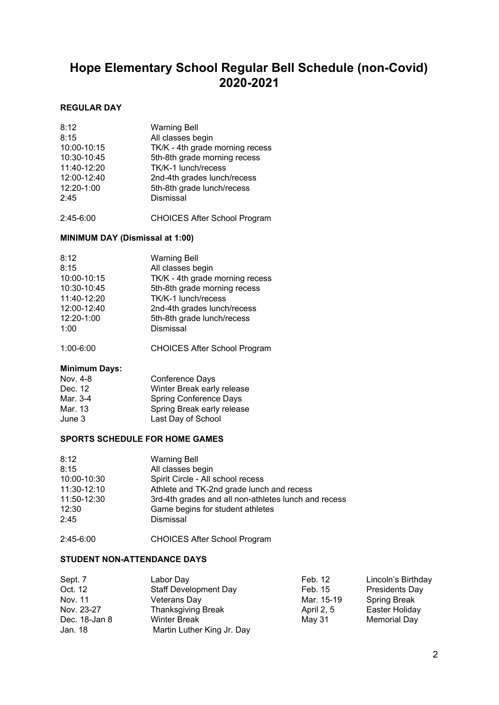## **Hope Elementary School Regular Bell Schedule (non-Covid) 2020-2021**

#### **REGULAR DAY**

| 8:12        | <b>Warning Bell</b>             |
|-------------|---------------------------------|
| 8:15        | All classes begin               |
| 10:00-10:15 | TK/K - 4th grade morning recess |
| 10:30-10:45 | 5th-8th grade morning recess    |
| 11:40-12:20 | TK/K-1 lunch/recess             |
| 12:00-12:40 | 2nd-4th grades lunch/recess     |
| 12:20-1:00  | 5th-8th grade lunch/recess      |
| 2:45        | Dismissal                       |
|             |                                 |

2:45-6:00 CHOICES After School Program

#### **MINIMUM DAY (Dismissal at 1:00)**

|--|

1:00-6:00 CHOICES After School Program

#### **Minimum Days:**

| Nov. 4-8 | Conference Days            |
|----------|----------------------------|
| Dec. 12  | Winter Break early release |
| Mar. 3-4 | Spring Conference Days     |
| Mar. 13  | Spring Break early release |
| June 3   | Last Day of School         |

#### **SPORTS SCHEDULE FOR HOME GAMES**

| 8:12        | <b>Warning Bell</b>                                  |
|-------------|------------------------------------------------------|
| 8:15        | All classes begin                                    |
| 10:00-10:30 | Spirit Circle - All school recess                    |
| 11:30-12:10 | Athlete and TK-2nd grade lunch and recess            |
| 11:50-12:30 | 3rd-4th grades and all non-athletes lunch and recess |
| 12:30       | Game begins for student athletes                     |
| 2:45        | Dismissal                                            |
|             |                                                      |

2:45-6:00 CHOICES After School Program

#### **STUDENT NON-ATTENDANCE DAYS**

| Sept. 7       | Labor Day                    | Feb. 12    | Lincoln's Birthday  |
|---------------|------------------------------|------------|---------------------|
| Oct. 12       | <b>Staff Development Day</b> | Feb. 15    | Presidents Day      |
| Nov. 11       | Veterans Day                 | Mar. 15-19 | <b>Spring Break</b> |
| Nov. 23-27    | <b>Thanksgiving Break</b>    | April 2, 5 | Easter Holiday      |
| Dec. 18-Jan 8 | <b>Winter Break</b>          | May 31     | <b>Memorial Day</b> |
| Jan. 18       | Martin Luther King Jr. Day   |            |                     |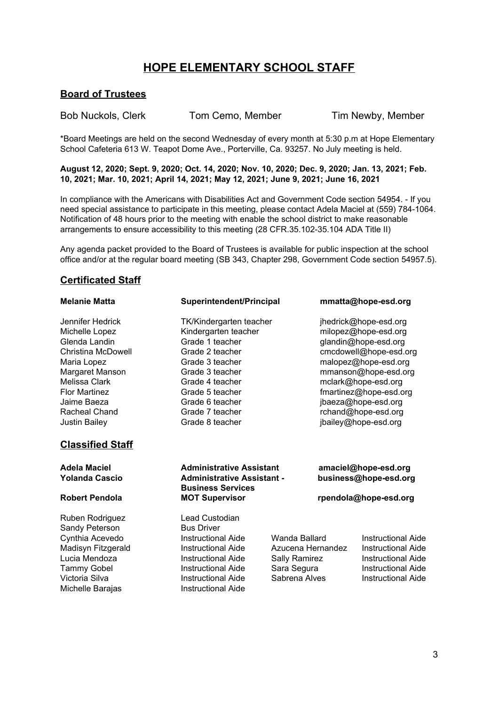### **HOPE ELEMENTARY SCHOOL STAFF**

#### **Board of Trustees**

Bob Nuckols, Clerk Tom Cemo, Member Tim Newby, Member

\*Board Meetings are held on the second Wednesday of every month at 5:30 p.m at Hope Elementary School Cafeteria 613 W. Teapot Dome Ave., Porterville, Ca. 93257. No July meeting is held.

August 12, 2020; Sept. 9, 2020; Oct. 14, 2020; Nov. 10, 2020; Dec. 9, 2020; Jan. 13, 2021; Feb. **10, 2021; Mar. 10, 2021; April 14, 2021; May 12, 2021; June 9, 2021; June 16, 2021**

In compliance with the Americans with Disabilities Act and Government Code section 54954. - If you need special assistance to participate in this meeting, please contact Adela Maciel at (559) 784-1064. Notification of 48 hours prior to the meeting with enable the school district to make reasonable arrangements to ensure accessibility to this meeting (28 CFR.35.102-35.104 ADA Title II)

Any agenda packet provided to the Board of Trustees is available for public inspection at the school office and/or at the regular board meeting (SB 343, Chapter 298, Government Code section 54957.5).

#### **Certificated Staff**

#### **Classified Staff**

Ruben Rodriguez Lead Custodian Sandy Peterson Bus Driver Cynthia Acevedo **Instructional Aide** Wanda Ballard Instructional Aide Michelle Barajas **Instructional Aide** 

#### **Melanie Matta Superintendent/Principal mmatta@hope-esd.org**

Melissa Clark **Grade 4 teacher** mclark@hope-esd.org Jaime Baeza Grade 6 teacher jbaeza@hope-esd.org Racheal Chand **Grade 7 teacher** rchand@hope-esd.org

Jennifer Hedrick TK/Kindergarten teacher jhedrick@hope-esd.org Michelle Lopez Kindergarten teacher milopez@hope-esd.org Glenda Landin **Grade 1** teacher Grade 1 teacher glandin@hope-esd.org Christina McDowell Grade 2 teacher cmcdowell@hope-esd.org Maria Lopez **Maria Lopez** Grade 3 teacher malopez@hope-esd.org Margaret Manson Grade 3 teacher mmanson@hope-esd.org Flor Martinez **Flormartinez** Grade 5 teacher **fmartinez@hope-esd.org** fmartinez@hope-esd.org Justin Bailey Grade 8 teacher jbailey@hope-esd.org

#### **Adela Maciel Administrative Assistant amaciel@hope-esd.org Yolanda Cascio Administrative Assistant - business@hope-esd.org Business Services Robert Pendola MOT Supervisor rpendola@hope-esd.org**

Madisyn Fitzgerald **Instructional Aide** Azucena Hernandez Instructional Aide Lucia Mendoza Instructional Aide Sally Ramirez Instructional Aide Tammy Gobel **Instructional Aide** Sara Segura Instructional Aide Victoria Silva **Instructional Aide** Instructional Aide Instructional Aide Instructional Aide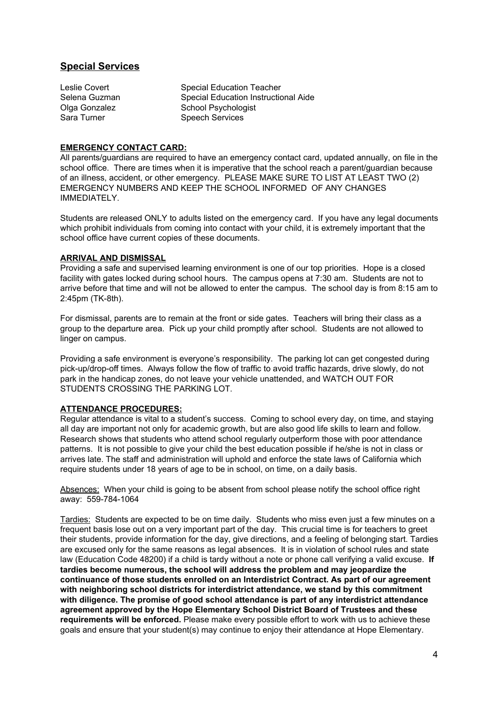#### **Special Services**

Leslie Covert **Special Education Teacher** Selena Guzman Special Education Instructional Aide Olga Gonzalez School Psychologist Sara Turner Speech Services

#### **EMERGENCY CONTACT CARD:**

All parents/guardians are required to have an emergency contact card, updated annually, on file in the school office. There are times when it is imperative that the school reach a parent/guardian because of an illness, accident, or other emergency. PLEASE MAKE SURE TO LIST AT LEAST TWO (2) EMERGENCY NUMBERS AND KEEP THE SCHOOL INFORMED OF ANY CHANGES IMMEDIATELY.

Students are released ONLY to adults listed on the emergency card. If you have any legal documents which prohibit individuals from coming into contact with your child, it is extremely important that the school office have current copies of these documents.

#### **ARRIVAL AND DISMISSAL**

Providing a safe and supervised learning environment is one of our top priorities. Hope is a closed facility with gates locked during school hours. The campus opens at 7:30 am. Students are not to arrive before that time and will not be allowed to enter the campus. The school day is from 8:15 am to 2:45pm (TK-8th).

For dismissal, parents are to remain at the front or side gates. Teachers will bring their class as a group to the departure area. Pick up your child promptly after school. Students are not allowed to linger on campus.

Providing a safe environment is everyone's responsibility. The parking lot can get congested during pick-up/drop-off times. Always follow the flow of traffic to avoid traffic hazards, drive slowly, do not park in the handicap zones, do not leave your vehicle unattended, and WATCH OUT FOR STUDENTS CROSSING THE PARKING LOT.

#### **ATTENDANCE PROCEDURES:**

Regular attendance is vital to a student's success. Coming to school every day, on time, and staying all day are important not only for academic growth, but are also good life skills to learn and follow. Research shows that students who attend school regularly outperform those with poor attendance patterns. It is not possible to give your child the best education possible if he/she is not in class or arrives late. The staff and administration will uphold and enforce the state laws of California which require students under 18 years of age to be in school, on time, on a daily basis.

Absences: When your child is going to be absent from school please notify the school office right away: 559-784-1064

Tardies: Students are expected to be on time daily. Students who miss even just a few minutes on a frequent basis lose out on a very important part of the day. This crucial time is for teachers to greet their students, provide information for the day, give directions, and a feeling of belonging start. Tardies are excused only for the same reasons as legal absences. It is in violation of school rules and state law (Education Code 48200) if a child is tardy without a note or phone call verifying a valid excuse. **If tardies become numerous, the school will address the problem and may jeopardize the continuance of those students enrolled on an Interdistrict Contract. As part of our agreement with neighboring school districts for interdistrict attendance, we stand by this commitment with diligence. The promise of good school attendance is part of any interdistrict attendance agreement approved by the Hope Elementary School District Board of Trustees and these requirements will be enforced.** Please make every possible effort to work with us to achieve these goals and ensure that your student(s) may continue to enjoy their attendance at Hope Elementary.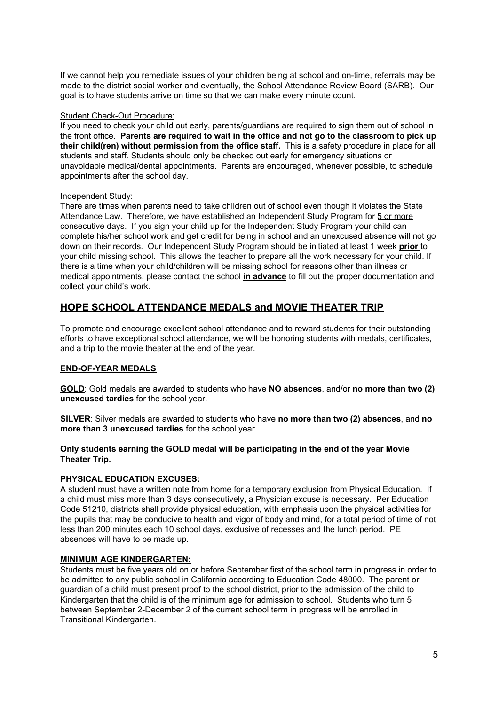If we cannot help you remediate issues of your children being at school and on-time, referrals may be made to the district social worker and eventually, the School Attendance Review Board (SARB). Our goal is to have students arrive on time so that we can make every minute count.

#### Student Check-Out Procedure:

If you need to check your child out early, parents/guardians are required to sign them out of school in the front office. **Parents are required to wait in the office and not go to the classroom to pick up their child(ren) without permission from the office staff.** This is a safety procedure in place for all students and staff. Students should only be checked out early for emergency situations or unavoidable medical/dental appointments. Parents are encouraged, whenever possible, to schedule appointments after the school day.

#### Independent Study:

There are times when parents need to take children out of school even though it violates the State Attendance Law. Therefore, we have established an Independent Study Program for 5 or more consecutive days. If you sign your child up for the Independent Study Program your child can complete his/her school work and get credit for being in school and an unexcused absence will not go down on their records. Our Independent Study Program should be initiated at least 1 week **prior** to your child missing school. This allows the teacher to prepare all the work necessary for your child. If there is a time when your child/children will be missing school for reasons other than illness or medical appointments, please contact the school **in advance** to fill out the proper documentation and collect your child's work.

#### **HOPE SCHOOL ATTENDANCE MEDALS and MOVIE THEATER TRIP**

To promote and encourage excellent school attendance and to reward students for their outstanding efforts to have exceptional school attendance, we will be honoring students with medals, certificates, and a trip to the movie theater at the end of the year.

#### **END-OF-YEAR MEDALS**

**GOLD**: Gold medals are awarded to students who have **NO absences**, and/or **no more than two (2) unexcused tardies** for the school year.

**SILVER**: Silver medals are awarded to students who have **no more than two (2) absences**, and **no more than 3 unexcused tardies** for the school year.

#### **Only students earning the GOLD medal will be participating in the end of the year Movie Theater Trip.**

#### **PHYSICAL EDUCATION EXCUSES:**

A student must have a written note from home for a temporary exclusion from Physical Education. If a child must miss more than 3 days consecutively, a Physician excuse is necessary. Per Education Code 51210, districts shall provide physical education, with emphasis upon the physical activities for the pupils that may be conducive to health and vigor of body and mind, for a total period of time of not less than 200 minutes each 10 school days, exclusive of recesses and the lunch period. PE absences will have to be made up.

#### **MINIMUM AGE KINDERGARTEN:**

Students must be five years old on or before September first of the school term in progress in order to be admitted to any public school in California according to Education Code 48000. The parent or guardian of a child must present proof to the school district, prior to the admission of the child to Kindergarten that the child is of the minimum age for admission to school. Students who turn 5 between September 2-December 2 of the current school term in progress will be enrolled in Transitional Kindergarten.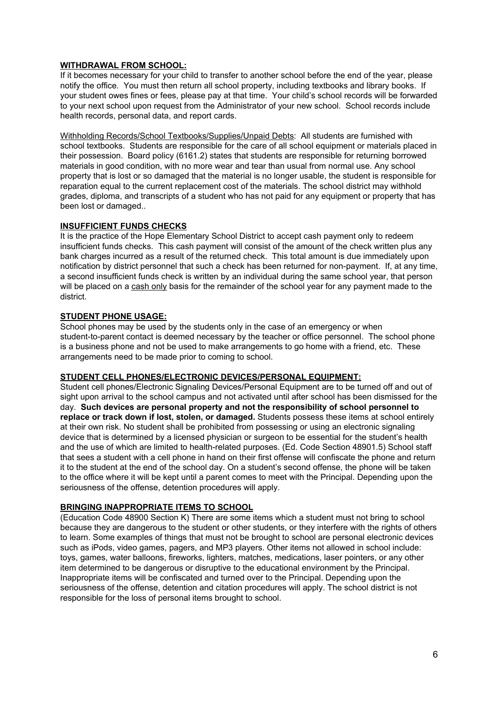#### **WITHDRAWAL FROM SCHOOL:**

If it becomes necessary for your child to transfer to another school before the end of the year, please notify the office. You must then return all school property, including textbooks and library books. If your student owes fines or fees, please pay at that time. Your child's school records will be forwarded to your next school upon request from the Administrator of your new school. School records include health records, personal data, and report cards.

Withholding Records/School Textbooks/Supplies/Unpaid Debts: All students are furnished with school textbooks. Students are responsible for the care of all school equipment or materials placed in their possession. Board policy (6161.2) states that students are responsible for returning borrowed materials in good condition, with no more wear and tear than usual from normal use. Any school property that is lost or so damaged that the material is no longer usable, the student is responsible for reparation equal to the current replacement cost of the materials. The school district may withhold grades, diploma, and transcripts of a student who has not paid for any equipment or property that has been lost or damaged..

#### **INSUFFICIENT FUNDS CHECKS**

It is the practice of the Hope Elementary School District to accept cash payment only to redeem insufficient funds checks. This cash payment will consist of the amount of the check written plus any bank charges incurred as a result of the returned check. This total amount is due immediately upon notification by district personnel that such a check has been returned for non-payment. If, at any time, a second insufficient funds check is written by an individual during the same school year, that person will be placed on a cash only basis for the remainder of the school year for any payment made to the district.

#### **STUDENT PHONE USAGE:**

School phones may be used by the students only in the case of an emergency or when student-to-parent contact is deemed necessary by the teacher or office personnel. The school phone is a business phone and not be used to make arrangements to go home with a friend, etc. These arrangements need to be made prior to coming to school.

#### **STUDENT CELL PHONES/ELECTRONIC DEVICES/PERSONAL EQUIPMENT:**

Student cell phones/Electronic Signaling Devices/Personal Equipment are to be turned off and out of sight upon arrival to the school campus and not activated until after school has been dismissed for the day. **Such devices are personal property and not the responsibility of school personnel to replace or track down if lost, stolen, or damaged.** Students possess these items at school entirely at their own risk. No student shall be prohibited from possessing or using an electronic signaling device that is determined by a licensed physician or surgeon to be essential for the student's health and the use of which are limited to health-related purposes. (Ed. Code Section 48901.5) School staff that sees a student with a cell phone in hand on their first offense will confiscate the phone and return it to the student at the end of the school day. On a student's second offense, the phone will be taken to the office where it will be kept until a parent comes to meet with the Principal. Depending upon the seriousness of the offense, detention procedures will apply.

#### **BRINGING INAPPROPRIATE ITEMS TO SCHOOL**

(Education Code 48900 Section K) There are some items which a student must not bring to school because they are dangerous to the student or other students, or they interfere with the rights of others to learn. Some examples of things that must not be brought to school are personal electronic devices such as iPods, video games, pagers, and MP3 players. Other items not allowed in school include: toys, games, water balloons, fireworks, lighters, matches, medications, laser pointers, or any other item determined to be dangerous or disruptive to the educational environment by the Principal. Inappropriate items will be confiscated and turned over to the Principal. Depending upon the seriousness of the offense, detention and citation procedures will apply. The school district is not responsible for the loss of personal items brought to school.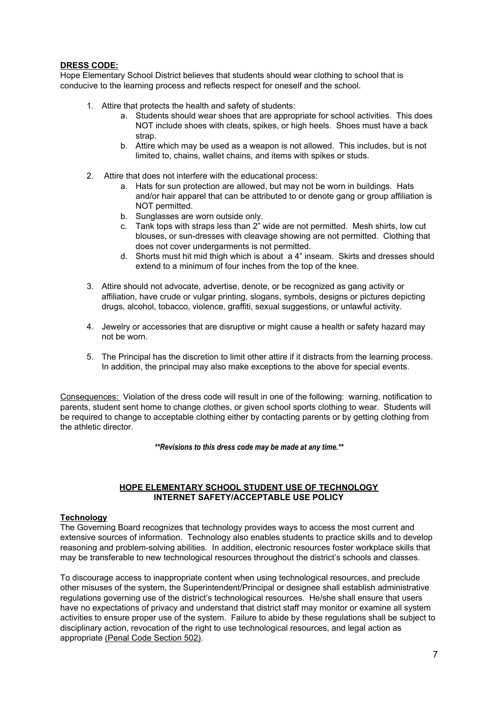#### **DRESS CODE:**

Hope Elementary School District believes that students should wear clothing to school that is conducive to the learning process and reflects respect for oneself and the school.

- 1. Attire that protects the health and safety of students:
	- a. Students should wear shoes that are appropriate for school activities. This does NOT include shoes with cleats, spikes, or high heels. Shoes must have a back strap.
	- b. Attire which may be used as a weapon is not allowed. This includes, but is not limited to, chains, wallet chains, and items with spikes or studs.
- 2. Attire that does not interfere with the educational process:
	- a. Hats for sun protection are allowed, but may not be worn in buildings. Hats and/or hair apparel that can be attributed to or denote gang or group affiliation is NOT permitted.
	- b. Sunglasses are worn outside only.
	- c. Tank tops with straps less than 2" wide are not permitted. Mesh shirts, low cut blouses, or sun-dresses with cleavage showing are not permitted. Clothing that does not cover undergarments is not permitted.
	- d. Shorts must hit mid thigh which is about a 4" inseam. Skirts and dresses should extend to a minimum of four inches from the top of the knee.
- 3. Attire should not advocate, advertise, denote, or be recognized as gang activity or affiliation, have crude or vulgar printing, slogans, symbols, designs or pictures depicting drugs, alcohol, tobacco, violence, graffiti, sexual suggestions, or unlawful activity.
- 4. Jewelry or accessories that are disruptive or might cause a health or safety hazard may not be worn.
- 5. The Principal has the discretion to limit other attire if it distracts from the learning process. In addition, the principal may also make exceptions to the above for special events.

Consequences: Violation of the dress code will result in one of the following: warning, notification to parents, student sent home to change clothes, or given school sports clothing to wear. Students will be required to change to acceptable clothing either by contacting parents or by getting clothing from the athletic director.

*\*\*Revisions to this dress code may be made at any time.\*\**

#### **HOPE ELEMENTARY SCHOOL STUDENT USE OF TECHNOLOGY INTERNET SAFETY/ACCEPTABLE USE POLICY**

#### **Technology**

The Governing Board recognizes that technology provides ways to access the most current and extensive sources of information. Technology also enables students to practice skills and to develop reasoning and problem-solving abilities. In addition, electronic resources foster workplace skills that may be transferable to new technological resources throughout the district's schools and classes.

To discourage access to inappropriate content when using technological resources, and preclude other misuses of the system, the Superintendent/Principal or designee shall establish administrative regulations governing use of the district's technological resources. He/she shall ensure that users have no expectations of privacy and understand that district staff may monitor or examine all system activities to ensure proper use of the system. Failure to abide by these regulations shall be subject to disciplinary action, revocation of the right to use technological resources, and legal action as appropriate (Penal Code Section 502).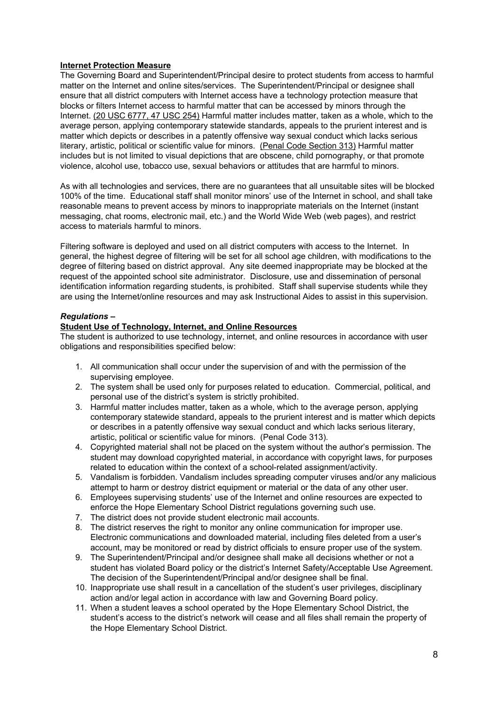#### **Internet Protection Measure**

The Governing Board and Superintendent/Principal desire to protect students from access to harmful matter on the Internet and online sites/services. The Superintendent/Principal or designee shall ensure that all district computers with Internet access have a technology protection measure that blocks or filters Internet access to harmful matter that can be accessed by minors through the Internet. (20 USC 6777, 47 USC 254) Harmful matter includes matter, taken as a whole, which to the average person, applying contemporary statewide standards, appeals to the prurient interest and is matter which depicts or describes in a patently offensive way sexual conduct which lacks serious literary, artistic, political or scientific value for minors. (Penal Code Section 313) Harmful matter includes but is not limited to visual depictions that are obscene, child pornography, or that promote violence, alcohol use, tobacco use, sexual behaviors or attitudes that are harmful to minors.

As with all technologies and services, there are no guarantees that all unsuitable sites will be blocked 100% of the time. Educational staff shall monitor minors' use of the Internet in school, and shall take reasonable means to prevent access by minors to inappropriate materials on the Internet (instant messaging, chat rooms, electronic mail, etc.) and the World Wide Web (web pages), and restrict access to materials harmful to minors.

Filtering software is deployed and used on all district computers with access to the Internet. In general, the highest degree of filtering will be set for all school age children, with modifications to the degree of filtering based on district approval. Any site deemed inappropriate may be blocked at the request of the appointed school site administrator. Disclosure, use and dissemination of personal identification information regarding students, is prohibited. Staff shall supervise students while they are using the Internet/online resources and may ask Instructional Aides to assist in this supervision.

#### *Regulations –*

#### **Student Use of Technology, Internet, and Online Resources**

The student is authorized to use technology, internet, and online resources in accordance with user obligations and responsibilities specified below:

- 1. All communication shall occur under the supervision of and with the permission of the supervising employee.
- 2. The system shall be used only for purposes related to education. Commercial, political, and personal use of the district's system is strictly prohibited.
- 3. Harmful matter includes matter, taken as a whole, which to the average person, applying contemporary statewide standard, appeals to the prurient interest and is matter which depicts or describes in a patently offensive way sexual conduct and which lacks serious literary, artistic, political or scientific value for minors. (Penal Code 313).
- 4. Copyrighted material shall not be placed on the system without the author's permission. The student may download copyrighted material, in accordance with copyright laws, for purposes related to education within the context of a school-related assignment/activity.
- 5. Vandalism is forbidden. Vandalism includes spreading computer viruses and/or any malicious attempt to harm or destroy district equipment or material or the data of any other user.
- 6. Employees supervising students' use of the Internet and online resources are expected to enforce the Hope Elementary School District regulations governing such use.
- 7. The district does not provide student electronic mail accounts.
- 8. The district reserves the right to monitor any online communication for improper use. Electronic communications and downloaded material, including files deleted from a user's account, may be monitored or read by district officials to ensure proper use of the system.
- 9. The Superintendent/Principal and/or designee shall make all decisions whether or not a student has violated Board policy or the district's Internet Safety/Acceptable Use Agreement. The decision of the Superintendent/Principal and/or designee shall be final.
- 10. Inappropriate use shall result in a cancellation of the student's user privileges, disciplinary action and/or legal action in accordance with law and Governing Board policy.
- 11. When a student leaves a school operated by the Hope Elementary School District, the student's access to the district's network will cease and all files shall remain the property of the Hope Elementary School District.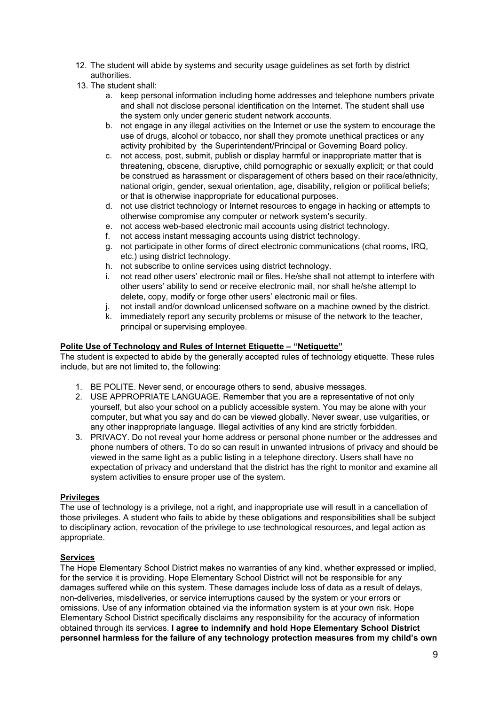- 12. The student will abide by systems and security usage guidelines as set forth by district authorities.
- 13. The student shall:
	- a. keep personal information including home addresses and telephone numbers private and shall not disclose personal identification on the Internet. The student shall use the system only under generic student network accounts.
	- b. not engage in any illegal activities on the Internet or use the system to encourage the use of drugs, alcohol or tobacco, nor shall they promote unethical practices or any activity prohibited by the Superintendent/Principal or Governing Board policy.
	- c. not access, post, submit, publish or display harmful or inappropriate matter that is threatening, obscene, disruptive, child pornographic or sexually explicit; or that could be construed as harassment or disparagement of others based on their race/ethnicity, national origin, gender, sexual orientation, age, disability, religion or political beliefs; or that is otherwise inappropriate for educational purposes.
	- d. not use district technology or Internet resources to engage in hacking or attempts to otherwise compromise any computer or network system's security.
	- e. not access web-based electronic mail accounts using district technology.
	- f. not access instant messaging accounts using district technology.
	- g. not participate in other forms of direct electronic communications (chat rooms, IRQ, etc.) using district technology.
	- h. not subscribe to online services using district technology.
	- i. not read other users' electronic mail or files. He/she shall not attempt to interfere with other users' ability to send or receive electronic mail, nor shall he/she attempt to delete, copy, modify or forge other users' electronic mail or files.
	- j. not install and/or download unlicensed software on a machine owned by the district.
	- k. immediately report any security problems or misuse of the network to the teacher, principal or supervising employee.

#### **Polite Use of Technology and Rules of Internet Etiquette – "Netiquette"**

The student is expected to abide by the generally accepted rules of technology etiquette. These rules include, but are not limited to, the following:

- 1. BE POLITE. Never send, or encourage others to send, abusive messages.
- 2. USE APPROPRIATE LANGUAGE. Remember that you are a representative of not only yourself, but also your school on a publicly accessible system. You may be alone with your computer, but what you say and do can be viewed globally. Never swear, use vulgarities, or any other inappropriate language. Illegal activities of any kind are strictly forbidden.
- 3. PRIVACY. Do not reveal your home address or personal phone number or the addresses and phone numbers of others. To do so can result in unwanted intrusions of privacy and should be viewed in the same light as a public listing in a telephone directory. Users shall have no expectation of privacy and understand that the district has the right to monitor and examine all system activities to ensure proper use of the system.

#### **Privileges**

The use of technology is a privilege, not a right, and inappropriate use will result in a cancellation of those privileges. A student who fails to abide by these obligations and responsibilities shall be subject to disciplinary action, revocation of the privilege to use technological resources, and legal action as appropriate.

#### **Services**

The Hope Elementary School District makes no warranties of any kind, whether expressed or implied, for the service it is providing. Hope Elementary School District will not be responsible for any damages suffered while on this system. These damages include loss of data as a result of delays, non-deliveries, misdeliveries, or service interruptions caused by the system or your errors or omissions. Use of any information obtained via the information system is at your own risk. Hope Elementary School District specifically disclaims any responsibility for the accuracy of information obtained through its services. **I agree to indemnify and hold Hope Elementary School District personnel harmless for the failure of any technology protection measures from my child's own**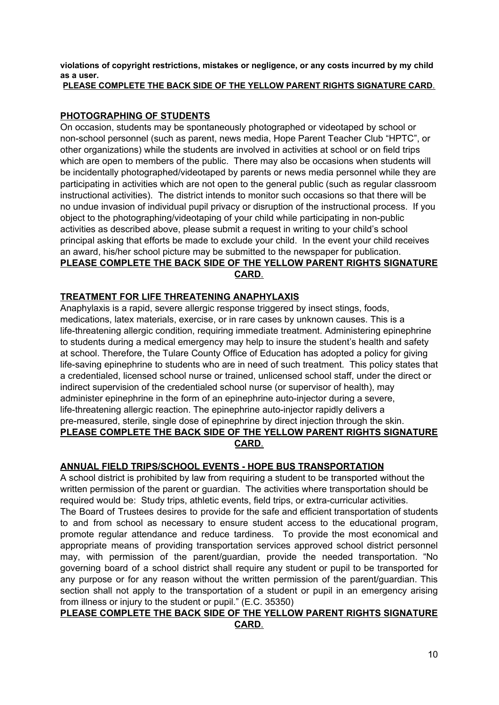**violations of copyright restrictions, mistakes or negligence, or any costs incurred by my child as a user.**

#### **PLEASE COMPLETE THE BACK SIDE OF THE YELLOW PARENT RIGHTS SIGNATURE CARD**.

#### **PHOTOGRAPHING OF STUDENTS**

On occasion, students may be spontaneously photographed or videotaped by school or non-school personnel (such as parent, news media, Hope Parent Teacher Club "HPTC", or other organizations) while the students are involved in activities at school or on field trips which are open to members of the public. There may also be occasions when students will be incidentally photographed/videotaped by parents or news media personnel while they are participating in activities which are not open to the general public (such as regular classroom instructional activities). The district intends to monitor such occasions so that there will be no undue invasion of individual pupil privacy or disruption of the instructional process. If you object to the photographing/videotaping of your child while participating in non-public activities as described above, please submit a request in writing to your child's school principal asking that efforts be made to exclude your child. In the event your child receives an award, his/her school picture may be submitted to the newspaper for publication. **PLEASE COMPLETE THE BACK SIDE OF THE YELLOW PARENT RIGHTS SIGNATURE**

#### **CARD**.

#### **TREATMENT FOR LIFE THREATENING ANAPHYLAXIS**

Anaphylaxis is a rapid, severe allergic response triggered by insect stings, foods, medications, latex materials, exercise, or in rare cases by unknown causes. This is a life-threatening allergic condition, requiring immediate treatment. Administering epinephrine to students during a medical emergency may help to insure the student's health and safety at school. Therefore, the Tulare County Office of Education has adopted a policy for giving life-saving epinephrine to students who are in need of such treatment. This policy states that a credentialed, licensed school nurse or trained, unlicensed school staff, under the direct or indirect supervision of the credentialed school nurse (or supervisor of health), may administer epinephrine in the form of an epinephrine auto-injector during a severe, life-threatening allergic reaction. The epinephrine auto-injector rapidly delivers a pre-measured, sterile, single dose of epinephrine by direct injection through the skin. **PLEASE COMPLETE THE BACK SIDE OF THE YELLOW PARENT RIGHTS SIGNATURE CARD**.

#### **ANNUAL FIELD TRIPS/SCHOOL EVENTS - HOPE BUS TRANSPORTATION**

A school district is prohibited by law from requiring a student to be transported without the written permission of the parent or guardian. The activities where transportation should be required would be: Study trips, athletic events, field trips, or extra-curricular activities. The Board of Trustees desires to provide for the safe and efficient transportation of students to and from school as necessary to ensure student access to the educational program, promote regular attendance and reduce tardiness. To provide the most economical and appropriate means of providing transportation services approved school district personnel may, with permission of the parent/guardian, provide the needed transportation. "No governing board of a school district shall require any student or pupil to be transported for any purpose or for any reason without the written permission of the parent/guardian. This section shall not apply to the transportation of a student or pupil in an emergency arising from illness or injury to the student or pupil." (E.C. 35350)

#### **PLEASE COMPLETE THE BACK SIDE OF THE YELLOW PARENT RIGHTS SIGNATURE CARD**.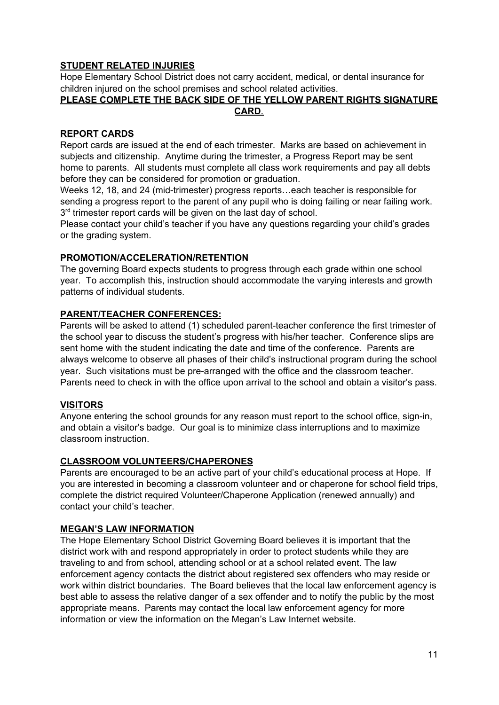#### **STUDENT RELATED INJURIES**

Hope Elementary School District does not carry accident, medical, or dental insurance for children injured on the school premises and school related activities.

#### **PLEASE COMPLETE THE BACK SIDE OF THE YELLOW PARENT RIGHTS SIGNATURE CARD**.

#### **REPORT CARDS**

Report cards are issued at the end of each trimester. Marks are based on achievement in subjects and citizenship. Anytime during the trimester, a Progress Report may be sent home to parents. All students must complete all class work requirements and pay all debts before they can be considered for promotion or graduation.

Weeks 12, 18, and 24 (mid-trimester) progress reports…each teacher is responsible for sending a progress report to the parent of any pupil who is doing failing or near failing work. 3<sup>rd</sup> trimester report cards will be given on the last day of school.

Please contact your child's teacher if you have any questions regarding your child's grades or the grading system.

#### **PROMOTION/ACCELERATION/RETENTION**

The governing Board expects students to progress through each grade within one school year. To accomplish this, instruction should accommodate the varying interests and growth patterns of individual students.

#### **PARENT/TEACHER CONFERENCES:**

Parents will be asked to attend (1) scheduled parent-teacher conference the first trimester of the school year to discuss the student's progress with his/her teacher. Conference slips are sent home with the student indicating the date and time of the conference. Parents are always welcome to observe all phases of their child's instructional program during the school year. Such visitations must be pre-arranged with the office and the classroom teacher. Parents need to check in with the office upon arrival to the school and obtain a visitor's pass.

#### **VISITORS**

Anyone entering the school grounds for any reason must report to the school office, sign-in, and obtain a visitor's badge. Our goal is to minimize class interruptions and to maximize classroom instruction.

#### **CLASSROOM VOLUNTEERS/CHAPERONES**

Parents are encouraged to be an active part of your child's educational process at Hope. If you are interested in becoming a classroom volunteer and or chaperone for school field trips, complete the district required Volunteer/Chaperone Application (renewed annually) and contact your child's teacher.

#### **MEGAN'S LAW INFORMATION**

The Hope Elementary School District Governing Board believes it is important that the district work with and respond appropriately in order to protect students while they are traveling to and from school, attending school or at a school related event. The law enforcement agency contacts the district about registered sex offenders who may reside or work within district boundaries. The Board believes that the local law enforcement agency is best able to assess the relative danger of a sex offender and to notify the public by the most appropriate means. Parents may contact the local law enforcement agency for more information or view the information on the Megan's Law Internet website.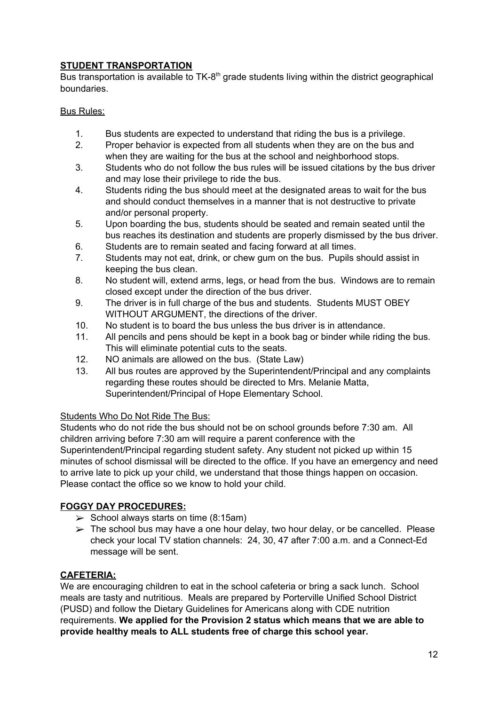### **STUDENT TRANSPORTATION**

Bus transportation is available to TK-8<sup>th</sup> grade students living within the district geographical boundaries.

#### Bus Rules:

- 1. Bus students are expected to understand that riding the bus is a privilege.
- 2. Proper behavior is expected from all students when they are on the bus and when they are waiting for the bus at the school and neighborhood stops.
- 3. Students who do not follow the bus rules will be issued citations by the bus driver and may lose their privilege to ride the bus.
- 4. Students riding the bus should meet at the designated areas to wait for the bus and should conduct themselves in a manner that is not destructive to private and/or personal property.
- 5. Upon boarding the bus, students should be seated and remain seated until the bus reaches its destination and students are properly dismissed by the bus driver.
- 6. Students are to remain seated and facing forward at all times.
- 7. Students may not eat, drink, or chew gum on the bus. Pupils should assist in keeping the bus clean.
- 8. No student will, extend arms, legs, or head from the bus. Windows are to remain closed except under the direction of the bus driver.
- 9. The driver is in full charge of the bus and students. Students MUST OBEY WITHOUT ARGUMENT, the directions of the driver.
- 10. No student is to board the bus unless the bus driver is in attendance.
- 11. All pencils and pens should be kept in a book bag or binder while riding the bus. This will eliminate potential cuts to the seats.
- 12. NO animals are allowed on the bus. (State Law)
- 13. All bus routes are approved by the Superintendent/Principal and any complaints regarding these routes should be directed to Mrs. Melanie Matta, Superintendent/Principal of Hope Elementary School.

#### Students Who Do Not Ride The Bus:

Students who do not ride the bus should not be on school grounds before 7:30 am. All children arriving before 7:30 am will require a parent conference with the Superintendent/Principal regarding student safety. Any student not picked up within 15 minutes of school dismissal will be directed to the office. If you have an emergency and need to arrive late to pick up your child, we understand that those things happen on occasion. Please contact the office so we know to hold your child.

#### **FOGGY DAY PROCEDURES:**

- $\triangleright$  School always starts on time (8:15am)
- $\triangleright$  The school bus may have a one hour delay, two hour delay, or be cancelled. Please check your local TV station channels: 24, 30, 47 after 7:00 a.m. and a Connect-Ed message will be sent.

#### **CAFETERIA:**

We are encouraging children to eat in the school cafeteria or bring a sack lunch. School meals are tasty and nutritious. Meals are prepared by Porterville Unified School District (PUSD) and follow the Dietary Guidelines for Americans along with CDE nutrition requirements. **We applied for the Provision 2 status which means that we are able to provide healthy meals to ALL students free of charge this school year.**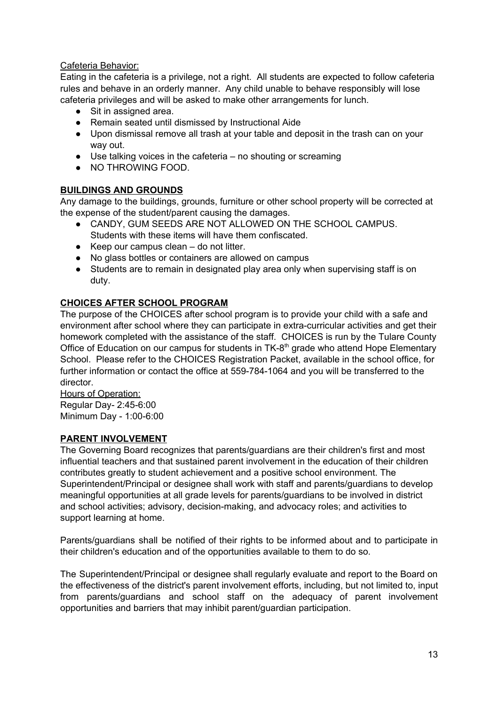#### Cafeteria Behavior:

Eating in the cafeteria is a privilege, not a right. All students are expected to follow cafeteria rules and behave in an orderly manner. Any child unable to behave responsibly will lose cafeteria privileges and will be asked to make other arrangements for lunch.

- Sit in assigned area.
- Remain seated until dismissed by Instructional Aide
- Upon dismissal remove all trash at your table and deposit in the trash can on your way out.
- Use talking voices in the cafeteria no shouting or screaming
- NO THROWING FOOD.

#### **BUILDINGS AND GROUNDS**

Any damage to the buildings, grounds, furniture or other school property will be corrected at the expense of the student/parent causing the damages.

- CANDY, GUM SEEDS ARE NOT ALLOWED ON THE SCHOOL CAMPUS. Students with these items will have them confiscated.
- $\bullet$  Keep our campus clean do not litter.
- No glass bottles or containers are allowed on campus
- Students are to remain in designated play area only when supervising staff is on duty.

#### **CHOICES AFTER SCHOOL PROGRAM**

The purpose of the CHOICES after school program is to provide your child with a safe and environment after school where they can participate in extra-curricular activities and get their homework completed with the assistance of the staff. CHOICES is run by the Tulare County Office of Education on our campus for students in TK-8<sup>th</sup> grade who attend Hope Elementary School. Please refer to the CHOICES Registration Packet, available in the school office, for further information or contact the office at 559-784-1064 and you will be transferred to the director.

Hours of Operation: Regular Day- 2:45-6:00 Minimum Day - 1:00-6:00

#### **PARENT INVOLVEMENT**

The Governing Board recognizes that parents/guardians are their children's first and most influential teachers and that sustained parent involvement in the education of their children contributes greatly to student achievement and a positive school environment. The Superintendent/Principal or designee shall work with staff and parents/guardians to develop meaningful opportunities at all grade levels for parents/guardians to be involved in district and school activities; advisory, decision-making, and advocacy roles; and activities to support learning at home.

Parents/guardians shall be notified of their rights to be informed about and to participate in their children's education and of the opportunities available to them to do so.

The Superintendent/Principal or designee shall regularly evaluate and report to the Board on the effectiveness of the district's parent involvement efforts, including, but not limited to, input from parents/guardians and school staff on the adequacy of parent involvement opportunities and barriers that may inhibit parent/guardian participation.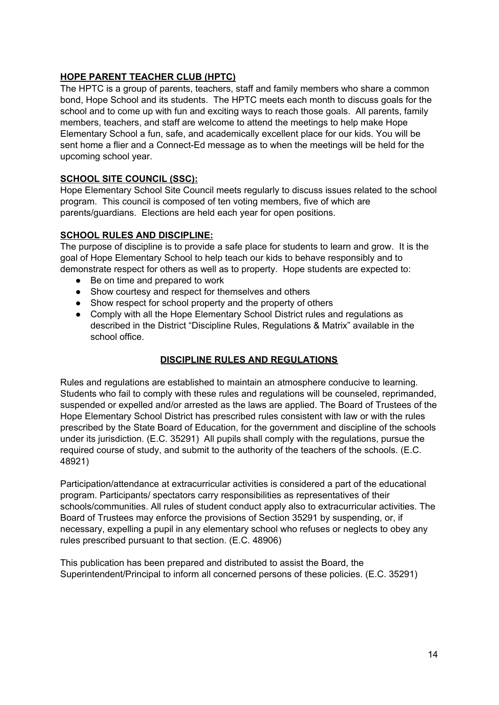#### **HOPE PARENT TEACHER CLUB (HPTC)**

The HPTC is a group of parents, teachers, staff and family members who share a common bond, Hope School and its students. The HPTC meets each month to discuss goals for the school and to come up with fun and exciting ways to reach those goals. All parents, family members, teachers, and staff are welcome to attend the meetings to help make Hope Elementary School a fun, safe, and academically excellent place for our kids. You will be sent home a flier and a Connect-Ed message as to when the meetings will be held for the upcoming school year.

#### **SCHOOL SITE COUNCIL (SSC):**

Hope Elementary School Site Council meets regularly to discuss issues related to the school program. This council is composed of ten voting members, five of which are parents/guardians. Elections are held each year for open positions.

#### **SCHOOL RULES AND DISCIPLINE:**

The purpose of discipline is to provide a safe place for students to learn and grow. It is the goal of Hope Elementary School to help teach our kids to behave responsibly and to demonstrate respect for others as well as to property. Hope students are expected to:

- Be on time and prepared to work
- Show courtesy and respect for themselves and others
- Show respect for school property and the property of others
- Comply with all the Hope Elementary School District rules and regulations as described in the District "Discipline Rules, Regulations & Matrix" available in the school office.

#### **DISCIPLINE RULES AND REGULATIONS**

Rules and regulations are established to maintain an atmosphere conducive to learning. Students who fail to comply with these rules and regulations will be counseled, reprimanded, suspended or expelled and/or arrested as the laws are applied. The Board of Trustees of the Hope Elementary School District has prescribed rules consistent with law or with the rules prescribed by the State Board of Education, for the government and discipline of the schools under its jurisdiction. (E.C. 35291) All pupils shall comply with the regulations, pursue the required course of study, and submit to the authority of the teachers of the schools. (E.C. 48921)

Participation/attendance at extracurricular activities is considered a part of the educational program. Participants/ spectators carry responsibilities as representatives of their schools/communities. All rules of student conduct apply also to extracurricular activities. The Board of Trustees may enforce the provisions of Section 35291 by suspending, or, if necessary, expelling a pupil in any elementary school who refuses or neglects to obey any rules prescribed pursuant to that section. (E.C. 48906)

This publication has been prepared and distributed to assist the Board, the Superintendent/Principal to inform all concerned persons of these policies. (E.C. 35291)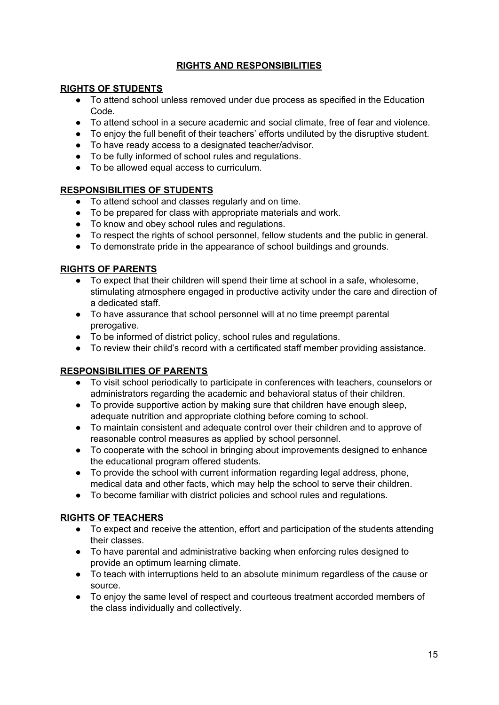#### **RIGHTS AND RESPONSIBILITIES**

#### **RIGHTS OF STUDENTS**

- To attend school unless removed under due process as specified in the Education Code.
- To attend school in a secure academic and social climate, free of fear and violence.
- To enjoy the full benefit of their teachers' efforts undiluted by the disruptive student.
- To have ready access to a designated teacher/advisor.
- To be fully informed of school rules and regulations.
- To be allowed equal access to curriculum.

#### **RESPONSIBILITIES OF STUDENTS**

- To attend school and classes regularly and on time.
- To be prepared for class with appropriate materials and work.
- To know and obey school rules and regulations.
- To respect the rights of school personnel, fellow students and the public in general.
- To demonstrate pride in the appearance of school buildings and grounds.

#### **RIGHTS OF PARENTS**

- To expect that their children will spend their time at school in a safe, wholesome, stimulating atmosphere engaged in productive activity under the care and direction of a dedicated staff.
- To have assurance that school personnel will at no time preempt parental prerogative.
- To be informed of district policy, school rules and regulations.
- To review their child's record with a certificated staff member providing assistance.

#### **RESPONSIBILITIES OF PARENTS**

- To visit school periodically to participate in conferences with teachers, counselors or administrators regarding the academic and behavioral status of their children.
- To provide supportive action by making sure that children have enough sleep, adequate nutrition and appropriate clothing before coming to school.
- To maintain consistent and adequate control over their children and to approve of reasonable control measures as applied by school personnel.
- To cooperate with the school in bringing about improvements designed to enhance the educational program offered students.
- To provide the school with current information regarding legal address, phone, medical data and other facts, which may help the school to serve their children.
- To become familiar with district policies and school rules and regulations.

#### **RIGHTS OF TEACHERS**

- To expect and receive the attention, effort and participation of the students attending their classes.
- To have parental and administrative backing when enforcing rules designed to provide an optimum learning climate.
- To teach with interruptions held to an absolute minimum regardless of the cause or source.
- To enjoy the same level of respect and courteous treatment accorded members of the class individually and collectively.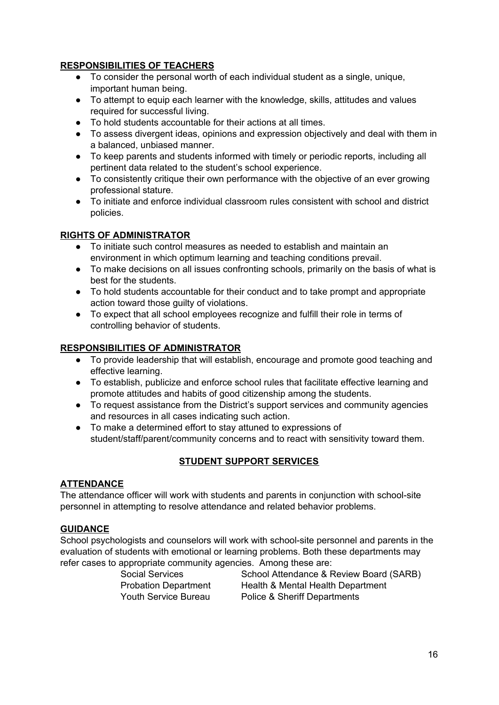#### **RESPONSIBILITIES OF TEACHERS**

- To consider the personal worth of each individual student as a single, unique, important human being.
- To attempt to equip each learner with the knowledge, skills, attitudes and values required for successful living.
- To hold students accountable for their actions at all times.
- To assess divergent ideas, opinions and expression objectively and deal with them in a balanced, unbiased manner.
- To keep parents and students informed with timely or periodic reports, including all pertinent data related to the student's school experience.
- To consistently critique their own performance with the objective of an ever growing professional stature.
- To initiate and enforce individual classroom rules consistent with school and district policies.

#### **RIGHTS OF ADMINISTRATOR**

- To initiate such control measures as needed to establish and maintain an environment in which optimum learning and teaching conditions prevail.
- To make decisions on all issues confronting schools, primarily on the basis of what is best for the students.
- To hold students accountable for their conduct and to take prompt and appropriate action toward those guilty of violations.
- To expect that all school employees recognize and fulfill their role in terms of controlling behavior of students.

### **RESPONSIBILITIES OF ADMINISTRATOR**

- To provide leadership that will establish, encourage and promote good teaching and effective learning.
- To establish, publicize and enforce school rules that facilitate effective learning and promote attitudes and habits of good citizenship among the students.
- To request assistance from the District's support services and community agencies and resources in all cases indicating such action.
- To make a determined effort to stay attuned to expressions of student/staff/parent/community concerns and to react with sensitivity toward them.

### **STUDENT SUPPORT SERVICES**

#### **ATTENDANCE**

The attendance officer will work with students and parents in conjunction with school-site personnel in attempting to resolve attendance and related behavior problems.

#### **GUIDANCE**

School psychologists and counselors will work with school-site personnel and parents in the evaluation of students with emotional or learning problems. Both these departments may refer cases to appropriate community agencies. Among these are:

Social Services School Attendance & Review Board (SARB) Probation Department Health & Mental Health Department Youth Service Bureau Police & Sheriff Departments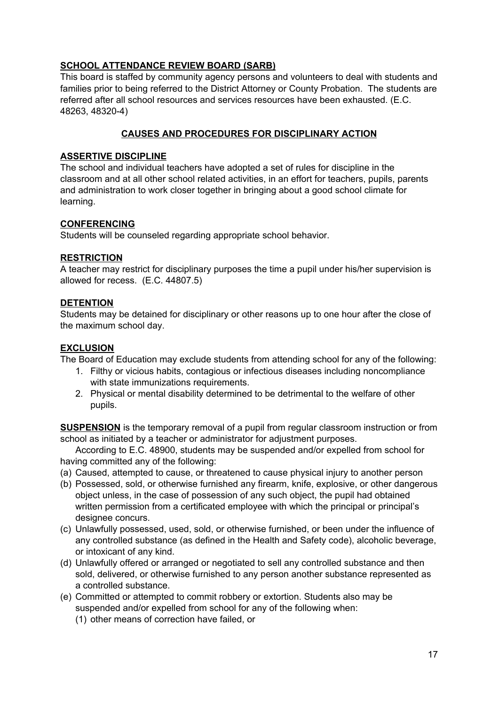#### **SCHOOL ATTENDANCE REVIEW BOARD (SARB)**

This board is staffed by community agency persons and volunteers to deal with students and families prior to being referred to the District Attorney or County Probation. The students are referred after all school resources and services resources have been exhausted. (E.C. 48263, 48320-4)

#### **CAUSES AND PROCEDURES FOR DISCIPLINARY ACTION**

#### **ASSERTIVE DISCIPLINE**

The school and individual teachers have adopted a set of rules for discipline in the classroom and at all other school related activities, in an effort for teachers, pupils, parents and administration to work closer together in bringing about a good school climate for learning.

#### **CONFERENCING**

Students will be counseled regarding appropriate school behavior.

#### **RESTRICTION**

A teacher may restrict for disciplinary purposes the time a pupil under his/her supervision is allowed for recess. (E.C. 44807.5)

#### **DETENTION**

Students may be detained for disciplinary or other reasons up to one hour after the close of the maximum school day.

#### **EXCLUSION**

The Board of Education may exclude students from attending school for any of the following:

- 1. Filthy or vicious habits, contagious or infectious diseases including noncompliance with state immunizations requirements.
- 2. Physical or mental disability determined to be detrimental to the welfare of other pupils.

**SUSPENSION** is the temporary removal of a pupil from regular classroom instruction or from school as initiated by a teacher or administrator for adjustment purposes.

According to E.C. 48900, students may be suspended and/or expelled from school for having committed any of the following:

- (a) Caused, attempted to cause, or threatened to cause physical injury to another person
- (b) Possessed, sold, or otherwise furnished any firearm, knife, explosive, or other dangerous object unless, in the case of possession of any such object, the pupil had obtained written permission from a certificated employee with which the principal or principal's designee concurs.
- (c) Unlawfully possessed, used, sold, or otherwise furnished, or been under the influence of any controlled substance (as defined in the Health and Safety code), alcoholic beverage, or intoxicant of any kind.
- (d) Unlawfully offered or arranged or negotiated to sell any controlled substance and then sold, delivered, or otherwise furnished to any person another substance represented as a controlled substance.
- (e) Committed or attempted to commit robbery or extortion. Students also may be suspended and/or expelled from school for any of the following when:
	- (1) other means of correction have failed, or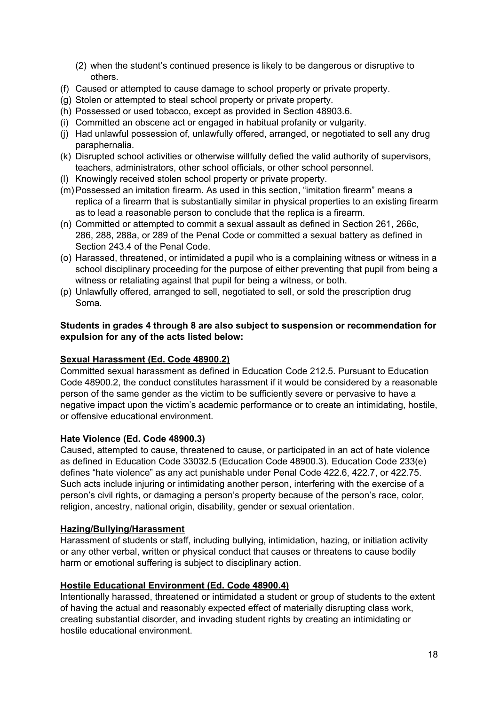- (2) when the student's continued presence is likely to be dangerous or disruptive to others.
- (f) Caused or attempted to cause damage to school property or private property.
- (g) Stolen or attempted to steal school property or private property.
- (h) Possessed or used tobacco, except as provided in Section 48903.6.
- (i) Committed an obscene act or engaged in habitual profanity or vulgarity.
- (j) Had unlawful possession of, unlawfully offered, arranged, or negotiated to sell any drug paraphernalia.
- (k) Disrupted school activities or otherwise willfully defied the valid authority of supervisors, teachers, administrators, other school officials, or other school personnel.
- (l) Knowingly received stolen school property or private property.
- (m)Possessed an imitation firearm. As used in this section, "imitation firearm" means a replica of a firearm that is substantially similar in physical properties to an existing firearm as to lead a reasonable person to conclude that the replica is a firearm.
- (n) Committed or attempted to commit a sexual assault as defined in Section 261, 266c, 286, 288, 288a, or 289 of the Penal Code or committed a sexual battery as defined in Section 243.4 of the Penal Code.
- (o) Harassed, threatened, or intimidated a pupil who is a complaining witness or witness in a school disciplinary proceeding for the purpose of either preventing that pupil from being a witness or retaliating against that pupil for being a witness, or both.
- (p) Unlawfully offered, arranged to sell, negotiated to sell, or sold the prescription drug Soma.

#### **Students in grades 4 through 8 are also subject to suspension or recommendation for expulsion for any of the acts listed below:**

#### **Sexual Harassment (Ed. Code 48900.2)**

Committed sexual harassment as defined in Education Code 212.5. Pursuant to Education Code 48900.2, the conduct constitutes harassment if it would be considered by a reasonable person of the same gender as the victim to be sufficiently severe or pervasive to have a negative impact upon the victim's academic performance or to create an intimidating, hostile, or offensive educational environment.

#### **Hate Violence (Ed. Code 48900.3)**

Caused, attempted to cause, threatened to cause, or participated in an act of hate violence as defined in Education Code 33032.5 (Education Code 48900.3). Education Code 233(e) defines "hate violence" as any act punishable under Penal Code 422.6, 422.7, or 422.75. Such acts include injuring or intimidating another person, interfering with the exercise of a person's civil rights, or damaging a person's property because of the person's race, color, religion, ancestry, national origin, disability, gender or sexual orientation.

#### **Hazing/Bullying/Harassment**

Harassment of students or staff, including bullying, intimidation, hazing, or initiation activity or any other verbal, written or physical conduct that causes or threatens to cause bodily harm or emotional suffering is subject to disciplinary action.

#### **Hostile Educational Environment (Ed. Code 48900.4)**

Intentionally harassed, threatened or intimidated a student or group of students to the extent of having the actual and reasonably expected effect of materially disrupting class work, creating substantial disorder, and invading student rights by creating an intimidating or hostile educational environment.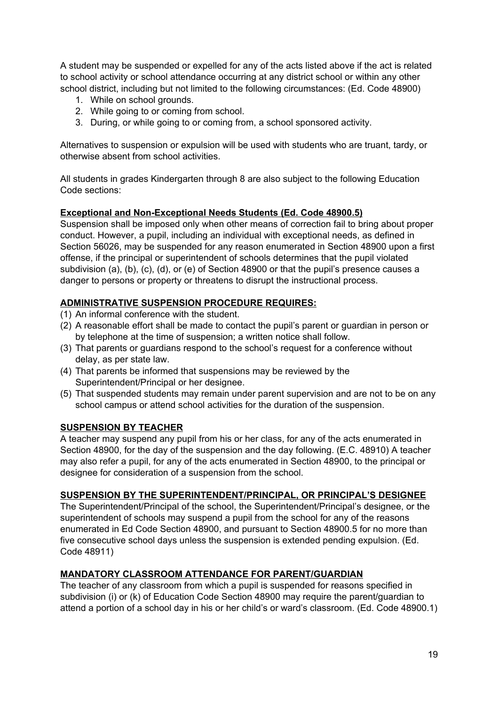A student may be suspended or expelled for any of the acts listed above if the act is related to school activity or school attendance occurring at any district school or within any other school district, including but not limited to the following circumstances: (Ed. Code 48900)

- 1. While on school grounds.
- 2. While going to or coming from school.
- 3. During, or while going to or coming from, a school sponsored activity.

Alternatives to suspension or expulsion will be used with students who are truant, tardy, or otherwise absent from school activities.

All students in grades Kindergarten through 8 are also subject to the following Education Code sections:

#### **Exceptional and Non-Exceptional Needs Students (Ed. Code 48900.5)**

Suspension shall be imposed only when other means of correction fail to bring about proper conduct. However, a pupil, including an individual with exceptional needs, as defined in Section 56026, may be suspended for any reason enumerated in Section 48900 upon a first offense, if the principal or superintendent of schools determines that the pupil violated subdivision (a), (b), (c), (d), or (e) of Section 48900 or that the pupil's presence causes a danger to persons or property or threatens to disrupt the instructional process.

#### **ADMINISTRATIVE SUSPENSION PROCEDURE REQUIRES:**

- (1) An informal conference with the student.
- (2) A reasonable effort shall be made to contact the pupil's parent or guardian in person or by telephone at the time of suspension; a written notice shall follow.
- (3) That parents or guardians respond to the school's request for a conference without delay, as per state law.
- (4) That parents be informed that suspensions may be reviewed by the Superintendent/Principal or her designee.
- (5) That suspended students may remain under parent supervision and are not to be on any school campus or attend school activities for the duration of the suspension.

#### **SUSPENSION BY TEACHER**

A teacher may suspend any pupil from his or her class, for any of the acts enumerated in Section 48900, for the day of the suspension and the day following. (E.C. 48910) A teacher may also refer a pupil, for any of the acts enumerated in Section 48900, to the principal or designee for consideration of a suspension from the school.

#### **SUSPENSION BY THE SUPERINTENDENT/PRINCIPAL, OR PRINCIPAL'S DESIGNEE**

The Superintendent/Principal of the school, the Superintendent/Principal's designee, or the superintendent of schools may suspend a pupil from the school for any of the reasons enumerated in Ed Code Section 48900, and pursuant to Section 48900.5 for no more than five consecutive school days unless the suspension is extended pending expulsion. (Ed. Code 48911)

#### **MANDATORY CLASSROOM ATTENDANCE FOR PARENT/GUARDIAN**

The teacher of any classroom from which a pupil is suspended for reasons specified in subdivision (i) or (k) of Education Code Section 48900 may require the parent/guardian to attend a portion of a school day in his or her child's or ward's classroom. (Ed. Code 48900.1)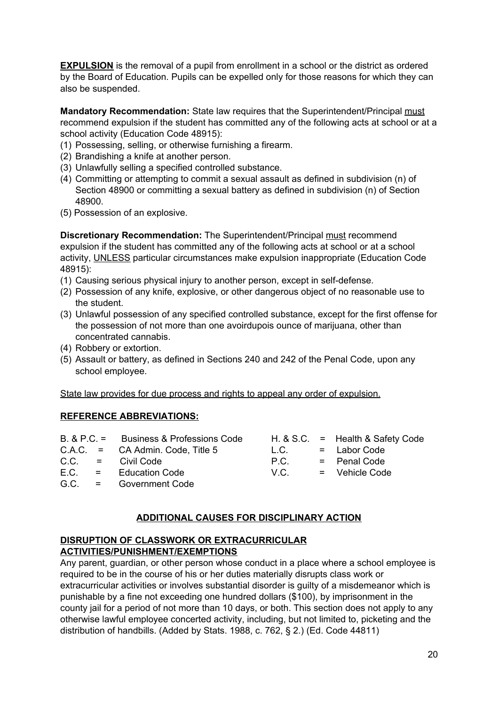**EXPULSION** is the removal of a pupil from enrollment in a school or the district as ordered by the Board of Education. Pupils can be expelled only for those reasons for which they can also be suspended.

**Mandatory Recommendation:** State law requires that the Superintendent/Principal must recommend expulsion if the student has committed any of the following acts at school or at a school activity (Education Code 48915):

- (1) Possessing, selling, or otherwise furnishing a firearm.
- (2) Brandishing a knife at another person.
- (3) Unlawfully selling a specified controlled substance.
- (4) Committing or attempting to commit a sexual assault as defined in subdivision (n) of Section 48900 or committing a sexual battery as defined in subdivision (n) of Section 48900.
- (5) Possession of an explosive.

**Discretionary Recommendation:** The Superintendent/Principal must recommend expulsion if the student has committed any of the following acts at school or at a school activity, UNLESS particular circumstances make expulsion inappropriate (Education Code 48915):

- (1) Causing serious physical injury to another person, except in self-defense.
- (2) Possession of any knife, explosive, or other dangerous object of no reasonable use to the student.
- (3) Unlawful possession of any specified controlled substance, except for the first offense for the possession of not more than one avoirdupois ounce of marijuana, other than concentrated cannabis.
- (4) Robbery or extortion.
- (5) Assault or battery, as defined in Sections 240 and 242 of the Penal Code, upon any school employee.

State law provides for due process and rights to appeal any order of expulsion.

#### **REFERENCE ABBREVIATIONS:**

|  | B. & P.C. = Business & Professions Code |      | H. & S.C. $=$ Health & Safety Code |
|--|-----------------------------------------|------|------------------------------------|
|  | $C.A.C. = CA$ Admin. Code, Title 5      | L.C. | = Labor Code                       |
|  | $C.C. = Civil Code$                     | P.C. | = Penal Code                       |
|  | $E.C. = Education Code$                 | V.C. | = Vehicle Code                     |
|  | G.C. = Government Code                  |      |                                    |
|  |                                         |      |                                    |

#### **ADDITIONAL CAUSES FOR DISCIPLINARY ACTION**

#### **DISRUPTION OF CLASSWORK OR EXTRACURRICULAR ACTIVITIES/PUNISHMENT/EXEMPTIONS**

Any parent, guardian, or other person whose conduct in a place where a school employee is required to be in the course of his or her duties materially disrupts class work or extracurricular activities or involves substantial disorder is guilty of a misdemeanor which is punishable by a fine not exceeding one hundred dollars (\$100), by imprisonment in the county jail for a period of not more than 10 days, or both. This section does not apply to any otherwise lawful employee concerted activity, including, but not limited to, picketing and the distribution of handbills. (Added by Stats. 1988, c. 762, § 2.) (Ed. Code 44811)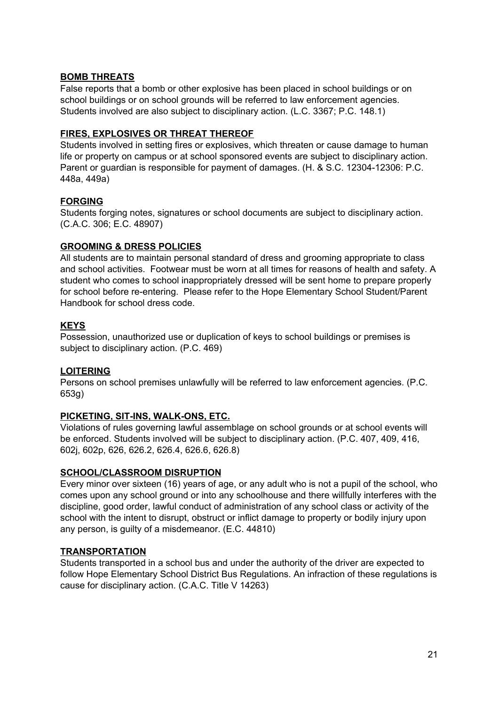#### **BOMB THREATS**

False reports that a bomb or other explosive has been placed in school buildings or on school buildings or on school grounds will be referred to law enforcement agencies. Students involved are also subject to disciplinary action. (L.C. 3367; P.C. 148.1)

#### **FIRES, EXPLOSIVES OR THREAT THEREOF**

Students involved in setting fires or explosives, which threaten or cause damage to human life or property on campus or at school sponsored events are subject to disciplinary action. Parent or guardian is responsible for payment of damages. (H. & S.C. 12304-12306: P.C. 448a, 449a)

#### **FORGING**

Students forging notes, signatures or school documents are subject to disciplinary action. (C.A.C. 306; E.C. 48907)

#### **GROOMING & DRESS POLICIES**

All students are to maintain personal standard of dress and grooming appropriate to class and school activities. Footwear must be worn at all times for reasons of health and safety. A student who comes to school inappropriately dressed will be sent home to prepare properly for school before re-entering. Please refer to the Hope Elementary School Student/Parent Handbook for school dress code.

#### **KEYS**

Possession, unauthorized use or duplication of keys to school buildings or premises is subject to disciplinary action. (P.C. 469)

#### **LOITERING**

Persons on school premises unlawfully will be referred to law enforcement agencies. (P.C. 653g)

#### **PICKETING, SIT-INS, WALK-ONS, ETC.**

Violations of rules governing lawful assemblage on school grounds or at school events will be enforced. Students involved will be subject to disciplinary action. (P.C. 407, 409, 416, 602j, 602p, 626, 626.2, 626.4, 626.6, 626.8)

#### **SCHOOL/CLASSROOM DISRUPTION**

Every minor over sixteen (16) years of age, or any adult who is not a pupil of the school, who comes upon any school ground or into any schoolhouse and there willfully interferes with the discipline, good order, lawful conduct of administration of any school class or activity of the school with the intent to disrupt, obstruct or inflict damage to property or bodily injury upon any person, is guilty of a misdemeanor. (E.C. 44810)

#### **TRANSPORTATION**

Students transported in a school bus and under the authority of the driver are expected to follow Hope Elementary School District Bus Regulations. An infraction of these regulations is cause for disciplinary action. (C.A.C. Title V 14263)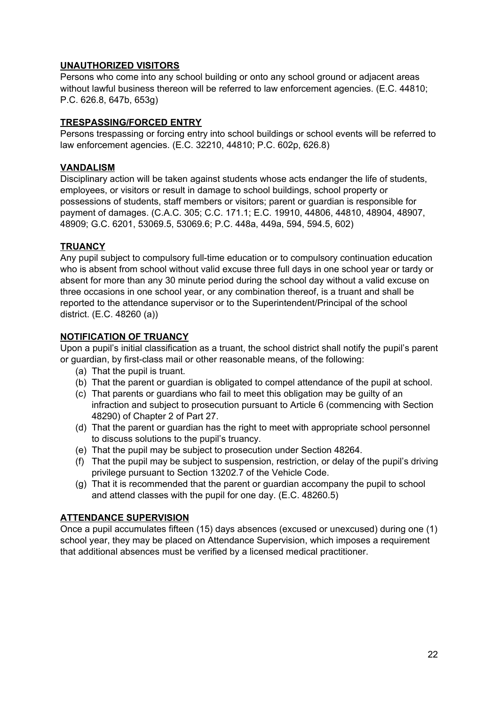#### **UNAUTHORIZED VISITORS**

Persons who come into any school building or onto any school ground or adjacent areas without lawful business thereon will be referred to law enforcement agencies. (E.C. 44810; P.C. 626.8, 647b, 653g)

#### **TRESPASSING/FORCED ENTRY**

Persons trespassing or forcing entry into school buildings or school events will be referred to law enforcement agencies. (E.C. 32210, 44810; P.C. 602p, 626.8)

#### **VANDALISM**

Disciplinary action will be taken against students whose acts endanger the life of students, employees, or visitors or result in damage to school buildings, school property or possessions of students, staff members or visitors; parent or guardian is responsible for payment of damages. (C.A.C. 305; C.C. 171.1; E.C. 19910, 44806, 44810, 48904, 48907, 48909; G.C. 6201, 53069.5, 53069.6; P.C. 448a, 449a, 594, 594.5, 602)

#### **TRUANCY**

Any pupil subject to compulsory full-time education or to compulsory continuation education who is absent from school without valid excuse three full days in one school year or tardy or absent for more than any 30 minute period during the school day without a valid excuse on three occasions in one school year, or any combination thereof, is a truant and shall be reported to the attendance supervisor or to the Superintendent/Principal of the school district. (E.C. 48260 (a))

#### **NOTIFICATION OF TRUANCY**

Upon a pupil's initial classification as a truant, the school district shall notify the pupil's parent or guardian, by first-class mail or other reasonable means, of the following:

- (a) That the pupil is truant.
- (b) That the parent or guardian is obligated to compel attendance of the pupil at school.
- (c) That parents or guardians who fail to meet this obligation may be guilty of an infraction and subject to prosecution pursuant to Article 6 (commencing with Section 48290) of Chapter 2 of Part 27.
- (d) That the parent or guardian has the right to meet with appropriate school personnel to discuss solutions to the pupil's truancy.
- (e) That the pupil may be subject to prosecution under Section 48264.
- (f) That the pupil may be subject to suspension, restriction, or delay of the pupil's driving privilege pursuant to Section 13202.7 of the Vehicle Code.
- (g) That it is recommended that the parent or guardian accompany the pupil to school and attend classes with the pupil for one day. (E.C. 48260.5)

#### **ATTENDANCE SUPERVISION**

Once a pupil accumulates fifteen (15) days absences (excused or unexcused) during one (1) school year, they may be placed on Attendance Supervision, which imposes a requirement that additional absences must be verified by a licensed medical practitioner.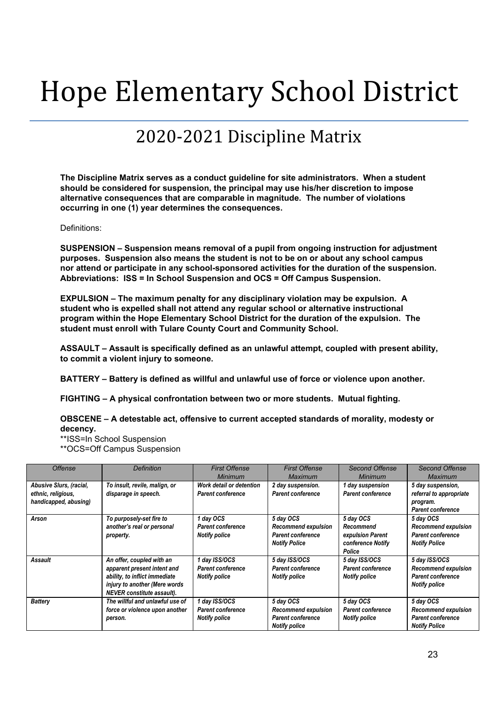# Hope Elementary School District

## 2020-2021 Discipline Matrix

**The Discipline Matrix serves as a conduct guideline for site administrators. When a student should be considered for suspension, the principal may use his/her discretion to impose alternative consequences that are comparable in magnitude. The number of violations occurring in one (1) year determines the consequences.**

#### Definitions:

**SUSPENSION – Suspension means removal of a pupil from ongoing instruction for adjustment purposes. Suspension also means the student is not to be on or about any school campus nor attend or participate in any school-sponsored activities for the duration of the suspension. Abbreviations: ISS = In School Suspension and OCS = Off Campus Suspension.**

**EXPULSION – The maximum penalty for any disciplinary violation may be expulsion. A student who is expelled shall not attend any regular school or alternative instructional program within the Hope Elementary School District for the duration of the expulsion. The student must enroll with Tulare County Court and Community School.**

**ASSAULT – Assault is specifically defined as an unlawful attempt, coupled with present ability, to commit a violent injury to someone.**

**BATTERY – Battery is defined as willful and unlawful use of force or violence upon another.**

**FIGHTING – A physical confrontation between two or more students. Mutual fighting.**

**OBSCENE – A detestable act, offensive to current accepted standards of morality, modesty or decency.**

\*\*ISS=In School Suspension

\*\*OCS=Off Campus Suspension

| <b>Offense</b>                                                         | <b>Definition</b>                                                                                                                                               | <b>First Offense</b><br>Minimum                            | <b>First Offense</b><br>Maximum                                                             | <b>Second Offense</b><br>Minimum                                          | <b>Second Offense</b><br>Maximum                                                                |
|------------------------------------------------------------------------|-----------------------------------------------------------------------------------------------------------------------------------------------------------------|------------------------------------------------------------|---------------------------------------------------------------------------------------------|---------------------------------------------------------------------------|-------------------------------------------------------------------------------------------------|
| Abusive Slurs, (racial,<br>ethnic, religious,<br>handicapped, abusing) | To insult, revile, malign, or<br>disparage in speech.                                                                                                           | Work detail or detention<br>Parent conference              | 2 day suspension.<br><b>Parent conference</b>                                               | 1 day suspension<br><b>Parent conference</b>                              | 5 day suspension,<br>referral to appropriate<br>program.<br><b>Parent conference</b>            |
| Arson                                                                  | To purposely-set fire to<br>another's real or personal<br>property.                                                                                             | 1 day OCS<br>Parent conference<br><b>Notify police</b>     | 5 day OCS<br><b>Recommend expulsion</b><br>Parent conference<br><b>Notify Police</b>        | 5 day OCS<br>Recommend<br>expulsion Parent<br>conference Notify<br>Police | 5 day OCS<br><b>Recommend expulsion</b><br><b>Parent conference</b><br><b>Notify Police</b>     |
| <b>Assault</b>                                                         | An offer, coupled with an<br>apparent present intent and<br>ability, to inflict immediate<br>injury to another (Mere words<br><b>NEVER</b> constitute assault). | 1 day ISS/OCS<br>Parent conference<br><b>Notify police</b> | 5 day ISS/OCS<br><b>Parent conference</b><br><b>Notify police</b>                           | 5 day ISS/OCS<br><b>Parent conference</b><br><b>Notify police</b>         | 5 day ISS/OCS<br><b>Recommend expulsion</b><br><b>Parent conference</b><br><b>Notify police</b> |
| <b>Battery</b>                                                         | The willful and unlawful use of<br>force or violence upon another<br>person.                                                                                    | 1 day ISS/OCS<br>Parent conference<br><b>Notify police</b> | 5 day OCS<br><b>Recommend expulsion</b><br><b>Parent conference</b><br><b>Notify police</b> | 5 day OCS<br><b>Parent conference</b><br><b>Notify police</b>             | 5 day OCS<br><b>Recommend expulsion</b><br><b>Parent conference</b><br><b>Notify Police</b>     |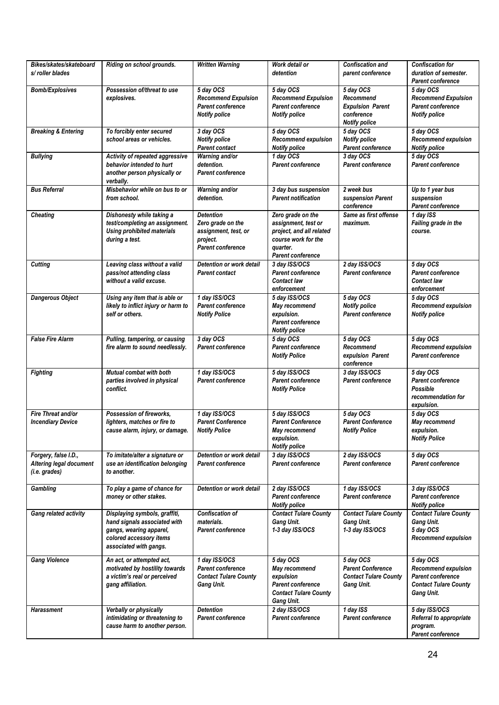| Bikes/skates/skateboard<br>s/roller blades                       | Riding on school grounds.                                                                                                                     | <b>Written Warning</b>                                                                         | Work detail or<br>detention                                                                                                  | <b>Confiscation and</b><br>parent conference                                               | <b>Confiscation for</b><br>duration of semester.<br><b>Parent conference</b>                        |
|------------------------------------------------------------------|-----------------------------------------------------------------------------------------------------------------------------------------------|------------------------------------------------------------------------------------------------|------------------------------------------------------------------------------------------------------------------------------|--------------------------------------------------------------------------------------------|-----------------------------------------------------------------------------------------------------|
| <b>Bomb/Explosives</b>                                           | Possession of/threat to use<br>explosives.                                                                                                    | 5 day OCS<br><b>Recommend Expulsion</b><br>Parent conference<br><b>Notify police</b>           | 5 day OCS<br><b>Recommend Expulsion</b><br>Parent conference<br><b>Notify police</b>                                         | 5 day OCS<br>Recommend<br><b>Expulsion Parent</b><br>conference<br><b>Notify police</b>    | 5 day OCS<br><b>Recommend Expulsion</b><br>Parent conference<br><b>Notify police</b>                |
| <b>Breaking &amp; Entering</b>                                   | To forcibly enter secured<br>school areas or vehicles.                                                                                        | 3 day OCS<br><b>Notify police</b><br>Parent contact                                            | 5 day OCS<br><b>Recommend expulsion</b><br><b>Notify police</b>                                                              | 5 day OCS<br><b>Notify police</b><br>Parent conference                                     | 5 day OCS<br><b>Recommend expulsion</b><br><b>Notify police</b>                                     |
| <b>Bullying</b>                                                  | Activity of repeated aggressive<br>behavior intended to hurt<br>another person physically or<br>verbally.                                     | Warning and/or<br>detention.<br><b>Parent conference</b>                                       | 1 day OCS<br>Parent conference                                                                                               | 3 day OCS<br>Parent conference                                                             | 5 day OCS<br>Parent conference                                                                      |
| <b>Bus Referral</b>                                              | Misbehavior while on bus to or<br>from school.                                                                                                | Warning and/or<br>detention.                                                                   | 3 day bus suspension<br><b>Parent notification</b>                                                                           | 2 week bus<br>suspension Parent<br>conference                                              | Up to 1 year bus<br>suspension<br>Parent conference                                                 |
| <b>Cheating</b>                                                  | Dishonesty while taking a<br>test/completing an assignment.<br><b>Using prohibited materials</b><br>during a test.                            | Detention<br>Zero grade on the<br>assignment, test, or<br>project.<br><b>Parent conference</b> | Zero grade on the<br>assignment, test or<br>project, and all related<br>course work for the<br>quarter.<br>Parent conference | Same as first offense<br>maximum.                                                          | 1 day ISS<br>Failing grade in the<br>course.                                                        |
| Cutting                                                          | Leaving class without a valid<br>pass/not attending class<br>without a valid excuse.                                                          | Detention or work detail<br>Parent contact                                                     | 3 day ISS/OCS<br>Parent conference<br><b>Contact law</b><br>enforcement                                                      | 2 day ISS/OCS<br>Parent conference                                                         | 5 day OCS<br>Parent conference<br><b>Contact law</b><br>enforcement                                 |
| <b>Dangerous Object</b>                                          | Using any item that is able or<br>likely to inflict injury or harm to<br>self or others.                                                      | 1 day ISS/OCS<br>Parent conference<br><b>Notify Police</b>                                     | 5 day ISS/OCS<br>May recommend<br>expulsion.<br><b>Parent conference</b><br><b>Notify police</b>                             | 5 day OCS<br><b>Notify police</b><br><b>Parent conference</b>                              | 5 day OCS<br><b>Recommend expulsion</b><br><b>Notify police</b>                                     |
| <b>False Fire Alarm</b>                                          | Pulling, tampering, or causing<br>fire alarm to sound needlessly.                                                                             | 3 day OCS<br>Parent conference                                                                 | 5 day OCS<br><b>Parent conference</b><br><b>Notify Police</b>                                                                | 5 day OCS<br>Recommend<br>expulsion Parent<br>conference                                   | 5 day OCS<br>Recommend expulsion<br><b>Parent conference</b>                                        |
| <b>Fighting</b>                                                  | Mutual combat with both<br>parties involved in physical<br>confiict.                                                                          | 1 day ISS/OCS<br><b>Parent conference</b>                                                      | 5 day ISS/OCS<br>Parent conference<br><b>Notify Police</b>                                                                   | 3 day ISS/OCS<br><b>Parent conference</b>                                                  | 5 day OCS<br>Parent conference<br>Possible<br>recommendation for<br>expulsion.                      |
| Fire Threat and/or<br><b>Incendiary Device</b>                   | Possession of fireworks,<br>lighters, matches or fire to<br>cause alarm, injury, or damage.                                                   | 1 day ISS/OCS<br><b>Parent Conference</b><br><b>Notify Police</b>                              | 5 day ISS/OCS<br><b>Parent Conference</b><br>May recommend<br>expulsion.<br><b>Notify police</b>                             | 5 day OCS<br><b>Parent Conference</b><br><b>Notify Police</b>                              | 5 day OCS<br>May recommend<br>expulsion.<br><b>Notify Police</b>                                    |
| Forgery, false I.D.,<br>Altering legal document<br>(i.e. grades) | To imitate/alter a signature or<br>use an identification belonging<br>to another.                                                             | Detention or work detail<br>Parent conference                                                  | 3 day ISS/OCS<br><b>Parent conference</b>                                                                                    | 2 day ISS/OCS<br><b>Parent conference</b>                                                  | 5 day OCS<br>Parent conference                                                                      |
| Gambling                                                         | To play a game of chance for<br>money or other stakes.                                                                                        | Detention or work detail                                                                       | 2 day ISS/OCS<br><b>Parent conference</b><br><b>Notify police</b>                                                            | 1 day ISS/OCS<br><b>Parent conference</b>                                                  | 3 day ISS/OCS<br><b>Parent conference</b><br><b>Notify police</b>                                   |
| Gang related activity                                            | Displaying symbols, graffiti,<br>hand signals associated with<br>gangs, wearing apparel,<br>colored accessory items<br>associated with gangs. | <b>Confiscation of</b><br>materials.<br>Parent conference                                      | <b>Contact Tulare County</b><br>Gang Unit.<br>1-3 day ISS/OCS                                                                | <b>Contact Tulare County</b><br><b>Gang Unit.</b><br>1-3 day ISS/OCS                       | <b>Contact Tulare County</b><br><b>Gang Unit.</b><br>5 day OCS<br><b>Recommend expulsion</b>        |
| <b>Gang Violence</b>                                             | An act, or attempted act,<br>motivated by hostility towards<br>a victim's real or perceived<br>gang affiliation.                              | 1 day ISS/OCS<br>Parent conference<br><b>Contact Tulare County</b><br><b>Gang Unit.</b>        | 5 day OCS<br>May recommend<br>expulsion<br><b>Parent conference</b><br><b>Contact Tulare County</b><br><b>Gang Unit.</b>     | 5 day OCS<br><b>Parent Conference</b><br><b>Contact Tulare County</b><br><b>Gang Unit.</b> | 5 day OCS<br>Recommend expulsion<br>Parent conference<br><b>Contact Tulare County</b><br>Gang Unit. |
| Harassment                                                       | Verbally or physically<br>intimidating or threatening to<br>cause harm to another person.                                                     | <b>Detention</b><br>Parent conference                                                          | 2 day ISS/OCS<br><b>Parent conference</b>                                                                                    | 1 day ISS<br>Parent conference                                                             | 5 day ISS/OCS<br>Referral to appropriate<br>program.<br><b>Parent conference</b>                    |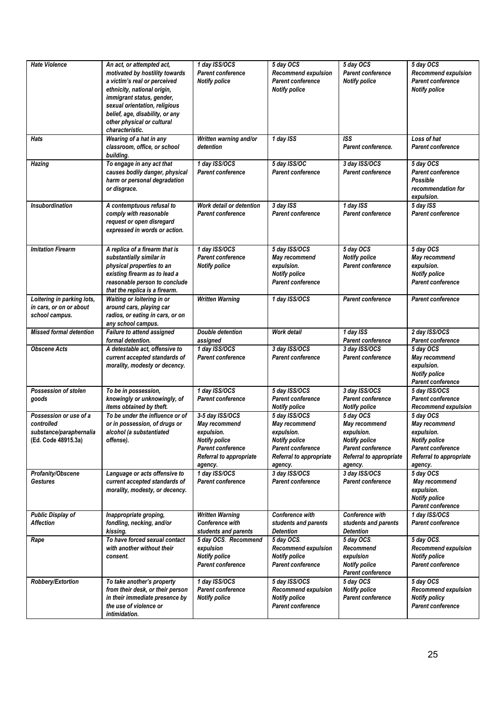| <b>Hate Violence</b>                                                                   | An act, or attempted act,<br>motivated by hostility towards<br>a victim's real or perceived<br>ethnicity, national origin,<br>immigrant status, gender,<br>sexual orientation, religious<br>belief, age, disability, or any<br>other physical or cultural<br>characteristic. | 1 day ISS/OCS<br>Parent conference<br><b>Notify police</b>                                                                        | 5 day OCS<br><b>Recommend expulsion</b><br><b>Parent conference</b><br><b>Notify police</b>                                            | 5 day OCS<br>Parent conference<br><b>Notify police</b>                                                                             | 5 day OCS<br><b>Recommend expulsion</b><br><b>Parent conference</b><br><b>Notify police</b>                                        |
|----------------------------------------------------------------------------------------|------------------------------------------------------------------------------------------------------------------------------------------------------------------------------------------------------------------------------------------------------------------------------|-----------------------------------------------------------------------------------------------------------------------------------|----------------------------------------------------------------------------------------------------------------------------------------|------------------------------------------------------------------------------------------------------------------------------------|------------------------------------------------------------------------------------------------------------------------------------|
| Hats                                                                                   | Wearing of a hat in any<br>classroom, office, or school<br>building.                                                                                                                                                                                                         | Written warning and/or<br>detention                                                                                               | 1 day ISS                                                                                                                              | <b>ISS</b><br>Parent conference.                                                                                                   | Loss of hat<br><b>Parent conference</b>                                                                                            |
| <b>Hazing</b>                                                                          | To engage in any act that<br>causes bodily danger, physical<br>harm or personal degradation<br>or disgrace.                                                                                                                                                                  | 1 day ISS/OCS<br>Parent conference                                                                                                | 5 day ISS/OC<br>Parent conference                                                                                                      | 3 day ISS/OCS<br>Parent conference                                                                                                 | 5 day OCS<br><b>Parent conference</b><br>Possible<br>recommendation for<br>expulsion.                                              |
| <b>Insubordination</b>                                                                 | A contemptuous refusal to<br>comply with reasonable<br>request or open disregard<br>expressed in words or action.                                                                                                                                                            | Work detail or detention<br>Parent conference                                                                                     | 3 day ISS<br><b>Parent conference</b>                                                                                                  | 1 day ISS<br><b>Parent conference</b>                                                                                              | 5 day ISS<br><b>Parent conference</b>                                                                                              |
| <b>Imitation Firearm</b>                                                               | A replica of a firearm that is<br>substantially similar in<br>physical properties to an<br>existing firearm as to lead a<br>reasonable person to conclude<br>that the replica is a firearm.                                                                                  | 1 day ISS/OCS<br>Parent conference<br><b>Notify police</b>                                                                        | 5 day ISS/OCS<br>May recommend<br>expulsion.<br><b>Notify police</b><br><b>Parent conference</b>                                       | 5 day OCS<br><b>Notify police</b><br><b>Parent conference</b>                                                                      | 5 day OCS<br>May recommend<br>expulsion.<br><b>Notify police</b><br><b>Parent conference</b>                                       |
| Loitering in parking lots,<br>in cars, or on or about<br>school campus.                | Waiting or loitering in or<br>around cars, playing car<br>radios, or eating in cars, or on<br>any school campus.                                                                                                                                                             | <b>Written Warning</b>                                                                                                            | 1 day ISS/OCS                                                                                                                          | <b>Parent conference</b>                                                                                                           | <b>Parent conference</b>                                                                                                           |
| Missed formal detention                                                                | <b>Failure to attend assigned</b><br>formal detention.                                                                                                                                                                                                                       | <b>Double detention</b><br>assigned                                                                                               | Work detail                                                                                                                            | 1 day ISS<br>Parent conference                                                                                                     | 2 day ISS/OCS<br>Parent conference                                                                                                 |
| <b>Obscene Acts</b>                                                                    | A detestable act, offensive to<br>current accepted standards of<br>morality, modesty or decency.                                                                                                                                                                             | 1 day ISS/OCS<br><b>Parent conference</b>                                                                                         | 3 day ISS/OCS<br><b>Parent conference</b>                                                                                              | 3 day ISS/OCS<br><b>Parent conference</b>                                                                                          | 5 day OCS<br>May recommend<br>expulsion.<br><b>Notify police</b><br><b>Parent conference</b>                                       |
| Possession of stolen<br>goods                                                          | To be in possession,<br>knowingly or unknowingly, of<br>items obtained by theft.                                                                                                                                                                                             | 1 day ISS/OCS<br><b>Parent conference</b>                                                                                         | 5 day ISS/OCS<br><b>Parent conference</b><br><b>Notify police</b>                                                                      | 3 day ISS/OCS<br>Parent conference<br><b>Notify police</b>                                                                         | 5 day ISS/OCS<br><b>Parent conference</b><br><b>Recommend expulsion</b>                                                            |
| Possession or use of a<br>controlled<br>substance/paraphernalia<br>(Ed. Code 48915.3a) | To be under the influence or of<br>or in possession, of drugs or<br>alcohol (a substantiated<br>offense).                                                                                                                                                                    | 3-5 day ISS/OCS<br>May recommend<br>expulsion.<br><b>Notify police</b><br>Parent conference<br>Referral to appropriate<br>agency. | 5 day ISS/OCS<br>May recommend<br>expulsion.<br><b>Notify police</b><br><b>Parent conference</b><br>Referral to appropriate<br>agency. | 5 day OCS<br>May recommend<br>expulsion.<br><b>Notify police</b><br><b>Parent conference</b><br>Referral to appropriate<br>agency. | 5 day OCS<br>May recommend<br>expulsion.<br><b>Notify police</b><br><b>Parent conference</b><br>Referral to appropriate<br>agency. |
| Profanity/Obscene<br>Gestures                                                          | Language or acts offensive to<br>current accepted standards of<br>morality, modesty, or decency.                                                                                                                                                                             | 1 day ISS/OCS<br>Parent conference                                                                                                | 3 day ISS/OCS<br><b>Parent conference</b>                                                                                              | 3 day ISS/OCS<br><b>Parent conference</b>                                                                                          | 5 day OCS<br>May recommend<br>expulsion.<br><b>Notify police</b><br><b>Parent conference</b>                                       |
| <b>Public Display of</b><br><b>Affection</b>                                           | Inappropriate groping,<br>fondling, necking, and/or<br>kissing.                                                                                                                                                                                                              | <b>Written Warning</b><br>Conference with<br>students and parents                                                                 | Conference with<br>students and parents<br>Detention                                                                                   | <b>Conference with</b><br>students and parents<br><b>Detention</b>                                                                 | 1 day ISS/OCS<br><b>Parent conference</b>                                                                                          |
| Rape                                                                                   | To have forced sexual contact<br>with another without their<br>consent.                                                                                                                                                                                                      | 5 day OCS. Recommend<br>expulsion<br><b>Notify police</b><br><b>Parent conference</b>                                             | 5 day OCS.<br><b>Recommend expulsion</b><br><b>Notify police</b><br>Parent conference                                                  | 5 day OCS.<br>Recommend<br>expulsion<br><b>Notify police</b><br><b>Parent conference</b>                                           | 5 day OCS.<br><b>Recommend expulsion</b><br><b>Notify police</b><br><b>Parent conference</b>                                       |
| Robbery/Extortion                                                                      | To take another's property<br>from their desk, or their person<br>in their immediate presence by<br>the use of violence or<br>intimidation.                                                                                                                                  | 1 day ISS/OCS<br>Parent conference<br><b>Notify police</b>                                                                        | 5 day ISS/OCS<br><b>Recommend expulsion</b><br><b>Notify police</b><br><b>Parent conference</b>                                        | 5 day OCS<br><b>Notify police</b><br>Parent conference                                                                             | 5 day OCS<br><b>Recommend expulsion</b><br><b>Notify policy</b><br><b>Parent conference</b>                                        |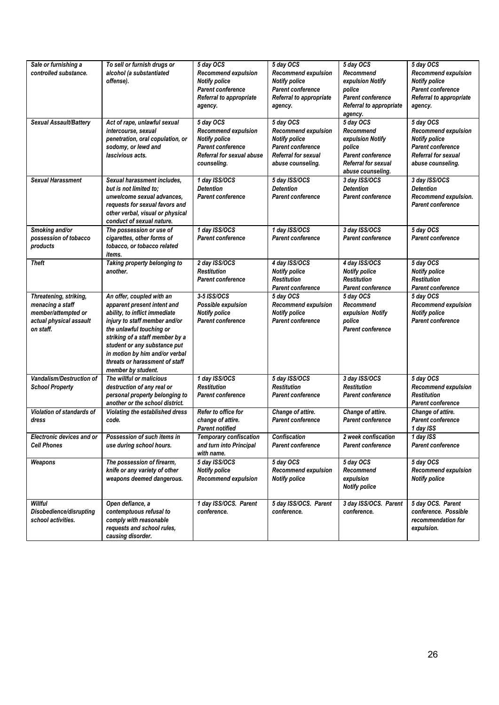| Sale or furnishing a<br>controlled substance.                                                             | To sell or furnish drugs or<br>alcohol (a substantiated<br>offense).                                                                                                                                                                                                                                                | 5 day OCS<br><b>Recommend expulsion</b><br><b>Notify police</b><br>Parent conference<br>Referral to appropriate<br>agency. | 5 day OCS<br><b>Recommend expulsion</b><br><b>Notify police</b><br><b>Parent conference</b><br>Referral to appropriate<br>agency. | 5 day OCS<br>Recommend<br>expulsion Notify<br>police<br><b>Parent conference</b><br>Referral to appropriate<br>agency.       | 5 day OCS<br><b>Recommend expulsion</b><br><b>Notify police</b><br><b>Parent conference</b><br>Referral to appropriate<br>agency.       |
|-----------------------------------------------------------------------------------------------------------|---------------------------------------------------------------------------------------------------------------------------------------------------------------------------------------------------------------------------------------------------------------------------------------------------------------------|----------------------------------------------------------------------------------------------------------------------------|-----------------------------------------------------------------------------------------------------------------------------------|------------------------------------------------------------------------------------------------------------------------------|-----------------------------------------------------------------------------------------------------------------------------------------|
| <b>Sexual Assault/Battery</b>                                                                             | Act of rape, unlawful sexual<br>intercourse, sexual<br>penetration, oral copulation, or<br>sodomy, or lewd and<br>lascivious acts.                                                                                                                                                                                  | 5 day OCS<br>Recommend expulsion<br><b>Notify police</b><br>Parent conference<br>Referral for sexual abuse<br>counseling.  | 5 day OCS<br><b>Recommend expulsion</b><br><b>Notify police</b><br>Parent conference<br>Referral for sexual<br>abuse counseling.  | 5 day OCS<br>Recommend<br>expulsion Notify<br>police<br><b>Parent conference</b><br>Referral for sexual<br>abuse counseling. | 5 day OCS<br><b>Recommend expulsion</b><br><b>Notify police</b><br>Parent conference<br><b>Referral for sexual</b><br>abuse counseling. |
| <b>Sexual Harassment</b>                                                                                  | Sexual harassment includes,<br>but is not limited to;<br>unwelcome sexual advances,<br>requests for sexual favors and<br>other verbal, visual or physical<br>conduct of sexual nature.                                                                                                                              | 1 day ISS/OCS<br><b>Detention</b><br><b>Parent conference</b>                                                              | 5 day ISS/OCS<br><b>Detention</b><br><b>Parent conference</b>                                                                     | 3 day ISS/OCS<br><b>Detention</b><br><b>Parent conference</b>                                                                | 3 day ISS/OCS<br><b>Detention</b><br>Recommend expulsion.<br><b>Parent conference</b>                                                   |
| Smoking and/or<br>possession of tobacco<br>products                                                       | The possession or use of<br>cigarettes, other forms of<br>tobacco, or tobacco related<br>items.                                                                                                                                                                                                                     | 1 day ISS/OCS<br>Parent conference                                                                                         | 1 day ISS/OCS<br><b>Parent conference</b>                                                                                         | 3 day ISS/OCS<br><b>Parent conference</b>                                                                                    | 5 day OCS<br><b>Parent conference</b>                                                                                                   |
| <b>Theft</b>                                                                                              | Taking property belonging to<br>another.                                                                                                                                                                                                                                                                            | 2 day ISS/OCS<br><b>Restitution</b><br><b>Parent conference</b>                                                            | 4 day ISS/OCS<br><b>Notify police</b><br><b>Restitution</b><br><b>Parent conference</b>                                           | 4 day ISS/OCS<br><b>Notify police</b><br><b>Restitution</b><br><b>Parent conference</b>                                      | 5 day OCS<br><b>Notify police</b><br><b>Restitution</b><br><b>Parent conference</b>                                                     |
| Threatening, striking,<br>menacing a staff<br>member/attempted or<br>actual physical assault<br>on staff. | An offer, coupled with an<br>apparent present intent and<br>ability, to inflict immediate<br>injury to staff member and/or<br>the unlawful touching or<br>striking of a staff member by a<br>student or any substance put<br>in motion by him and/or verbal<br>threats or harassment of staff<br>member by student. | 3-5 ISS/OCS<br>Possible expulsion<br><b>Notify police</b><br>Parent conference                                             | 5 day OCS<br><b>Recommend expulsion</b><br><b>Notify police</b><br><b>Parent conference</b>                                       | 5 day OCS<br>Recommend<br>expulsion Notify<br>police<br><b>Parent conference</b>                                             | 5 day OCS<br><b>Recommend expulsion</b><br><b>Notify police</b><br><b>Parent conference</b>                                             |
| <b>Vandalism/Destruction of</b><br><b>School Property</b>                                                 | The willful or malicious<br>destruction of any real or<br>personal property belonging to<br>another or the school district.                                                                                                                                                                                         | 1 day ISS/OCS<br><b>Restitution</b><br>Parent conference                                                                   | 5 day ISS/OCS<br><b>Restitution</b><br><b>Parent conference</b>                                                                   | 3 day ISS/OCS<br><b>Restitution</b><br><b>Parent conference</b>                                                              | 5 day OCS<br><b>Recommend expulsion</b><br><b>Restitution</b><br>Parent conference                                                      |
| Violation of standards of<br>dress                                                                        | Violating the established dress<br>code.                                                                                                                                                                                                                                                                            | Refer to office for<br>change of attire.<br><b>Parent notified</b>                                                         | Change of attire.<br><b>Parent conference</b>                                                                                     | Change of attire.<br><b>Parent conference</b>                                                                                | Change of attire.<br><b>Parent conference</b><br>1 day ISS                                                                              |
| Electronic devices and or<br>Cell Phones                                                                  | Possession of such items in<br>use during school hours.                                                                                                                                                                                                                                                             | <b>Temporary confiscation</b><br>and turn into Principal<br>with name.                                                     | <b>Confiscation</b><br><b>Parent conference</b>                                                                                   | 2 week confiscation<br><b>Parent conference</b>                                                                              | 1 day ISS<br><b>Parent conference</b>                                                                                                   |
| Weapons                                                                                                   | The possession of firearm,<br>knife or any variety of other<br>weapons deemed dangerous.                                                                                                                                                                                                                            | 5 day ISS/OCS<br><b>Notify police</b><br>Recommend expulsion                                                               | 5 day OCS<br><b>Recommend expulsion</b><br><b>Notify police</b>                                                                   | 5 day OCS<br>Recommend<br>expulsion<br><b>Notify police</b>                                                                  | 5 day OCS<br><b>Recommend expulsion</b><br><b>Notify police</b>                                                                         |
| Willful<br>Disobedience/disrupting<br>school activities.                                                  | Open defiance, a<br>contemptuous refusal to<br>comply with reasonable<br>requests and school rules,<br>causing disorder.                                                                                                                                                                                            | 1 day ISS/OCS. Parent<br>conference.                                                                                       | 5 day ISS/OCS. Parent<br>conference.                                                                                              | 3 day ISS/OCS. Parent<br>conference.                                                                                         | 5 day OCS. Parent<br>conference. Possible<br>recommendation for<br>expulsion.                                                           |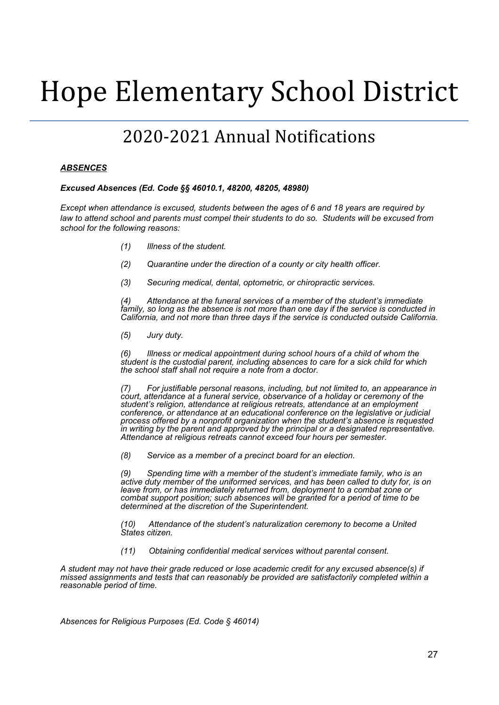# Hope Elementary School District

## 2020-2021 Annual Notifications

#### *ABSENCES*

#### *Excused Absences (Ed. Code §§ 46010.1, 48200, 48205, 48980)*

*Except when attendance is excused, students between the ages of 6 and 18 years are required by* law to attend school and parents must compel their students to do so. Students will be excused from *school for the following reasons:*

- *(1) Illness of the student.*
- *(2) Quarantine under the direction of a county or city health officer.*
- *(3) Securing medical, dental, optometric, or chiropractic services.*

*(4) Attendance at the funeral services of a member of the student's immediate family, so long as the absence is not more than one day if the service is conducted in California, and not more than three days if the service is conducted outside California.*

*(5) Jury duty.*

*(6) Illness or medical appointment during school hours of a child of whom the student is the custodial parent, including absences to care for a sick child for which the school staff shall not require a note from a doctor.*

*(7) For justifiable personal reasons, including, but not limited to, an appearance in court, attendance at a funeral service, observance of a holiday or ceremony of the student's religion, attendance at religious retreats, attendance at an employment conference, or attendance at an educational conference on the legislative or judicial process offered by a nonprofit organization when the student's absence is requested in writing by the parent and approved by the principal or a designated representative. Attendance at religious retreats cannot exceed four hours per semester.*

*(8) Service as a member of a precinct board for an election.*

*(9) Spending time with a member of the student's immediate family, who is an active duty member of the uniformed services, and has been called to duty for, is on leave from, or has immediately returned from, deployment to a combat zone or combat support position; such absences will be granted for a period of time to be determined at the discretion of the Superintendent.*

*(10) Attendance of the student's naturalization ceremony to become a United States citizen.*

*(11) Obtaining confidential medical services without parental consent.*

*A student may not have their grade reduced or lose academic credit for any excused absence(s) if missed assignments and tests that can reasonably be provided are satisfactorily completed within a reasonable period of time.*

*Absences for Religious Purposes (Ed. Code § 46014)*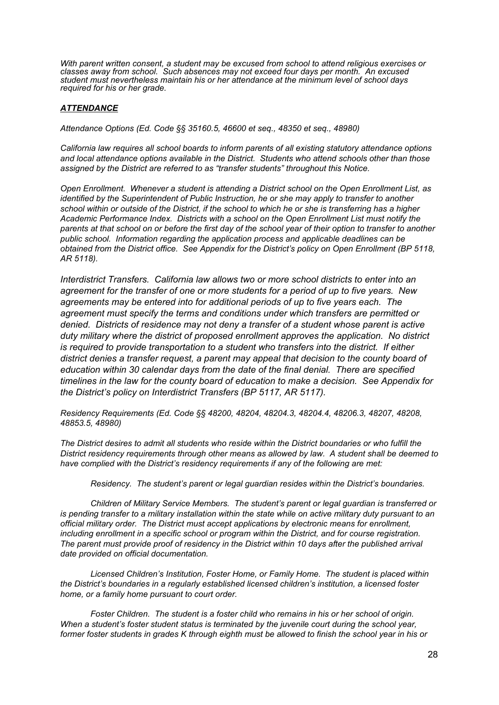*With parent written consent, a student may be excused from school to attend religious exercises or classes away from school. Such absences may not exceed four days per month. An excused student must nevertheless maintain his or her attendance at the minimum level of school days required for his or her grade.*

#### *ATTENDANCE*

*Attendance Options (Ed. Code §§ 35160.5, 46600 et seq., 48350 et seq., 48980)*

*California law requires all school boards to inform parents of all existing statutory attendance options and local attendance options available in the District. Students who attend schools other than those assigned by the District are referred to as "transfer students" throughout this Notice.*

*Open Enrollment. Whenever a student is attending a District school on the Open Enrollment List, as identified by the Superintendent of Public Instruction, he or she may apply to transfer to another* school within or outside of the District, if the school to which he or she is transferring has a higher *Academic Performance Index. Districts with a school on the Open Enrollment List must notify the* parents at that school on or before the first day of the school year of their option to transfer to another *public school. Information regarding the application process and applicable deadlines can be obtained from the District office. See Appendix for the District's policy on Open Enrollment (BP 5118, AR 5118).*

*Interdistrict Transfers. California law allows two or more school districts to enter into an agreement for the transfer of one or more students for a period of up to five years. New agreements may be entered into for additional periods of up to five years each. The agreement must specify the terms and conditions under which transfers are permitted or denied. Districts of residence may not deny a transfer of a student whose parent is active duty military where the district of proposed enrollment approves the application. No district is required to provide transportation to a student who transfers into the district. If either district denies a transfer request, a parent may appeal that decision to the county board of education within 30 calendar days from the date of the final denial. There are specified timelines in the law for the county board of education to make a decision. See Appendix for the District's policy on Interdistrict Transfers (BP 5117, AR 5117).*

*Residency Requirements (Ed. Code §§ 48200, 48204, 48204.3, 48204.4, 48206.3, 48207, 48208, 48853.5, 48980)*

*The District desires to admit all students who reside within the District boundaries or who fulfill the District residency requirements through other means as allowed by law. A student shall be deemed to have complied with the District's residency requirements if any of the following are met:*

*Residency. The student's parent or legal guardian resides within the District's boundaries.*

*Children of Military Service Members. The student's parent or legal guardian is transferred or* is pending transfer to a military installation within the state while on active military duty pursuant to an *official military order. The District must accept applications by electronic means for enrollment, including enrollment in a specific school or program within the District, and for course registration. The parent must provide proof of residency in the District within 10 days after the published arrival date provided on official documentation.*

*Licensed Children's Institution, Foster Home, or Family Home. The student is placed within the District's boundaries in a regularly established licensed children's institution, a licensed foster home, or a family home pursuant to court order.*

*Foster Children. The student is a foster child who remains in his or her school of origin. When a student's foster student status is terminated by the juvenile court during the school year,* former foster students in grades K through eighth must be allowed to finish the school year in his or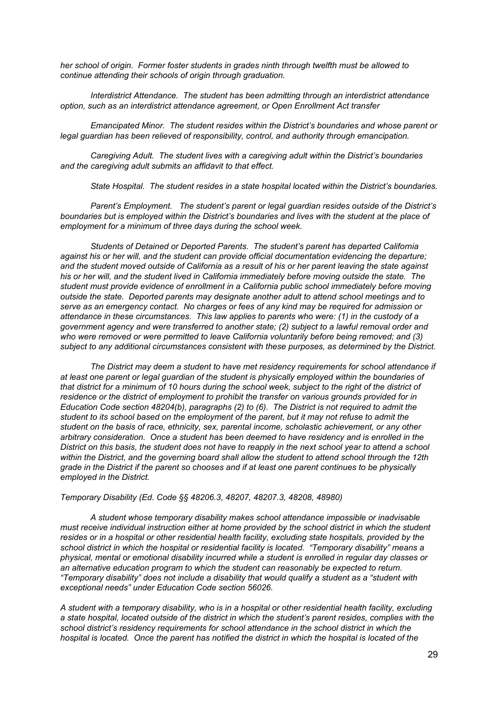*her school of origin. Former foster students in grades ninth through twelfth must be allowed to continue attending their schools of origin through graduation.*

*Interdistrict Attendance. The student has been admitting through an interdistrict attendance option, such as an interdistrict attendance agreement, or Open Enrollment Act transfer*

*Emancipated Minor. The student resides within the District's boundaries and whose parent or legal guardian has been relieved of responsibility, control, and authority through emancipation.*

*Caregiving Adult. The student lives with a caregiving adult within the District's boundaries and the caregiving adult submits an affidavit to that effect.*

*State Hospital. The student resides in a state hospital located within the District's boundaries.*

*Parent's Employment. The student's parent or legal guardian resides outside of the District's boundaries but is employed within the District's boundaries and lives with the student at the place of employment for a minimum of three days during the school week.*

*Students of Detained or Deported Parents. The student's parent has departed California against his or her will, and the student can provide official documentation evidencing the departure;* and the student moved outside of California as a result of his or her parent leaving the state against *his or her will, and the student lived in California immediately before moving outside the state. The student must provide evidence of enrollment in a California public school immediately before moving outside the state. Deported parents may designate another adult to attend school meetings and to serve as an emergency contact. No charges or fees of any kind may be required for admission or attendance in these circumstances. This law applies to parents who were: (1) in the custody of a government agency and were transferred to another state; (2) subject to a lawful removal order and who were removed or were permitted to leave California voluntarily before being removed; and (3) subject to any additional circumstances consistent with these purposes, as determined by the District.*

*The District may deem a student to have met residency requirements for school attendance if at least one parent or legal guardian of the student is physically employed within the boundaries of* that district for a minimum of 10 hours during the school week, subject to the right of the district of *residence or the district of employment to prohibit the transfer on various grounds provided for in Education Code section 48204(b), paragraphs (2) to (6). The District is not required to admit the* student to its school based on the employment of the parent, but it may not refuse to admit the *student on the basis of race, ethnicity, sex, parental income, scholastic achievement, or any other arbitrary consideration. Once a student has been deemed to have residency and is enrolled in the* District on this basis, the student does not have to reapply in the next school year to attend a school *within the District, and the governing board shall allow the student to attend school through the 12th* grade in the District if the parent so chooses and if at least one parent continues to be physically *employed in the District.*

*Temporary Disability (Ed. Code §§ 48206.3, 48207, 48207.3, 48208, 48980)*

*A student whose temporary disability makes school attendance impossible or inadvisable must receive individual instruction either at home provided by the school district in which the student resides or in a hospital or other residential health facility, excluding state hospitals, provided by the school district in which the hospital or residential facility is located. "Temporary disability" means a physical, mental or emotional disability incurred while a student is enrolled in regular day classes or an alternative education program to which the student can reasonably be expected to return. "Temporary disability" does not include a disability that would qualify a student as a "student with exceptional needs" under Education Code section 56026.*

A student with a temporary disability, who is in a hospital or other residential health facility, excluding a state hospital, located outside of the district in which the student's parent resides, complies with the *school district's residency requirements for school attendance in the school district in which the* hospital is located. Once the parent has notified the district in which the hospital is located of the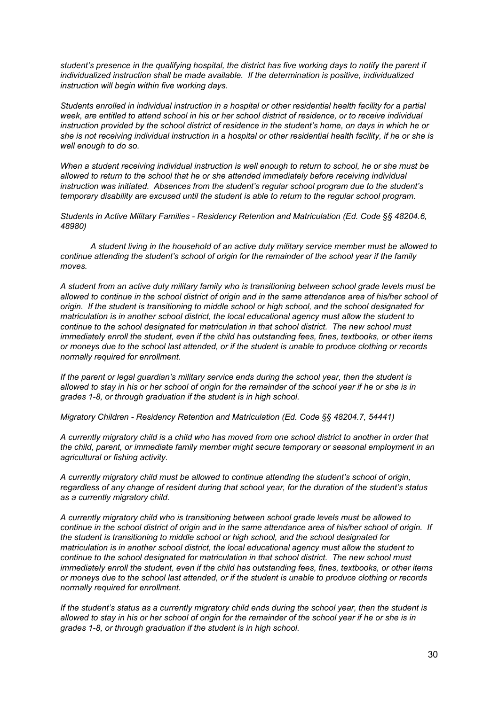*student's presence in the qualifying hospital, the district has five working days to notify the parent if individualized instruction shall be made available. If the determination is positive, individualized instruction will begin within five working days.*

*Students enrolled in individual instruction in a hospital or other residential health facility for a partial* week, are entitled to attend school in his or her school district of residence, or to receive individual instruction provided by the school district of residence in the student's home, on days in which he or she is not receiving individual instruction in a hospital or other residential health facility, if he or she is *well enough to do so.*

When a student receiving individual instruction is well enough to return to school, he or she must be *allowed to return to the school that he or she attended immediately before receiving individual instruction was initiated. Absences from the student's regular school program due to the student's temporary disability are excused until the student is able to return to the regular school program.*

*Students in Active Military Families - Residency Retention and Matriculation (Ed. Code §§ 48204.6, 48980)*

*A student living in the household of an active duty military service member must be allowed to continue attending the student's school of origin for the remainder of the school year if the family moves.*

*A student from an active duty military family who is transitioning between school grade levels must be* allowed to continue in the school district of origin and in the same attendance area of his/her school of *origin. If the student is transitioning to middle school or high school, and the school designated for matriculation is in another school district, the local educational agency must allow the student to continue to the school designated for matriculation in that school district. The new school must immediately enroll the student, even if the child has outstanding fees, fines, textbooks, or other items* or moneys due to the school last attended, or if the student is unable to produce clothing or records *normally required for enrollment.*

*If the parent or legal guardian's military service ends during the school year, then the student is* allowed to stay in his or her school of origin for the remainder of the school year if he or she is in *grades 1-8, or through graduation if the student is in high school.*

*Migratory Children - Residency Retention and Matriculation (Ed. Code §§ 48204.7, 54441)*

A currently migratory child is a child who has moved from one school district to another in order that *the child, parent, or immediate family member might secure temporary or seasonal employment in an agricultural or fishing activity.*

*A currently migratory child must be allowed to continue attending the student's school of origin, regardless of any change of resident during that school year, for the duration of the student's status as a currently migratory child.*

*A currently migratory child who is transitioning between school grade levels must be allowed to* continue in the school district of origin and in the same attendance area of his/her school of origin. If *the student is transitioning to middle school or high school, and the school designated for matriculation is in another school district, the local educational agency must allow the student to continue to the school designated for matriculation in that school district. The new school must immediately enroll the student, even if the child has outstanding fees, fines, textbooks, or other items* or moneys due to the school last attended, or if the student is unable to produce clothing or records *normally required for enrollment.*

If the student's status as a currently migratory child ends during the school year, then the student is allowed to stay in his or her school of origin for the remainder of the school year if he or she is in *grades 1-8, or through graduation if the student is in high school.*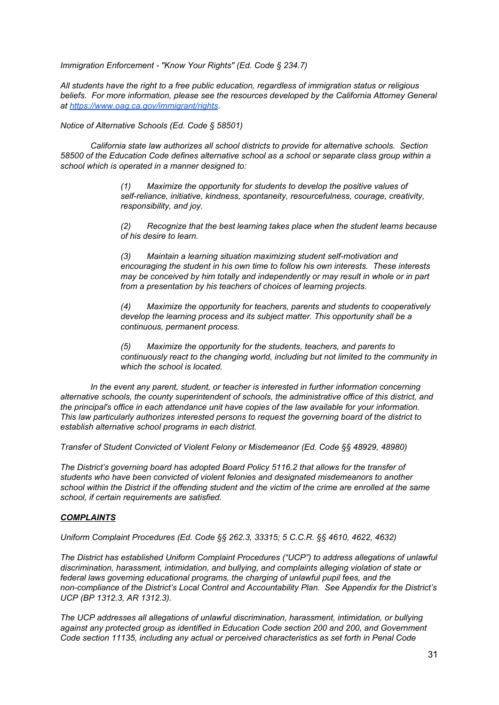*Immigration Enforcement - "Know Your Rights" (Ed. Code § 234.7)*

*All students have the right to a free public education, regardless of immigration status or religious beliefs. For more information, please see the resources developed by the California Attorney General a[t](https://www.oag.ca.gov/immigrant/rights) <https://www.oag.ca.gov/immigrant/rights>.*

*Notice of Alternative Schools (Ed. Code § 58501)*

*California state law authorizes all school districts to provide for alternative schools. Section 58500 of the Education Code defines alternative school as a school or separate class group within a school which is operated in a manner designed to:*

> *(1) Maximize the opportunity for students to develop the positive values of self-reliance, initiative, kindness, spontaneity, resourcefulness, courage, creativity, responsibility, and joy.*

*(2) Recognize that the best learning takes place when the student learns because of his desire to learn.*

*(3) Maintain a learning situation maximizing student self-motivation and encouraging the student in his own time to follow his own interests. These interests may be conceived by him totally and independently or may result in whole or in part from a presentation by his teachers of choices of learning projects.*

*(4) Maximize the opportunity for teachers, parents and students to cooperatively develop the learning process and its subject matter. This opportunity shall be a continuous, permanent process.*

*(5) Maximize the opportunity for the students, teachers, and parents to continuously react to the changing world, including but not limited to the community in which the school is located.*

*In the event any parent, student, or teacher is interested in further information concerning alternative schools, the county superintendent of schools, the administrative office of this district, and the principal's office in each attendance unit have copies of the law available for your information. This law particularly authorizes interested persons to request the governing board of the district to establish alternative school programs in each district.*

*Transfer of Student Convicted of Violent Felony or Misdemeanor (Ed. Code §§ 48929, 48980)*

*The District's governing board has adopted Board Policy 5116.2 that allows for the transfer of students who have been convicted of violent felonies and designated misdemeanors to another* school within the District if the offending student and the victim of the crime are enrolled at the same *school, if certain requirements are satisfied.*

#### *COMPLAINTS*

*Uniform Complaint Procedures (Ed. Code §§ 262.3, 33315; 5 C.C.R. §§ 4610, 4622, 4632)*

*The District has established Uniform Complaint Procedures ("UCP") to address allegations of unlawful discrimination, harassment, intimidation, and bullying, and complaints alleging violation of state or federal laws governing educational programs, the charging of unlawful pupil fees, and the non-compliance of the District's Local Control and Accountability Plan. See Appendix for the District's UCP (BP 1312.3, AR 1312.3).*

*The UCP addresses all allegations of unlawful discrimination, harassment, intimidation, or bullying against any protected group as identified in Education Code section 200 and 200, and Government Code section 11135, including any actual or perceived characteristics as set forth in Penal Code*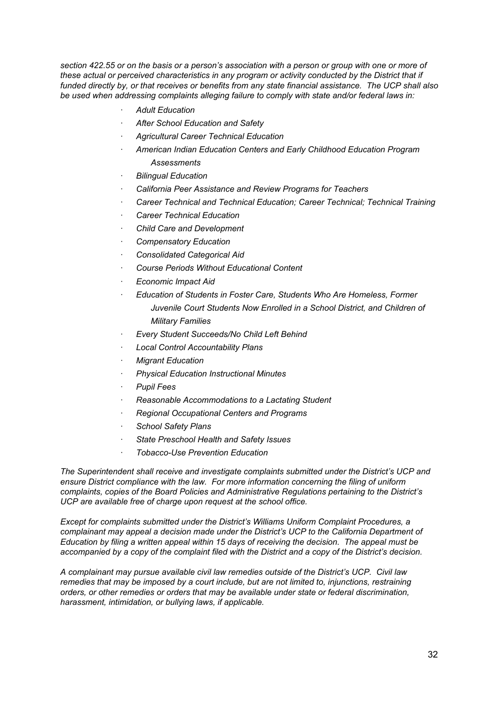section 422.55 or on the basis or a person's association with a person or group with one or more of *these actual or perceived characteristics in any program or activity conducted by the District that if funded directly by, or that receives or benefits from any state financial assistance. The UCP shall also be used when addressing complaints alleging failure to comply with state and/or federal laws in:*

- *· Adult Education*
- *· After School Education and Safety*
- *· Agricultural Career Technical Education*
- *· American Indian Education Centers and Early Childhood Education Program Assessments*
- *· Bilingual Education*
- *· California Peer Assistance and Review Programs for Teachers*
- *· Career Technical and Technical Education; Career Technical; Technical Training*
- *· Career Technical Education*
- *· Child Care and Development*
- *· Compensatory Education*
- *· Consolidated Categorical Aid*
- *· Course Periods Without Educational Content*
- *· Economic Impact Aid*
- *· Education of Students in Foster Care, Students Who Are Homeless, Former Juvenile Court Students Now Enrolled in a School District, and Children of Military Families*
- *· Every Student Succeeds/No Child Left Behind*
- *· Local Control Accountability Plans*
- *· Migrant Education*
- *· Physical Education Instructional Minutes*
- *· Pupil Fees*
- *· Reasonable Accommodations to a Lactating Student*
- *· Regional Occupational Centers and Programs*
- *· School Safety Plans*
- *· State Preschool Health and Safety Issues*
- *· Tobacco-Use Prevention Education*

*The Superintendent shall receive and investigate complaints submitted under the District's UCP and ensure District compliance with the law. For more information concerning the filing of uniform complaints, copies of the Board Policies and Administrative Regulations pertaining to the District's UCP are available free of charge upon request at the school office.*

*Except for complaints submitted under the District's Williams Uniform Complaint Procedures, a complainant may appeal a decision made under the District's UCP to the California Department of Education by filing a written appeal within 15 days of receiving the decision. The appeal must be* accompanied by a copy of the complaint filed with the District and a copy of the District's decision.

*A complainant may pursue available civil law remedies outside of the District's UCP. Civil law remedies that may be imposed by a court include, but are not limited to, injunctions, restraining orders, or other remedies or orders that may be available under state or federal discrimination, harassment, intimidation, or bullying laws, if applicable.*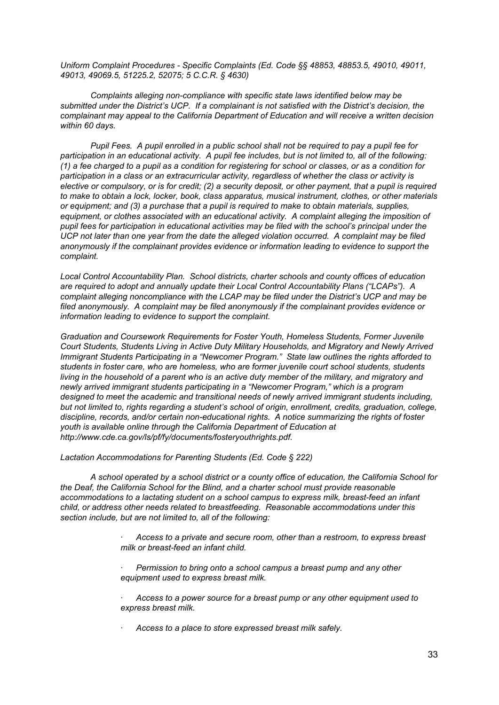*Uniform Complaint Procedures - Specific Complaints (Ed. Code §§ 48853, 48853.5, 49010, 49011, 49013, 49069.5, 51225.2, 52075; 5 C.C.R. § 4630)*

*Complaints alleging non-compliance with specific state laws identified below may be submitted under the District's UCP. If a complainant is not satisfied with the District's decision, the complainant may appeal to the California Department of Education and will receive a written decision within 60 days.*

Pupil Fees. A pupil enrolled in a public school shall not be required to pay a pupil fee for participation in an educational activity. A pupil fee includes, but is not limited to, all of the following: (1) a fee charged to a pupil as a condition for registering for school or classes, or as a condition for *participation in a class or an extracurricular activity, regardless of whether the class or activity is* elective or compulsory, or is for credit; (2) a security deposit, or other payment, that a pupil is required *to make to obtain a lock, locker, book, class apparatus, musical instrument, clothes, or other materials or equipment; and (3) a purchase that a pupil is required to make to obtain materials, supplies, equipment, or clothes associated with an educational activity. A complaint alleging the imposition of pupil fees for participation in educational activities may be filed with the school's principal under the UCP not later than one year from the date the alleged violation occurred. A complaint may be filed anonymously if the complainant provides evidence or information leading to evidence to support the complaint.*

*Local Control Accountability Plan. School districts, charter schools and county offices of education are required to adopt and annually update their Local Control Accountability Plans ("LCAPs"). A complaint alleging noncompliance with the LCAP may be filed under the District's UCP and may be filed anonymously. A complaint may be filed anonymously if the complainant provides evidence or information leading to evidence to support the complaint.*

*Graduation and Coursework Requirements for Foster Youth, Homeless Students, Former Juvenile Court Students, Students Living in Active Duty Military Households, and Migratory and Newly Arrived Immigrant Students Participating in a "Newcomer Program." State law outlines the rights afforded to students in foster care, who are homeless, who are former juvenile court school students, students* living in the household of a parent who is an active duty member of the military, and migratory and *newly arrived immigrant students participating in a "Newcomer Program," which is a program designed to meet the academic and transitional needs of newly arrived immigrant students including, but not limited to, rights regarding a student's school of origin, enrollment, credits, graduation, college, discipline, records, and/or certain non-educational rights. A notice summarizing the rights of foster youth is available online through the California Department of Education at http://www.cde.ca.gov/ls/pf/fy/documents/fosteryouthrights.pdf.*

*Lactation Accommodations for Parenting Students (Ed. Code § 222)*

*A school operated by a school district or a county office of education, the California School for the Deaf, the California School for the Blind, and a charter school must provide reasonable accommodations to a lactating student on a school campus to express milk, breast-feed an infant child, or address other needs related to breastfeeding. Reasonable accommodations under this section include, but are not limited to, all of the following:*

> *· Access to a private and secure room, other than a restroom, to express breast milk or breast-feed an infant child.*

*· Permission to bring onto a school campus a breast pump and any other equipment used to express breast milk.*

*· Access to a power source for a breast pump or any other equipment used to express breast milk.*

*· Access to a place to store expressed breast milk safely.*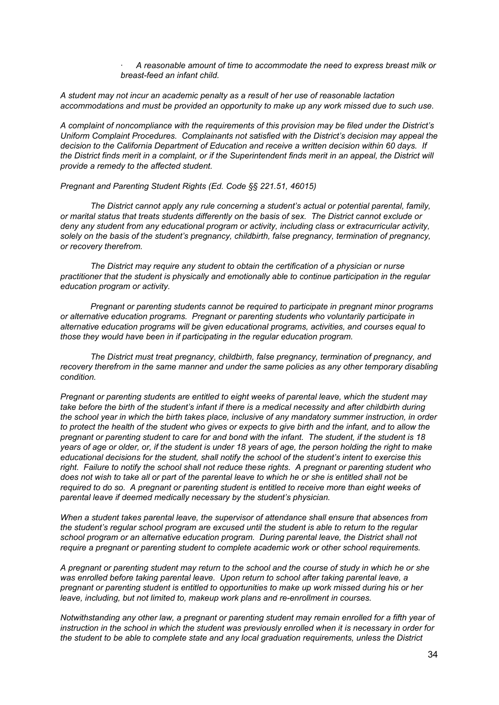*· A reasonable amount of time to accommodate the need to express breast milk or breast-feed an infant child.*

*A student may not incur an academic penalty as a result of her use of reasonable lactation accommodations and must be provided an opportunity to make up any work missed due to such use.*

*A complaint of noncompliance with the requirements of this provision may be filed under the District's Uniform Complaint Procedures. Complainants not satisfied with the District's decision may appeal the decision to the California Department of Education and receive a written decision within 60 days. If* the District finds merit in a complaint, or if the Superintendent finds merit in an appeal, the District will *provide a remedy to the affected student.*

*Pregnant and Parenting Student Rights (Ed. Code §§ 221.51, 46015)*

*The District cannot apply any rule concerning a student's actual or potential parental, family, or marital status that treats students differently on the basis of sex. The District cannot exclude or deny any student from any educational program or activity, including class or extracurricular activity, solely on the basis of the student's pregnancy, childbirth, false pregnancy, termination of pregnancy, or recovery therefrom.*

*The District may require any student to obtain the certification of a physician or nurse practitioner that the student is physically and emotionally able to continue participation in the regular education program or activity.*

*Pregnant or parenting students cannot be required to participate in pregnant minor programs or alternative education programs. Pregnant or parenting students who voluntarily participate in alternative education programs will be given educational programs, activities, and courses equal to those they would have been in if participating in the regular education program.*

*The District must treat pregnancy, childbirth, false pregnancy, termination of pregnancy, and recovery therefrom in the same manner and under the same policies as any other temporary disabling condition.*

*Pregnant or parenting students are entitled to eight weeks of parental leave, which the student may* take before the birth of the student's infant if there is a medical necessity and after childbirth during *the school year in which the birth takes place, inclusive of any mandatory summer instruction, in order* to protect the health of the student who gives or expects to give birth and the infant, and to allow the pregnant or parenting student to care for and bond with the infant. The student, if the student is 18 years of age or older, or, if the student is under 18 years of age, the person holding the right to make *educational decisions for the student, shall notify the school of the student's intent to exercise this right. Failure to notify the school shall not reduce these rights. A pregnant or parenting student who* does not wish to take all or part of the parental leave to which he or she is entitled shall not be *required to do so. A pregnant or parenting student is entitled to receive more than eight weeks of parental leave if deemed medically necessary by the student's physician.*

*When a student takes parental leave, the supervisor of attendance shall ensure that absences from the student's regular school program are excused until the student is able to return to the regular school program or an alternative education program. During parental leave, the District shall not require a pregnant or parenting student to complete academic work or other school requirements.*

A pregnant or parenting student may return to the school and the course of study in which he or she *was enrolled before taking parental leave. Upon return to school after taking parental leave, a pregnant or parenting student is entitled to opportunities to make up work missed during his or her leave, including, but not limited to, makeup work plans and re-enrollment in courses.*

*Notwithstanding any other law, a pregnant or parenting student may remain enrolled for a fifth year of* instruction in the school in which the student was previously enrolled when it is necessary in order for *the student to be able to complete state and any local graduation requirements, unless the District*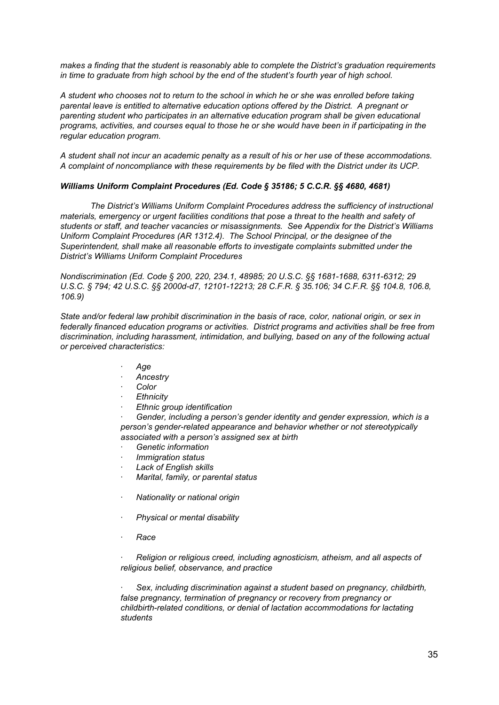*makes a finding that the student is reasonably able to complete the District's graduation requirements in time to graduate from high school by the end of the student's fourth year of high school.*

A student who chooses not to return to the school in which he or she was enrolled before taking *parental leave is entitled to alternative education options offered by the District. A pregnant or parenting student who participates in an alternative education program shall be given educational* programs, activities, and courses equal to those he or she would have been in if participating in the *regular education program.*

A student shall not incur an academic penalty as a result of his or her use of these accommodations. *A complaint of noncompliance with these requirements by be filed with the District under its UCP.*

#### *Williams Uniform Complaint Procedures (Ed. Code § 35186; 5 C.C.R. §§ 4680, 4681)*

*The District's Williams Uniform Complaint Procedures address the sufficiency of instructional materials, emergency or urgent facilities conditions that pose a threat to the health and safety of students or staff, and teacher vacancies or misassignments. See Appendix for the District's Williams Uniform Complaint Procedures (AR 1312.4). The School Principal, or the designee of the Superintendent, shall make all reasonable efforts to investigate complaints submitted under the District's Williams Uniform Complaint Procedures*

*Nondiscrimination (Ed. Code § 200, 220, 234.1, 48985; 20 U.S.C. §§ 1681-1688, 6311-6312; 29 U.S.C. § 794; 42 U.S.C. §§ 2000d-d7, 12101-12213; 28 C.F.R. § 35.106; 34 C.F.R. §§ 104.8, 106.8, 106.9)*

*State and/or federal law prohibit discrimination in the basis of race, color, national origin, or sex in federally financed education programs or activities. District programs and activities shall be free from discrimination, including harassment, intimidation, and bullying, based on any of the following actual or perceived characteristics:*

- *· Age*
- *· Ancestry*
- *· Color*
- *· Ethnicity*
- *· Ethnic group identification*

*· Gender, including a person's gender identity and gender expression, which is a person's gender-related appearance and behavior whether or not stereotypically associated with a person's assigned sex at birth*

- *· Genetic information*
- *· Immigration status*
- *· Lack of English skills*
- *· Marital, family, or parental status*
- *· Nationality or national origin*
- *· Physical or mental disability*
- *· Race*

*· Religion or religious creed, including agnosticism, atheism, and all aspects of religious belief, observance, and practice*

*· Sex, including discrimination against a student based on pregnancy, childbirth, false pregnancy, termination of pregnancy or recovery from pregnancy or childbirth-related conditions, or denial of lactation accommodations for lactating students*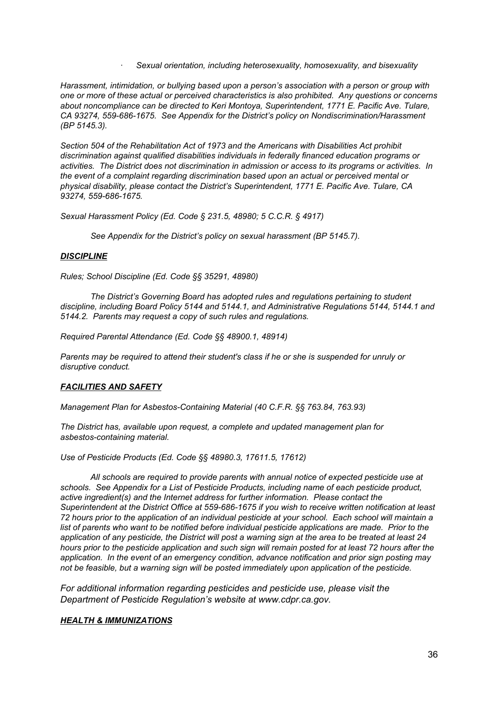*· Sexual orientation, including heterosexuality, homosexuality, and bisexuality*

*Harassment, intimidation, or bullying based upon a person's association with a person or group with one or more of these actual or perceived characteristics is also prohibited. Any questions or concerns about noncompliance can be directed to Keri Montoya, Superintendent, 1771 E. Pacific Ave. Tulare, CA 93274, 559-686-1675. See Appendix for the District's policy on Nondiscrimination/Harassment (BP 5145.3).*

*Section 504 of the Rehabilitation Act of 1973 and the Americans with Disabilities Act prohibit discrimination against qualified disabilities individuals in federally financed education programs or activities. The District does not discrimination in admission or access to its programs or activities. In the event of a complaint regarding discrimination based upon an actual or perceived mental or physical disability, please contact the District's Superintendent, 1771 E. Pacific Ave. Tulare, CA 93274, 559-686-1675.*

*Sexual Harassment Policy (Ed. Code § 231.5, 48980; 5 C.C.R. § 4917)*

*See Appendix for the District's policy on sexual harassment (BP 5145.7).*

# *DISCIPLINE*

*Rules; School Discipline (Ed. Code §§ 35291, 48980)*

*The District's Governing Board has adopted rules and regulations pertaining to student discipline, including Board Policy 5144 and 5144.1, and Administrative Regulations 5144, 5144.1 and 5144.2. Parents may request a copy of such rules and regulations.*

*Required Parental Attendance (Ed. Code §§ 48900.1, 48914)*

*Parents may be required to attend their student's class if he or she is suspended for unruly or disruptive conduct.*

# *FACILITIES AND SAFETY*

*Management Plan for Asbestos-Containing Material (40 C.F.R. §§ 763.84, 763.93)*

*The District has, available upon request, a complete and updated management plan for asbestos-containing material.*

*Use of Pesticide Products (Ed. Code §§ 48980.3, 17611.5, 17612)*

*All schools are required to provide parents with annual notice of expected pesticide use at schools. See Appendix for a List of Pesticide Products, including name of each pesticide product, active ingredient(s) and the Internet address for further information. Please contact the Superintendent at the District Office at 559-686-1675 if you wish to receive written notification at least* 72 hours prior to the application of an individual pesticide at your school. Each school will maintain a *list of parents who want to be notified before individual pesticide applications are made. Prior to the* application of any pesticide, the District will post a warning sign at the area to be treated at least 24 hours prior to the pesticide application and such sign will remain posted for at least 72 hours after the *application. In the event of an emergency condition, advance notification and prior sign posting may not be feasible, but a warning sign will be posted immediately upon application of the pesticide.*

*For additional information regarding pesticides and pesticide use, please visit the Department of Pesticide Regulation's website at www.cdpr.ca.gov.*

# *HEALTH & IMMUNIZATIONS*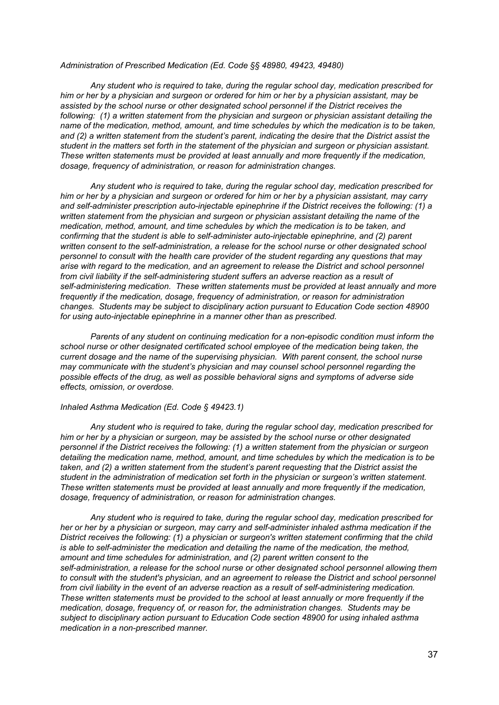#### *Administration of Prescribed Medication (Ed. Code §§ 48980, 49423, 49480)*

*Any student who is required to take, during the regular school day, medication prescribed for* him or her by a physician and surgeon or ordered for him or her by a physician assistant, may be *assisted by the school nurse or other designated school personnel if the District receives the following: (1) a written statement from the physician and surgeon or physician assistant detailing the name of the medication, method, amount, and time schedules by which the medication is to be taken, and (2) a written statement from the student's parent, indicating the desire that the District assist the student in the matters set forth in the statement of the physician and surgeon or physician assistant. These written statements must be provided at least annually and more frequently if the medication, dosage, frequency of administration, or reason for administration changes.*

*Any student who is required to take, during the regular school day, medication prescribed for* him or her by a physician and surgeon or ordered for him or her by a physician assistant, may carry *and self-administer prescription auto-injectable epinephrine if the District receives the following: (1) a written statement from the physician and surgeon or physician assistant detailing the name of the medication, method, amount, and time schedules by which the medication is to be taken, and confirming that the student is able to self-administer auto-injectable epinephrine, and (2) parent written consent to the self-administration, a release for the school nurse or other designated school personnel to consult with the health care provider of the student regarding any questions that may arise with regard to the medication, and an agreement to release the District and school personnel from civil liability if the self-administering student suffers an adverse reaction as a result of self-administering medication. These written statements must be provided at least annually and more frequently if the medication, dosage, frequency of administration, or reason for administration changes. Students may be subject to disciplinary action pursuant to Education Code section 48900 for using auto-injectable epinephrine in a manner other than as prescribed.*

*Parents of any student on continuing medication for a non-episodic condition must inform the school nurse or other designated certificated school employee of the medication being taken, the current dosage and the name of the supervising physician. With parent consent, the school nurse may communicate with the student's physician and may counsel school personnel regarding the possible effects of the drug, as well as possible behavioral signs and symptoms of adverse side effects, omission, or overdose.*

#### *Inhaled Asthma Medication (Ed. Code § 49423.1)*

*Any student who is required to take, during the regular school day, medication prescribed for him or her by a physician or surgeon, may be assisted by the school nurse or other designated personnel if the District receives the following: (1) a written statement from the physician or surgeon detailing the medication name, method, amount, and time schedules by which the medication is to be taken, and (2) a written statement from the student's parent requesting that the District assist the student in the administration of medication set forth in the physician or surgeon's written statement. These written statements must be provided at least annually and more frequently if the medication, dosage, frequency of administration, or reason for administration changes.*

*Any student who is required to take, during the regular school day, medication prescribed for her or her by a physician or surgeon, may carry and self-administer inhaled asthma medication if the District receives the following: (1) a physician or surgeon's written statement confirming that the child is able to self-administer the medication and detailing the name of the medication, the method, amount and time schedules for administration, and (2) parent written consent to the self-administration, a release for the school nurse or other designated school personnel allowing them to consult with the student's physician, and an agreement to release the District and school personnel from civil liability in the event of an adverse reaction as a result of self-administering medication. These written statements must be provided to the school at least annually or more frequently if the medication, dosage, frequency of, or reason for, the administration changes. Students may be subject to disciplinary action pursuant to Education Code section 48900 for using inhaled asthma medication in a non-prescribed manner.*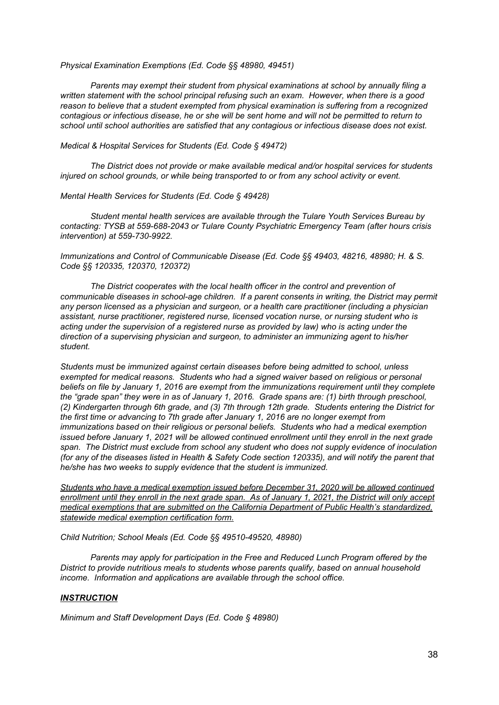*Physical Examination Exemptions (Ed. Code §§ 48980, 49451)*

*Parents may exempt their student from physical examinations at school by annually filing a written statement with the school principal refusing such an exam. However, when there is a good reason to believe that a student exempted from physical examination is suffering from a recognized* contagious or infectious disease, he or she will be sent home and will not be permitted to return to *school until school authorities are satisfied that any contagious or infectious disease does not exist.*

#### *Medical & Hospital Services for Students (Ed. Code § 49472)*

*The District does not provide or make available medical and/or hospital services for students injured on school grounds, or while being transported to or from any school activity or event.*

*Mental Health Services for Students (Ed. Code § 49428)*

*Student mental health services are available through the Tulare Youth Services Bureau by contacting: TYSB at 559-688-2043 or Tulare County Psychiatric Emergency Team (after hours crisis intervention) at 559-730-9922.*

*Immunizations and Control of Communicable Disease (Ed. Code §§ 49403, 48216, 48980; H. & S. Code §§ 120335, 120370, 120372)*

*The District cooperates with the local health officer in the control and prevention of communicable diseases in school-age children. If a parent consents in writing, the District may permit any person licensed as a physician and surgeon, or a health care practitioner (including a physician assistant, nurse practitioner, registered nurse, licensed vocation nurse, or nursing student who is acting under the supervision of a registered nurse as provided by law) who is acting under the direction of a supervising physician and surgeon, to administer an immunizing agent to his/her student.*

*Students must be immunized against certain diseases before being admitted to school, unless exempted for medical reasons. Students who had a signed waiver based on religious or personal beliefs on file by January 1, 2016 are exempt from the immunizations requirement until they complete the "grade span" they were in as of January 1, 2016. Grade spans are: (1) birth through preschool, (2) Kindergarten through 6th grade, and (3) 7th through 12th grade. Students entering the District for the first time or advancing to 7th grade after January 1, 2016 are no longer exempt from immunizations based on their religious or personal beliefs. Students who had a medical exemption issued before January 1, 2021 will be allowed continued enrollment until they enroll in the next grade span. The District must exclude from school any student who does not supply evidence of inoculation* (for any of the diseases listed in Health & Safety Code section 120335), and will notify the parent that *he/she has two weeks to supply evidence that the student is immunized.*

*Students who have a medical exemption issued before December 31, 2020 will be allowed continued* enrollment until they enroll in the next grade span. As of January 1, 2021, the District will only accept *medical exemptions that are submitted on the California Department of Public Health's standardized, statewide medical exemption certification form.*

*Child Nutrition; School Meals (Ed. Code §§ 49510-49520, 48980)*

*Parents may apply for participation in the Free and Reduced Lunch Program offered by the District to provide nutritious meals to students whose parents qualify, based on annual household income. Information and applications are available through the school office.*

#### *INSTRUCTION*

*Minimum and Staff Development Days (Ed. Code § 48980)*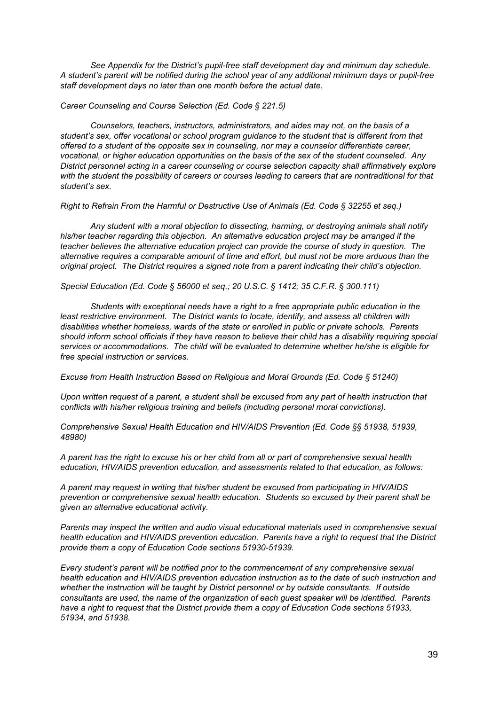*See Appendix for the District's pupil-free staff development day and minimum day schedule. A student's parent will be notified during the school year of any additional minimum days or pupil-free staff development days no later than one month before the actual date.*

*Career Counseling and Course Selection (Ed. Code § 221.5)*

*Counselors, teachers, instructors, administrators, and aides may not, on the basis of a student's sex, offer vocational or school program guidance to the student that is different from that offered to a student of the opposite sex in counseling, nor may a counselor differentiate career, vocational, or higher education opportunities on the basis of the sex of the student counseled. Any District personnel acting in a career counseling or course selection capacity shall affirmatively explore* with the student the possibility of careers or courses leading to careers that are nontraditional for that *student's sex.*

*Right to Refrain From the Harmful or Destructive Use of Animals (Ed. Code § 32255 et seq.)*

*Any student with a moral objection to dissecting, harming, or destroying animals shall notify his/her teacher regarding this objection. An alternative education project may be arranged if the teacher believes the alternative education project can provide the course of study in question. The alternative requires a comparable amount of time and effort, but must not be more arduous than the original project. The District requires a signed note from a parent indicating their child's objection.*

*Special Education (Ed. Code § 56000 et seq.; 20 U.S.C. § 1412; 35 C.F.R. § 300.111)*

*Students with exceptional needs have a right to a free appropriate public education in the least restrictive environment. The District wants to locate, identify, and assess all children with disabilities whether homeless, wards of the state or enrolled in public or private schools. Parents* should inform school officials if they have reason to believe their child has a disability requiring special *services or accommodations. The child will be evaluated to determine whether he/she is eligible for free special instruction or services.*

*Excuse from Health Instruction Based on Religious and Moral Grounds (Ed. Code § 51240)*

Upon written request of a parent, a student shall be excused from any part of health instruction that *conflicts with his/her religious training and beliefs (including personal moral convictions).*

*Comprehensive Sexual Health Education and HIV/AIDS Prevention (Ed. Code §§ 51938, 51939, 48980)*

A parent has the right to excuse his or her child from all or part of comprehensive sexual health *education, HIV/AIDS prevention education, and assessments related to that education, as follows:*

*A parent may request in writing that his/her student be excused from participating in HIV/AIDS prevention or comprehensive sexual health education. Students so excused by their parent shall be given an alternative educational activity.*

*Parents may inspect the written and audio visual educational materials used in comprehensive sexual health education and HIV/AIDS prevention education. Parents have a right to request that the District provide them a copy of Education Code sections 51930-51939.*

*Every student's parent will be notified prior to the commencement of any comprehensive sexual health education and HIV/AIDS prevention education instruction as to the date of such instruction and whether the instruction will be taught by District personnel or by outside consultants. If outside consultants are used, the name of the organization of each guest speaker will be identified. Parents have a right to request that the District provide them a copy of Education Code sections 51933, 51934, and 51938.*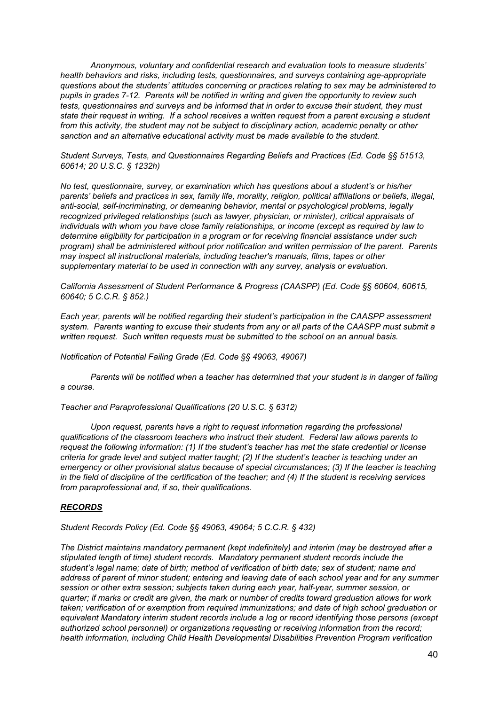*Anonymous, voluntary and confidential research and evaluation tools to measure students' health behaviors and risks, including tests, questionnaires, and surveys containing age-appropriate questions about the students' attitudes concerning or practices relating to sex may be administered to pupils in grades 7-12. Parents will be notified in writing and given the opportunity to review such tests, questionnaires and surveys and be informed that in order to excuse their student, they must* state their request in writing. If a school receives a written request from a parent excusing a student *from this activity, the student may not be subject to disciplinary action, academic penalty or other sanction and an alternative educational activity must be made available to the student.*

*Student Surveys, Tests, and Questionnaires Regarding Beliefs and Practices (Ed. Code §§ 51513, 60614; 20 U.S.C. § 1232h)*

*No test, questionnaire, survey, or examination which has questions about a student's or his/her parents' beliefs and practices in sex, family life, morality, religion, political affiliations or beliefs, illegal, anti-social, self-incriminating, or demeaning behavior, mental or psychological problems, legally recognized privileged relationships (such as lawyer, physician, or minister), critical appraisals of individuals with whom you have close family relationships, or income (except as required by law to determine eligibility for participation in a program or for receiving financial assistance under such program) shall be administered without prior notification and written permission of the parent. Parents may inspect all instructional materials, including teacher's manuals, films, tapes or other supplementary material to be used in connection with any survey, analysis or evaluation.*

*California Assessment of Student Performance & Progress (CAASPP) (Ed. Code §§ 60604, 60615, 60640; 5 C.C.R. § 852.)*

*Each year, parents will be notified regarding their student's participation in the CAASPP assessment system. Parents wanting to excuse their students from any or all parts of the CAASPP must submit a written request. Such written requests must be submitted to the school on an annual basis.*

*Notification of Potential Failing Grade (Ed. Code §§ 49063, 49067)*

*Parents will be notified when a teacher has determined that your student is in danger of failing a course.*

*Teacher and Paraprofessional Qualifications (20 U.S.C. § 6312)*

*Upon request, parents have a right to request information regarding the professional qualifications of the classroom teachers who instruct their student. Federal law allows parents to request the following information: (1) If the student's teacher has met the state credential or license criteria for grade level and subject matter taught; (2) If the student's teacher is teaching under an emergency or other provisional status because of special circumstances; (3) If the teacher is teaching* in the field of discipline of the certification of the teacher; and (4) If the student is receiving services *from paraprofessional and, if so, their qualifications.*

## *RECORDS*

*Student Records Policy (Ed. Code §§ 49063, 49064; 5 C.C.R. § 432)*

*The District maintains mandatory permanent (kept indefinitely) and interim (may be destroyed after a stipulated length of time) student records. Mandatory permanent student records include the student's legal name; date of birth; method of verification of birth date; sex of student; name and* address of parent of minor student; entering and leaving date of each school year and for any summer *session or other extra session; subjects taken during each year, half-year, summer session, or* quarter; if marks or credit are given, the mark or number of credits toward graduation allows for work *taken; verification of or exemption from required immunizations; and date of high school graduation or equivalent Mandatory interim student records include a log or record identifying those persons (except authorized school personnel) or organizations requesting or receiving information from the record; health information, including Child Health Developmental Disabilities Prevention Program verification*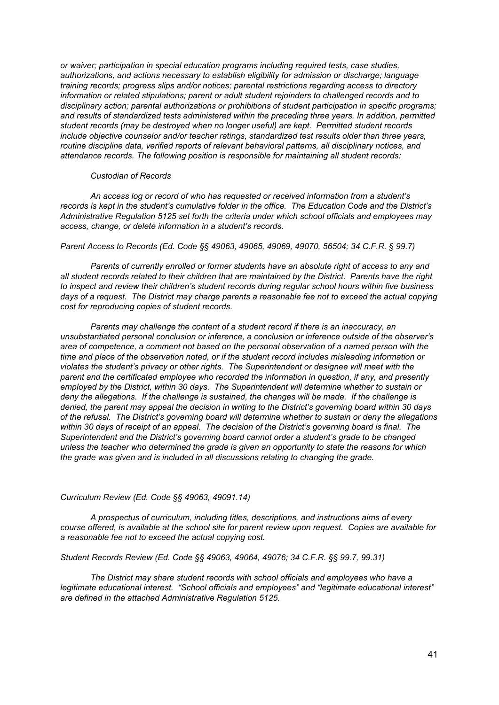*or waiver; participation in special education programs including required tests, case studies, authorizations, and actions necessary to establish eligibility for admission or discharge; language training records; progress slips and/or notices; parental restrictions regarding access to directory information or related stipulations; parent or adult student rejoinders to challenged records and to disciplinary action; parental authorizations or prohibitions of student participation in specific programs; and results of standardized tests administered within the preceding three years. In addition, permitted student records (may be destroyed when no longer useful) are kept. Permitted student records include objective counselor and/or teacher ratings, standardized test results older than three years, routine discipline data, verified reports of relevant behavioral patterns, all disciplinary notices, and attendance records. The following position is responsible for maintaining all student records:*

#### *Custodian of Records*

*An access log or record of who has requested or received information from a student's records is kept in the student's cumulative folder in the office. The Education Code and the District's Administrative Regulation 5125 set forth the criteria under which school officials and employees may access, change, or delete information in a student's records.*

*Parent Access to Records (Ed. Code §§ 49063, 49065, 49069, 49070, 56504; 34 C.F.R. § 99.7)*

*Parents of currently enrolled or former students have an absolute right of access to any and all student records related to their children that are maintained by the District. Parents have the right to inspect and review their children's student records during regular school hours within five business* days of a request. The District may charge parents a reasonable fee not to exceed the actual copying *cost for reproducing copies of student records.*

*Parents may challenge the content of a student record if there is an inaccuracy, an unsubstantiated personal conclusion or inference, a conclusion or inference outside of the observer's area of competence, a comment not based on the personal observation of a named person with the time and place of the observation noted, or if the student record includes misleading information or violates the student's privacy or other rights. The Superintendent or designee will meet with the parent and the certificated employee who recorded the information in question, if any, and presently employed by the District, within 30 days. The Superintendent will determine whether to sustain or deny the allegations. If the challenge is sustained, the changes will be made. If the challenge is denied, the parent may appeal the decision in writing to the District's governing board within 30 days of the refusal. The District's governing board will determine whether to sustain or deny the allegations* within 30 days of receipt of an appeal. The decision of the District's governing board is final. The *Superintendent and the District's governing board cannot order a student's grade to be changed unless the teacher who determined the grade is given an opportunity to state the reasons for which the grade was given and is included in all discussions relating to changing the grade.*

## *Curriculum Review (Ed. Code §§ 49063, 49091.14)*

*A prospectus of curriculum, including titles, descriptions, and instructions aims of every course offered, is available at the school site for parent review upon request. Copies are available for a reasonable fee not to exceed the actual copying cost.*

*Student Records Review (Ed. Code §§ 49063, 49064, 49076; 34 C.F.R. §§ 99.7, 99.31)*

*The District may share student records with school officials and employees who have a legitimate educational interest. "School officials and employees" and "legitimate educational interest" are defined in the attached Administrative Regulation 5125.*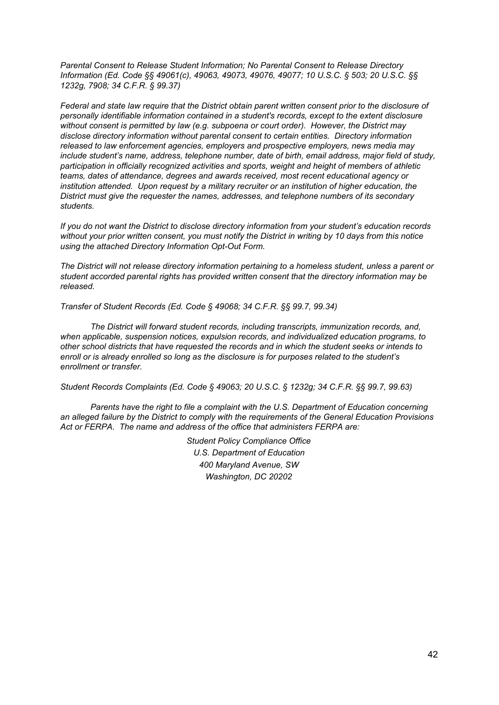*Parental Consent to Release Student Information; No Parental Consent to Release Directory Information (Ed. Code §§ 49061(c), 49063, 49073, 49076, 49077; 10 U.S.C. § 503; 20 U.S.C. §§ 1232g, 7908; 34 C.F.R. § 99.37)*

*Federal and state law require that the District obtain parent written consent prior to the disclosure of personally identifiable information contained in a student's records, except to the extent disclosure without consent is permitted by law (e.g. subpoena or court order). However, the District may disclose directory information without parental consent to certain entities. Directory information released to law enforcement agencies, employers and prospective employers, news media may include student's name, address, telephone number, date of birth, email address, major field of study, participation in officially recognized activities and sports, weight and height of members of athletic teams, dates of attendance, degrees and awards received, most recent educational agency or institution attended. Upon request by a military recruiter or an institution of higher education, the District must give the requester the names, addresses, and telephone numbers of its secondary students.*

*If you do not want the District to disclose directory information from your student's education records* without your prior written consent, you must notify the District in writing by 10 days from this notice *using the attached Directory Information Opt-Out Form.*

*The District will not release directory information pertaining to a homeless student, unless a parent or student accorded parental rights has provided written consent that the directory information may be released.*

*Transfer of Student Records (Ed. Code § 49068; 34 C.F.R. §§ 99.7, 99.34)*

*The District will forward student records, including transcripts, immunization records, and, when applicable, suspension notices, expulsion records, and individualized education programs, to other school districts that have requested the records and in which the student seeks or intends to enroll or is already enrolled so long as the disclosure is for purposes related to the student's enrollment or transfer.*

*Student Records Complaints (Ed. Code § 49063; 20 U.S.C. § 1232g; 34 C.F.R. §§ 99.7, 99.63)*

*Parents have the right to file a complaint with the U.S. Department of Education concerning an alleged failure by the District to comply with the requirements of the General Education Provisions Act or FERPA. The name and address of the office that administers FERPA are:*

> *Student Policy Compliance Office U.S. Department of Education 400 Maryland Avenue, SW Washington, DC 20202*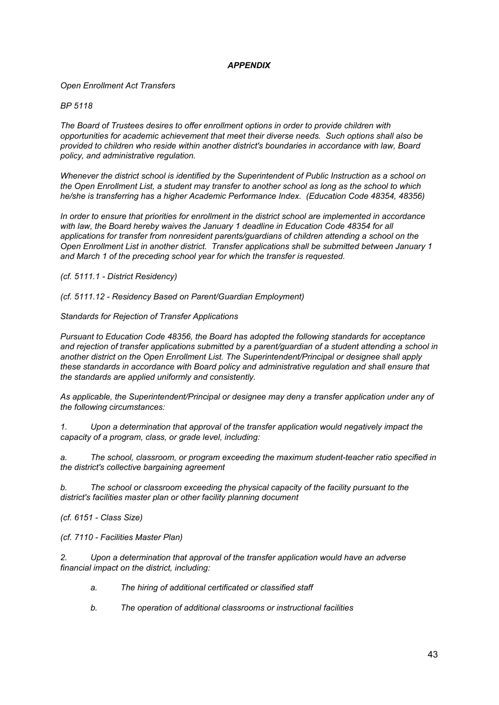# *APPENDIX*

*Open Enrollment Act Transfers*

*BP 5118*

*The Board of Trustees desires to offer enrollment options in order to provide children with opportunities for academic achievement that meet their diverse needs. Such options shall also be provided to children who reside within another district's boundaries in accordance with law, Board policy, and administrative regulation.*

*Whenever the district school is identified by the Superintendent of Public Instruction as a school on the Open Enrollment List, a student may transfer to another school as long as the school to which he/she is transferring has a higher Academic Performance Index. (Education Code 48354, 48356)*

*In order to ensure that priorities for enrollment in the district school are implemented in accordance with law, the Board hereby waives the January 1 deadline in Education Code 48354 for all applications for transfer from nonresident parents/guardians of children attending a school on the Open Enrollment List in another district. Transfer applications shall be submitted between January 1 and March 1 of the preceding school year for which the transfer is requested.*

*(cf. 5111.1 - District Residency)*

*(cf. 5111.12 - Residency Based on Parent/Guardian Employment)*

*Standards for Rejection of Transfer Applications*

*Pursuant to Education Code 48356, the Board has adopted the following standards for acceptance and rejection of transfer applications submitted by a parent/guardian of a student attending a school in another district on the Open Enrollment List. The Superintendent/Principal or designee shall apply these standards in accordance with Board policy and administrative regulation and shall ensure that the standards are applied uniformly and consistently.*

*As applicable, the Superintendent/Principal or designee may deny a transfer application under any of the following circumstances:*

*1. Upon a determination that approval of the transfer application would negatively impact the capacity of a program, class, or grade level, including:*

*a. The school, classroom, or program exceeding the maximum student-teacher ratio specified in the district's collective bargaining agreement*

*b. The school or classroom exceeding the physical capacity of the facility pursuant to the district's facilities master plan or other facility planning document*

*(cf. 6151 - Class Size)*

*(cf. 7110 - Facilities Master Plan)*

*2. Upon a determination that approval of the transfer application would have an adverse financial impact on the district, including:*

- *a. The hiring of additional certificated or classified staff*
- *b. The operation of additional classrooms or instructional facilities*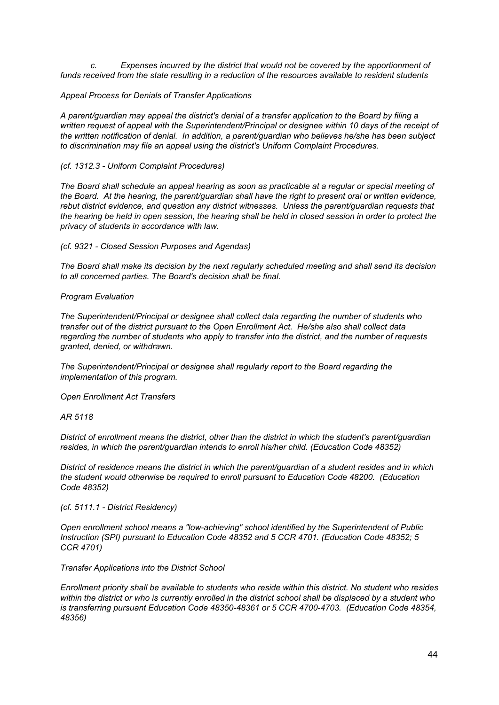*c. Expenses incurred by the district that would not be covered by the apportionment of funds received from the state resulting in a reduction of the resources available to resident students*

## *Appeal Process for Denials of Transfer Applications*

*A parent/guardian may appeal the district's denial of a transfer application to the Board by filing a written request of appeal with the Superintendent/Principal or designee within 10 days of the receipt of the written notification of denial. In addition, a parent/guardian who believes he/she has been subject to discrimination may file an appeal using the district's Uniform Complaint Procedures.*

## *(cf. 1312.3 - Uniform Complaint Procedures)*

The Board shall schedule an appeal hearing as soon as practicable at a regular or special meeting of *the Board. At the hearing, the parent/guardian shall have the right to present oral or written evidence, rebut district evidence, and question any district witnesses. Unless the parent/guardian requests that* the hearing be held in open session, the hearing shall be held in closed session in order to protect the *privacy of students in accordance with law.*

*(cf. 9321 - Closed Session Purposes and Agendas)*

*The Board shall make its decision by the next regularly scheduled meeting and shall send its decision to all concerned parties. The Board's decision shall be final.*

## *Program Evaluation*

*The Superintendent/Principal or designee shall collect data regarding the number of students who transfer out of the district pursuant to the Open Enrollment Act. He/she also shall collect data regarding the number of students who apply to transfer into the district, and the number of requests granted, denied, or withdrawn.*

*The Superintendent/Principal or designee shall regularly report to the Board regarding the implementation of this program.*

*Open Enrollment Act Transfers*

*AR 5118*

*District of enrollment means the district, other than the district in which the student's parent/guardian resides, in which the parent/guardian intends to enroll his/her child. (Education Code 48352)*

*District of residence means the district in which the parent/guardian of a student resides and in which the student would otherwise be required to enroll pursuant to Education Code 48200. (Education Code 48352)*

*(cf. 5111.1 - District Residency)*

*Open enrollment school means a "low-achieving" school identified by the Superintendent of Public Instruction (SPI) pursuant to Education Code 48352 and 5 CCR 4701. (Education Code 48352; 5 CCR 4701)*

*Transfer Applications into the District School*

*Enrollment priority shall be available to students who reside within this district. No student who resides* within the district or who is currently enrolled in the district school shall be displaced by a student who *is transferring pursuant Education Code 48350-48361 or 5 CCR 4700-4703. (Education Code 48354, 48356)*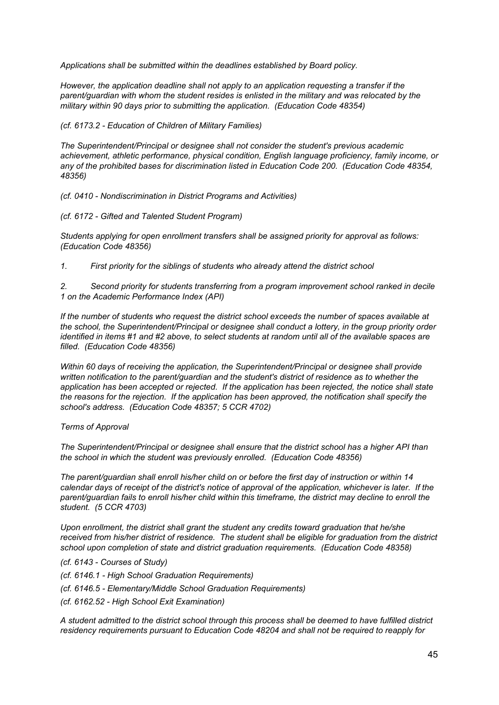*Applications shall be submitted within the deadlines established by Board policy.*

*However, the application deadline shall not apply to an application requesting a transfer if the parent/guardian with whom the student resides is enlisted in the military and was relocated by the military within 90 days prior to submitting the application. (Education Code 48354)*

## *(cf. 6173.2 - Education of Children of Military Families)*

*The Superintendent/Principal or designee shall not consider the student's previous academic achievement, athletic performance, physical condition, English language proficiency, family income, or any of the prohibited bases for discrimination listed in Education Code 200. (Education Code 48354, 48356)*

*(cf. 0410 - Nondiscrimination in District Programs and Activities)*

## *(cf. 6172 - Gifted and Talented Student Program)*

*Students applying for open enrollment transfers shall be assigned priority for approval as follows: (Education Code 48356)*

*1. First priority for the siblings of students who already attend the district school*

*2. Second priority for students transferring from a program improvement school ranked in decile 1 on the Academic Performance Index (API)*

*If the number of students who request the district school exceeds the number of spaces available at the school, the Superintendent/Principal or designee shall conduct a lottery, in the group priority order* identified in items #1 and #2 above, to select students at random until all of the available spaces are *filled. (Education Code 48356)*

*Within 60 days of receiving the application, the Superintendent/Principal or designee shall provide written notification to the parent/guardian and the student's district of residence as to whether the application has been accepted or rejected. If the application has been rejected, the notice shall state the reasons for the rejection. If the application has been approved, the notification shall specify the school's address. (Education Code 48357; 5 CCR 4702)*

## *Terms of Approval*

*The Superintendent/Principal or designee shall ensure that the district school has a higher API than the school in which the student was previously enrolled. (Education Code 48356)*

*The parent/guardian shall enroll his/her child on or before the first day of instruction or within 14* calendar days of receipt of the district's notice of approval of the application, whichever is later. If the *parent/guardian fails to enroll his/her child within this timeframe, the district may decline to enroll the student. (5 CCR 4703)*

*Upon enrollment, the district shall grant the student any credits toward graduation that he/she received from his/her district of residence. The student shall be eligible for graduation from the district school upon completion of state and district graduation requirements. (Education Code 48358)*

*(cf. 6143 - Courses of Study)*

- *(cf. 6146.1 - High School Graduation Requirements)*
- *(cf. 6146.5 - Elementary/Middle School Graduation Requirements)*
- *(cf. 6162.52 - High School Exit Examination)*

*A student admitted to the district school through this process shall be deemed to have fulfilled district residency requirements pursuant to Education Code 48204 and shall not be required to reapply for*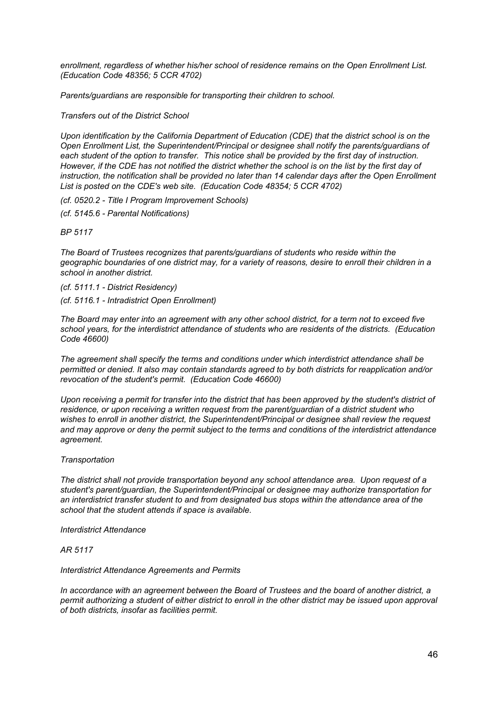*enrollment, regardless of whether his/her school of residence remains on the Open Enrollment List. (Education Code 48356; 5 CCR 4702)*

*Parents/guardians are responsible for transporting their children to school.*

*Transfers out of the District School*

*Upon identification by the California Department of Education (CDE) that the district school is on the Open Enrollment List, the Superintendent/Principal or designee shall notify the parents/guardians of* each student of the option to transfer. This notice shall be provided by the first day of instruction. However, if the CDE has not notified the district whether the school is on the list by the first day of *instruction, the notification shall be provided no later than 14 calendar days after the Open Enrollment List is posted on the CDE's web site. (Education Code 48354; 5 CCR 4702)*

*(cf. 0520.2 - Title I Program Improvement Schools)*

*(cf. 5145.6 - Parental Notifications)*

*BP 5117*

*The Board of Trustees recognizes that parents/guardians of students who reside within the* geographic boundaries of one district may, for a variety of reasons, desire to enroll their children in a *school in another district.*

*(cf. 5111.1 - District Residency) (cf. 5116.1 - Intradistrict Open Enrollment)*

The Board may enter into an agreement with any other school district, for a term not to exceed five *school years, for the interdistrict attendance of students who are residents of the districts. (Education Code 46600)*

*The agreement shall specify the terms and conditions under which interdistrict attendance shall be permitted or denied. It also may contain standards agreed to by both districts for reapplication and/or revocation of the student's permit. (Education Code 46600)*

Upon receiving a permit for transfer into the district that has been approved by the student's district of *residence, or upon receiving a written request from the parent/guardian of a district student who wishes to enroll in another district, the Superintendent/Principal or designee shall review the request and may approve or deny the permit subject to the terms and conditions of the interdistrict attendance agreement.*

## *Transportation*

*The district shall not provide transportation beyond any school attendance area. Upon request of a student's parent/guardian, the Superintendent/Principal or designee may authorize transportation for an interdistrict transfer student to and from designated bus stops within the attendance area of the school that the student attends if space is available.*

*Interdistrict Attendance*

*AR 5117*

## *Interdistrict Attendance Agreements and Permits*

*In accordance with an agreement between the Board of Trustees and the board of another district, a* permit authorizing a student of either district to enroll in the other district may be issued upon approval *of both districts, insofar as facilities permit.*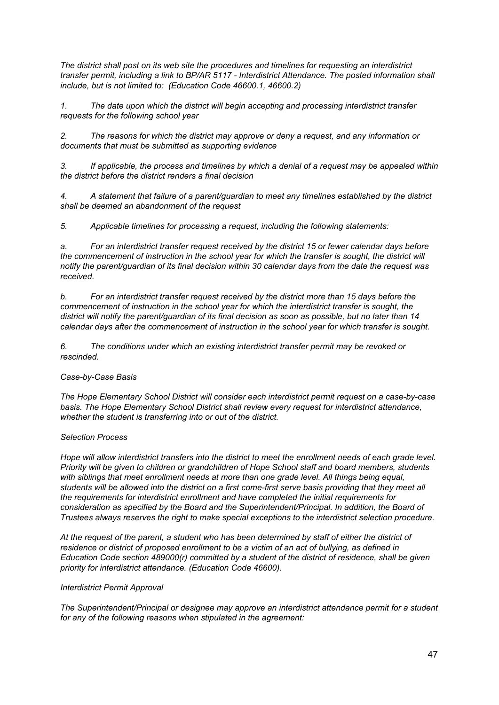*The district shall post on its web site the procedures and timelines for requesting an interdistrict transfer permit, including a link to BP/AR 5117 - Interdistrict Attendance. The posted information shall include, but is not limited to: (Education Code 46600.1, 46600.2)*

*1. The date upon which the district will begin accepting and processing interdistrict transfer requests for the following school year*

*2. The reasons for which the district may approve or deny a request, and any information or documents that must be submitted as supporting evidence*

*3. If applicable, the process and timelines by which a denial of a request may be appealed within the district before the district renders a final decision*

*4. A statement that failure of a parent/guardian to meet any timelines established by the district shall be deemed an abandonment of the request*

*5. Applicable timelines for processing a request, including the following statements:*

*a. For an interdistrict transfer request received by the district 15 or fewer calendar days before the commencement of instruction in the school year for which the transfer is sought, the district will notify the parent/guardian of its final decision within 30 calendar days from the date the request was received.*

*b. For an interdistrict transfer request received by the district more than 15 days before the commencement of instruction in the school year for which the interdistrict transfer is sought, the* district will notify the parent/guardian of its final decision as soon as possible, but no later than 14 *calendar days after the commencement of instruction in the school year for which transfer is sought.*

*6. The conditions under which an existing interdistrict transfer permit may be revoked or rescinded.*

# *Case-by-Case Basis*

*The Hope Elementary School District will consider each interdistrict permit request on a case-by-case basis. The Hope Elementary School District shall review every request for interdistrict attendance, whether the student is transferring into or out of the district.*

## *Selection Process*

Hope will allow interdistrict transfers into the district to meet the enrollment needs of each grade level. *Priority will be given to children or grandchildren of Hope School staff and board members, students with siblings that meet enrollment needs at more than one grade level. All things being equal,* students will be allowed into the district on a first come-first serve basis providing that they meet all *the requirements for interdistrict enrollment and have completed the initial requirements for consideration as specified by the Board and the Superintendent/Principal. In addition, the Board of Trustees always reserves the right to make special exceptions to the interdistrict selection procedure.*

At the request of the parent, a student who has been determined by staff of either the district of *residence or district of proposed enrollment to be a victim of an act of bullying, as defined in Education Code section 489000(r) committed by a student of the district of residence, shall be given priority for interdistrict attendance. (Education Code 46600).*

## *Interdistrict Permit Approval*

*The Superintendent/Principal or designee may approve an interdistrict attendance permit for a student for any of the following reasons when stipulated in the agreement:*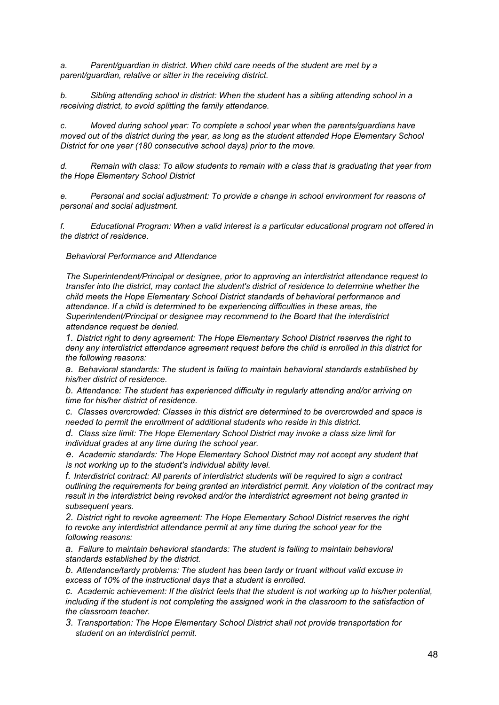*a. Parent/guardian in district. When child care needs of the student are met by a parent/guardian, relative or sitter in the receiving district.*

*b. Sibling attending school in district: When the student has a sibling attending school in a receiving district, to avoid splitting the family attendance.*

*c. Moved during school year: To complete a school year when the parents/guardians have moved out of the district during the year, as long as the student attended Hope Elementary School District for one year (180 consecutive school days) prior to the move.*

*d. Remain with class: To allow students to remain with a class that is graduating that year from the Hope Elementary School District*

*e. Personal and social adjustment: To provide a change in school environment for reasons of personal and social adjustment.*

*f. Educational Program: When a valid interest is a particular educational program not offered in the district of residence.*

*Behavioral Performance and Attendance*

*The Superintendent/Principal or designee, prior to approving an interdistrict attendance request to transfer into the district, may contact the student's district of residence to determine whether the child meets the Hope Elementary School District standards of behavioral performance and attendance. If a child is determined to be experiencing difficulties in these areas, the Superintendent/Principal or designee may recommend to the Board that the interdistrict attendance request be denied.*

*1. District right to deny agreement: The Hope Elementary School District reserves the right to deny any interdistrict attendance agreement request before the child is enrolled in this district for the following reasons:*

*a. Behavioral standards: The student is failing to maintain behavioral standards established by his/her district of residence.*

*b. Attendance: The student has experienced difficulty in regularly attending and/or arriving on time for his/her district of residence.*

*c. Classes overcrowded: Classes in this district are determined to be overcrowded and space is needed to permit the enrollment of additional students who reside in this district.*

*d. Class size limit: The Hope Elementary School District may invoke a class size limit for individual grades at any time during the school year.*

*e. Academic standards: The Hope Elementary School District may not accept any student that is not working up to the student's individual ability level.*

*f. Interdistrict contract: All parents of interdistrict students will be required to sign a contract outlining the requirements for being granted an interdistrict permit. Any violation of the contract may result in the interdistrict being revoked and/or the interdistrict agreement not being granted in subsequent years.*

*2. District right to revoke agreement: The Hope Elementary School District reserves the right to revoke any interdistrict attendance permit at any time during the school year for the following reasons:*

*a. Failure to maintain behavioral standards: The student is failing to maintain behavioral standards established by the district.*

*b. Attendance/tardy problems: The student has been tardy or truant without valid excuse in excess of 10% of the instructional days that a student is enrolled.*

*c. Academic achievement: If the district feels that the student is not working up to his/her potential, including if the student is not completing the assigned work in the classroom to the satisfaction of the classroom teacher.*

*3. Transportation: The Hope Elementary School District shall not provide transportation for student on an interdistrict permit.*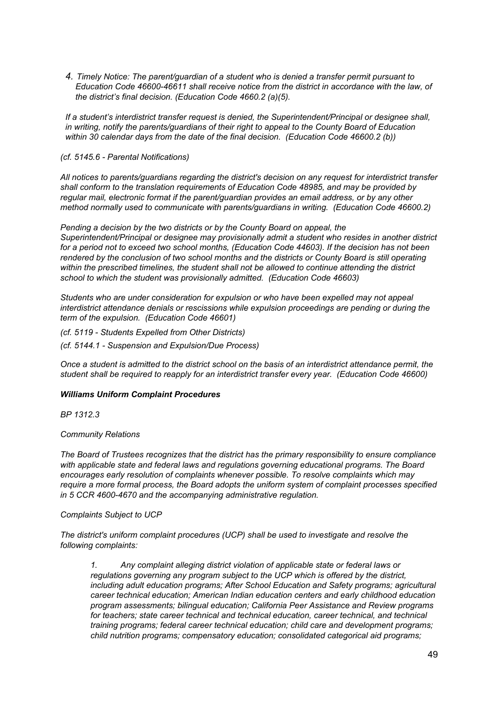*4. Timely Notice: The parent/guardian of a student who is denied a transfer permit pursuant to Education Code 46600-46611 shall receive notice from the district in accordance with the law, of the district's final decision. (Education Code 4660.2 (a)(5).*

*If a student's interdistrict transfer request is denied, the Superintendent/Principal or designee shall, in writing, notify the parents/guardians of their right to appeal to the County Board of Education within 30 calendar days from the date of the final decision. (Education Code 46600.2 (b))*

## *(cf. 5145.6 - Parental Notifications)*

*All notices to parents/guardians regarding the district's decision on any request for interdistrict transfer shall conform to the translation requirements of Education Code 48985, and may be provided by regular mail, electronic format if the parent/guardian provides an email address, or by any other method normally used to communicate with parents/guardians in writing. (Education Code 46600.2)*

*Pending a decision by the two districts or by the County Board on appeal, the Superintendent/Principal or designee may provisionally admit a student who resides in another district for a period not to exceed two school months, (Education Code 44603). If the decision has not been rendered by the conclusion of two school months and the districts or County Board is still operating within the prescribed timelines, the student shall not be allowed to continue attending the district school to which the student was provisionally admitted. (Education Code 46603)*

*Students who are under consideration for expulsion or who have been expelled may not appeal interdistrict attendance denials or rescissions while expulsion proceedings are pending or during the term of the expulsion. (Education Code 46601)*

*(cf. 5119 - Students Expelled from Other Districts)*

*(cf. 5144.1 - Suspension and Expulsion/Due Process)*

Once a student is admitted to the district school on the basis of an interdistrict attendance permit, the *student shall be required to reapply for an interdistrict transfer every year. (Education Code 46600)*

## *Williams Uniform Complaint Procedures*

*BP 1312.3*

## *Community Relations*

*The Board of Trustees recognizes that the district has the primary responsibility to ensure compliance with applicable state and federal laws and regulations governing educational programs. The Board encourages early resolution of complaints whenever possible. To resolve complaints which may require a more formal process, the Board adopts the uniform system of complaint processes specified in 5 CCR 4600-4670 and the accompanying administrative regulation.*

## *Complaints Subject to UCP*

*The district's uniform complaint procedures (UCP) shall be used to investigate and resolve the following complaints:*

*1. Any complaint alleging district violation of applicable state or federal laws or regulations governing any program subject to the UCP which is offered by the district, including adult education programs; After School Education and Safety programs; agricultural career technical education; American Indian education centers and early childhood education program assessments; bilingual education; California Peer Assistance and Review programs for teachers; state career technical and technical education, career technical, and technical training programs; federal career technical education; child care and development programs; child nutrition programs; compensatory education; consolidated categorical aid programs;*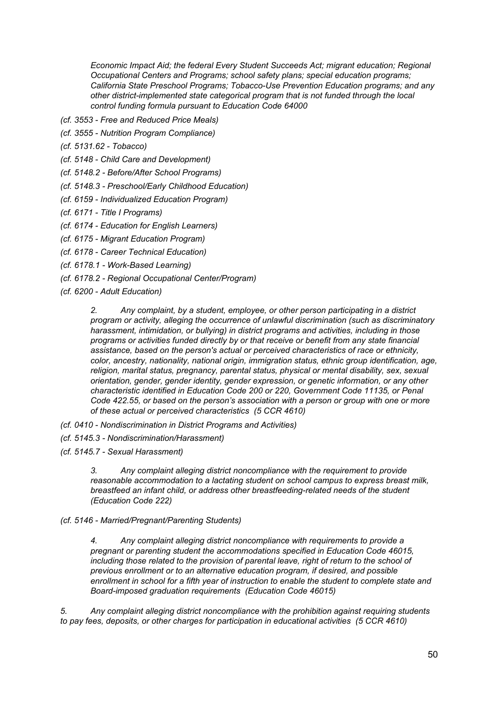*Economic Impact Aid; the federal Every Student Succeeds Act; migrant education; Regional Occupational Centers and Programs; school safety plans; special education programs; California State Preschool Programs; Tobacco-Use Prevention Education programs; and any other district-implemented state categorical program that is not funded through the local control funding formula pursuant to Education Code 64000*

- *(cf. 3553 - Free and Reduced Price Meals)*
- *(cf. 3555 - Nutrition Program Compliance)*
- *(cf. 5131.62 - Tobacco)*
- *(cf. 5148 - Child Care and Development)*
- *(cf. 5148.2 - Before/After School Programs)*
- *(cf. 5148.3 - Preschool/Early Childhood Education)*
- *(cf. 6159 - Individualized Education Program)*
- *(cf. 6171 - Title I Programs)*
- *(cf. 6174 - Education for English Learners)*
- *(cf. 6175 - Migrant Education Program)*
- *(cf. 6178 - Career Technical Education)*
- *(cf. 6178.1 - Work-Based Learning)*
- *(cf. 6178.2 - Regional Occupational Center/Program)*
- *(cf. 6200 - Adult Education)*

*2. Any complaint, by a student, employee, or other person participating in a district program or activity, alleging the occurrence of unlawful discrimination (such as discriminatory harassment, intimidation, or bullying) in district programs and activities, including in those programs or activities funded directly by or that receive or benefit from any state financial assistance, based on the person's actual or perceived characteristics of race or ethnicity, color, ancestry, nationality, national origin, immigration status, ethnic group identification, age, religion, marital status, pregnancy, parental status, physical or mental disability, sex, sexual orientation, gender, gender identity, gender expression, or genetic information, or any other characteristic identified in Education Code 200 or 220, Government Code 11135, or Penal Code 422.55, or based on the person's association with a person or group with one or more of these actual or perceived characteristics (5 CCR 4610)*

- *(cf. 0410 - Nondiscrimination in District Programs and Activities)*
- *(cf. 5145.3 - Nondiscrimination/Harassment)*
- *(cf. 5145.7 - Sexual Harassment)*

*3. Any complaint alleging district noncompliance with the requirement to provide reasonable accommodation to a lactating student on school campus to express breast milk, breastfeed an infant child, or address other breastfeeding-related needs of the student (Education Code 222)*

*(cf. 5146 - Married/Pregnant/Parenting Students)*

*4. Any complaint alleging district noncompliance with requirements to provide a pregnant or parenting student the accommodations specified in Education Code 46015, including those related to the provision of parental leave, right of return to the school of previous enrollment or to an alternative education program, if desired, and possible enrollment in school for a fifth year of instruction to enable the student to complete state and Board-imposed graduation requirements (Education Code 46015)*

*5. Any complaint alleging district noncompliance with the prohibition against requiring students to pay fees, deposits, or other charges for participation in educational activities (5 CCR 4610)*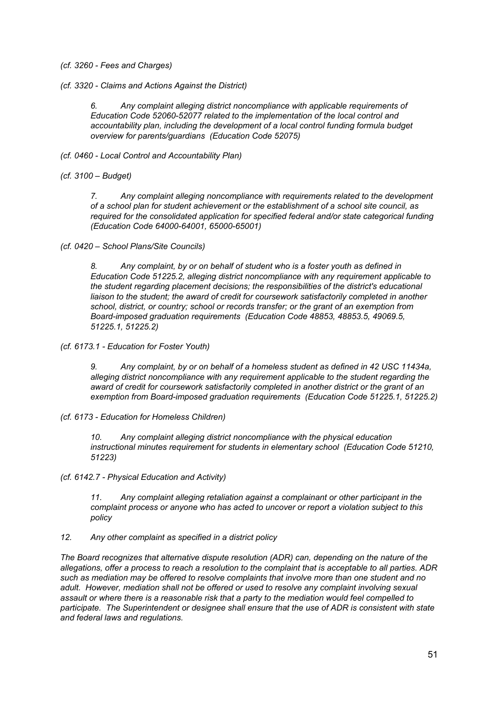- *(cf. 3260 - Fees and Charges)*
- *(cf. 3320 - Claims and Actions Against the District)*

*6. Any complaint alleging district noncompliance with applicable requirements of Education Code 52060-52077 related to the implementation of the local control and accountability plan, including the development of a local control funding formula budget overview for parents/guardians (Education Code 52075)*

- *(cf. 0460 - Local Control and Accountability Plan)*
- *(cf. 3100 – Budget)*

*7. Any complaint alleging noncompliance with requirements related to the development of a school plan for student achievement or the establishment of a school site council, as required for the consolidated application for specified federal and/or state categorical funding (Education Code 64000-64001, 65000-65001)*

*(cf. 0420 – School Plans/Site Councils)*

*8. Any complaint, by or on behalf of student who is a foster youth as defined in Education Code 51225.2, alleging district noncompliance with any requirement applicable to the student regarding placement decisions; the responsibilities of the district's educational liaison to the student; the award of credit for coursework satisfactorily completed in another school, district, or country; school or records transfer; or the grant of an exemption from Board-imposed graduation requirements (Education Code 48853, 48853.5, 49069.5, 51225.1, 51225.2)*

*(cf. 6173.1 - Education for Foster Youth)*

*9. Any complaint, by or on behalf of a homeless student as defined in 42 USC 11434a, alleging district noncompliance with any requirement applicable to the student regarding the award of credit for coursework satisfactorily completed in another district or the grant of an exemption from Board-imposed graduation requirements (Education Code 51225.1, 51225.2)*

*(cf. 6173 - Education for Homeless Children)*

*10. Any complaint alleging district noncompliance with the physical education instructional minutes requirement for students in elementary school (Education Code 51210, 51223)*

*(cf. 6142.7 - Physical Education and Activity)*

*11. Any complaint alleging retaliation against a complainant or other participant in the complaint process or anyone who has acted to uncover or report a violation subject to this policy*

*12. Any other complaint as specified in a district policy*

*The Board recognizes that alternative dispute resolution (ADR) can, depending on the nature of the* allegations, offer a process to reach a resolution to the complaint that is acceptable to all parties. ADR *such as mediation may be offered to resolve complaints that involve more than one student and no adult. However, mediation shall not be offered or used to resolve any complaint involving sexual assault or where there is a reasonable risk that a party to the mediation would feel compelled to participate. The Superintendent or designee shall ensure that the use of ADR is consistent with state and federal laws and regulations.*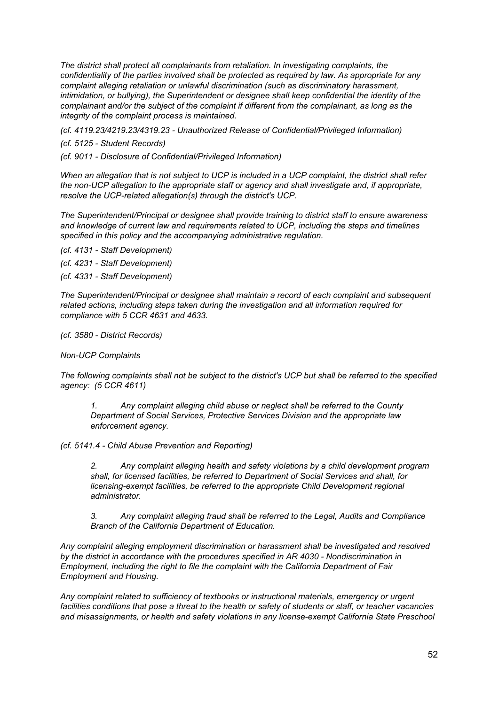*The district shall protect all complainants from retaliation. In investigating complaints, the confidentiality of the parties involved shall be protected as required by law. As appropriate for any complaint alleging retaliation or unlawful discrimination (such as discriminatory harassment, intimidation, or bullying), the Superintendent or designee shall keep confidential the identity of the complainant and/or the subject of the complaint if different from the complainant, as long as the integrity of the complaint process is maintained.*

*(cf. 4119.23/4219.23/4319.23 - Unauthorized Release of Confidential/Privileged Information)*

*(cf. 5125 - Student Records)*

*(cf. 9011 - Disclosure of Confidential/Privileged Information)*

When an allegation that is not subject to UCP is included in a UCP complaint, the district shall refer *the non-UCP allegation to the appropriate staff or agency and shall investigate and, if appropriate, resolve the UCP-related allegation(s) through the district's UCP.*

*The Superintendent/Principal or designee shall provide training to district staff to ensure awareness and knowledge of current law and requirements related to UCP, including the steps and timelines specified in this policy and the accompanying administrative regulation.*

*(cf. 4131 - Staff Development)*

*(cf. 4231 - Staff Development)*

*(cf. 4331 - Staff Development)*

*The Superintendent/Principal or designee shall maintain a record of each complaint and subsequent related actions, including steps taken during the investigation and all information required for compliance with 5 CCR 4631 and 4633.*

*(cf. 3580 - District Records)*

*Non-UCP Complaints*

The following complaints shall not be subject to the district's UCP but shall be referred to the specified *agency: (5 CCR 4611)*

*1. Any complaint alleging child abuse or neglect shall be referred to the County Department of Social Services, Protective Services Division and the appropriate law enforcement agency.*

*(cf. 5141.4 - Child Abuse Prevention and Reporting)*

*2. Any complaint alleging health and safety violations by a child development program shall, for licensed facilities, be referred to Department of Social Services and shall, for licensing-exempt facilities, be referred to the appropriate Child Development regional administrator.*

*3. Any complaint alleging fraud shall be referred to the Legal, Audits and Compliance Branch of the California Department of Education.*

*Any complaint alleging employment discrimination or harassment shall be investigated and resolved by the district in accordance with the procedures specified in AR 4030 - Nondiscrimination in Employment, including the right to file the complaint with the California Department of Fair Employment and Housing.*

*Any complaint related to sufficiency of textbooks or instructional materials, emergency or urgent* facilities conditions that pose a threat to the health or safety of students or staff, or teacher vacancies *and misassignments, or health and safety violations in any license-exempt California State Preschool*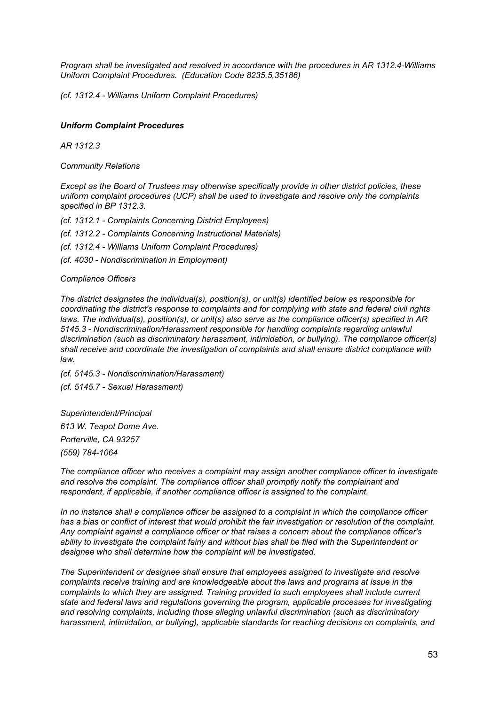*Program shall be investigated and resolved in accordance with the procedures in AR 1312.4-Williams Uniform Complaint Procedures. (Education Code 8235.5,35186)*

*(cf. 1312.4 - Williams Uniform Complaint Procedures)*

## *Uniform Complaint Procedures*

*AR 1312.3*

*Community Relations*

*Except as the Board of Trustees may otherwise specifically provide in other district policies, these uniform complaint procedures (UCP) shall be used to investigate and resolve only the complaints specified in BP 1312.3.*

*(cf. 1312.1 - Complaints Concerning District Employees)*

*(cf. 1312.2 - Complaints Concerning Instructional Materials)*

*(cf. 1312.4 - Williams Uniform Complaint Procedures)*

*(cf. 4030 - Nondiscrimination in Employment)*

## *Compliance Officers*

*The district designates the individual(s), position(s), or unit(s) identified below as responsible for coordinating the district's response to complaints and for complying with state and federal civil rights laws. The individual(s), position(s), or unit(s) also serve as the compliance officer(s) specified in AR 5145.3 - Nondiscrimination/Harassment responsible for handling complaints regarding unlawful discrimination (such as discriminatory harassment, intimidation, or bullying). The compliance officer(s) shall receive and coordinate the investigation of complaints and shall ensure district compliance with law.*

*(cf. 5145.3 - Nondiscrimination/Harassment) (cf. 5145.7 - Sexual Harassment)*

*Superintendent/Principal 613 W. Teapot Dome Ave. Porterville, CA 93257 (559) 784-1064*

*The compliance officer who receives a complaint may assign another compliance officer to investigate and resolve the complaint. The compliance officer shall promptly notify the complainant and respondent, if applicable, if another compliance officer is assigned to the complaint.*

*In no instance shall a compliance officer be assigned to a complaint in which the compliance officer* has a bias or conflict of interest that would prohibit the fair investigation or resolution of the complaint. *Any complaint against a compliance officer or that raises a concern about the compliance officer's ability to investigate the complaint fairly and without bias shall be filed with the Superintendent or designee who shall determine how the complaint will be investigated.*

*The Superintendent or designee shall ensure that employees assigned to investigate and resolve complaints receive training and are knowledgeable about the laws and programs at issue in the complaints to which they are assigned. Training provided to such employees shall include current state and federal laws and regulations governing the program, applicable processes for investigating and resolving complaints, including those alleging unlawful discrimination (such as discriminatory harassment, intimidation, or bullying), applicable standards for reaching decisions on complaints, and*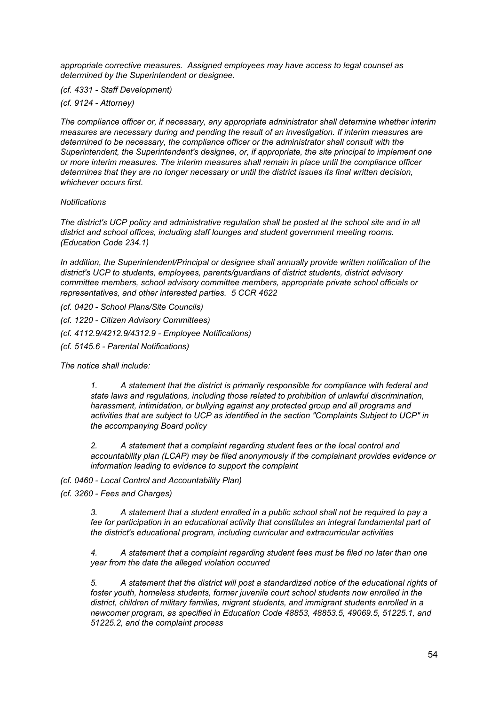*appropriate corrective measures. Assigned employees may have access to legal counsel as determined by the Superintendent or designee.*

*(cf. 4331 - Staff Development)*

*(cf. 9124 - Attorney)*

*The compliance officer or, if necessary, any appropriate administrator shall determine whether interim measures are necessary during and pending the result of an investigation. If interim measures are determined to be necessary, the compliance officer or the administrator shall consult with the Superintendent, the Superintendent's designee, or, if appropriate, the site principal to implement one or more interim measures. The interim measures shall remain in place until the compliance officer determines that they are no longer necessary or until the district issues its final written decision, whichever occurs first.*

## *Notifications*

*The district's UCP policy and administrative regulation shall be posted at the school site and in all district and school offices, including staff lounges and student government meeting rooms. (Education Code 234.1)*

*In addition, the Superintendent/Principal or designee shall annually provide written notification of the district's UCP to students, employees, parents/guardians of district students, district advisory committee members, school advisory committee members, appropriate private school officials or representatives, and other interested parties. 5 CCR 4622*

*(cf. 0420 - School Plans/Site Councils)*

*(cf. 1220 - Citizen Advisory Committees)*

*(cf. 4112.9/4212.9/4312.9 - Employee Notifications)*

*(cf. 5145.6 - Parental Notifications)*

*The notice shall include:*

*1. A statement that the district is primarily responsible for compliance with federal and state laws and regulations, including those related to prohibition of unlawful discrimination, harassment, intimidation, or bullying against any protected group and all programs and activities that are subject to UCP as identified in the section "Complaints Subject to UCP" in the accompanying Board policy*

*2. A statement that a complaint regarding student fees or the local control and accountability plan (LCAP) may be filed anonymously if the complainant provides evidence or information leading to evidence to support the complaint*

*(cf. 0460 - Local Control and Accountability Plan)*

*(cf. 3260 - Fees and Charges)*

*3. A statement that a student enrolled in a public school shall not be required to pay a fee for participation in an educational activity that constitutes an integral fundamental part of the district's educational program, including curricular and extracurricular activities*

*4. A statement that a complaint regarding student fees must be filed no later than one year from the date the alleged violation occurred*

*5. A statement that the district will post a standardized notice of the educational rights of foster youth, homeless students, former juvenile court school students now enrolled in the district, children of military families, migrant students, and immigrant students enrolled in a newcomer program, as specified in Education Code 48853, 48853.5, 49069.5, 51225.1, and 51225.2, and the complaint process*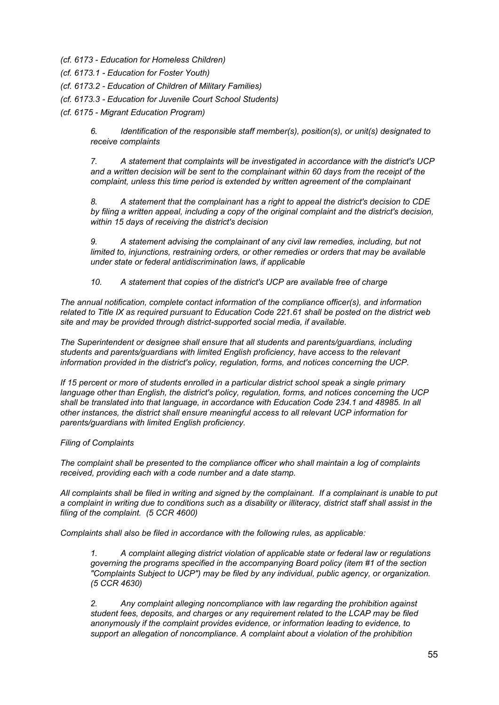- *(cf. 6173 - Education for Homeless Children)*
- *(cf. 6173.1 - Education for Foster Youth)*
- *(cf. 6173.2 - Education of Children of Military Families)*
- *(cf. 6173.3 - Education for Juvenile Court School Students)*

*(cf. 6175 - Migrant Education Program)*

*6. Identification of the responsible staff member(s), position(s), or unit(s) designated to receive complaints*

*7. A statement that complaints will be investigated in accordance with the district's UCP and a written decision will be sent to the complainant within 60 days from the receipt of the complaint, unless this time period is extended by written agreement of the complainant*

*8. A statement that the complainant has a right to appeal the district's decision to CDE by filing a written appeal, including a copy of the original complaint and the district's decision, within 15 days of receiving the district's decision*

*9. A statement advising the complainant of any civil law remedies, including, but not limited to, injunctions, restraining orders, or other remedies or orders that may be available under state or federal antidiscrimination laws, if applicable*

*10. A statement that copies of the district's UCP are available free of charge*

*The annual notification, complete contact information of the compliance officer(s), and information* related to Title IX as required pursuant to Education Code 221.61 shall be posted on the district web *site and may be provided through district-supported social media, if available.*

*The Superintendent or designee shall ensure that all students and parents/guardians, including students and parents/guardians with limited English proficiency, have access to the relevant information provided in the district's policy, regulation, forms, and notices concerning the UCP.*

*If 15 percent or more of students enrolled in a particular district school speak a single primary language other than English, the district's policy, regulation, forms, and notices concerning the UCP shall be translated into that language, in accordance with Education Code 234.1 and 48985. In all other instances, the district shall ensure meaningful access to all relevant UCP information for parents/guardians with limited English proficiency.*

## *Filing of Complaints*

*The complaint shall be presented to the compliance officer who shall maintain a log of complaints received, providing each with a code number and a date stamp.*

All complaints shall be filed in writing and signed by the complainant. If a complainant is unable to put a complaint in writing due to conditions such as a disability or illiteracy, district staff shall assist in the *filing of the complaint. (5 CCR 4600)*

*Complaints shall also be filed in accordance with the following rules, as applicable:*

*1. A complaint alleging district violation of applicable state or federal law or regulations governing the programs specified in the accompanying Board policy (item #1 of the section "Complaints Subject to UCP") may be filed by any individual, public agency, or organization. (5 CCR 4630)*

*2. Any complaint alleging noncompliance with law regarding the prohibition against student fees, deposits, and charges or any requirement related to the LCAP may be filed anonymously if the complaint provides evidence, or information leading to evidence, to support an allegation of noncompliance. A complaint about a violation of the prohibition*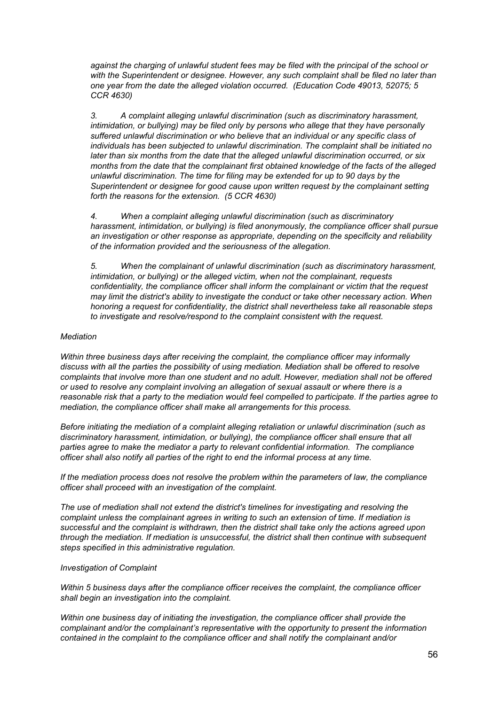*against the charging of unlawful student fees may be filed with the principal of the school or with the Superintendent or designee. However, any such complaint shall be filed no later than one year from the date the alleged violation occurred. (Education Code 49013, 52075; 5 CCR 4630)*

*3. A complaint alleging unlawful discrimination (such as discriminatory harassment, intimidation, or bullying) may be filed only by persons who allege that they have personally suffered unlawful discrimination or who believe that an individual or any specific class of individuals has been subjected to unlawful discrimination. The complaint shall be initiated no later than six months from the date that the alleged unlawful discrimination occurred, or six months from the date that the complainant first obtained knowledge of the facts of the alleged unlawful discrimination. The time for filing may be extended for up to 90 days by the Superintendent or designee for good cause upon written request by the complainant setting forth the reasons for the extension. (5 CCR 4630)*

*4. When a complaint alleging unlawful discrimination (such as discriminatory harassment, intimidation, or bullying) is filed anonymously, the compliance officer shall pursue an investigation or other response as appropriate, depending on the specificity and reliability of the information provided and the seriousness of the allegation.*

*5. When the complainant of unlawful discrimination (such as discriminatory harassment, intimidation, or bullying) or the alleged victim, when not the complainant, requests confidentiality, the compliance officer shall inform the complainant or victim that the request may limit the district's ability to investigate the conduct or take other necessary action. When honoring a request for confidentiality, the district shall nevertheless take all reasonable steps to investigate and resolve/respond to the complaint consistent with the request.*

## *Mediation*

*Within three business days after receiving the complaint, the compliance officer may informally discuss with all the parties the possibility of using mediation. Mediation shall be offered to resolve complaints that involve more than one student and no adult. However, mediation shall not be offered or used to resolve any complaint involving an allegation of sexual assault or where there is a* reasonable risk that a party to the mediation would feel compelled to participate. If the parties agree to *mediation, the compliance officer shall make all arrangements for this process.*

*Before initiating the mediation of a complaint alleging retaliation or unlawful discrimination (such as discriminatory harassment, intimidation, or bullying), the compliance officer shall ensure that all parties agree to make the mediator a party to relevant confidential information. The compliance officer shall also notify all parties of the right to end the informal process at any time.*

*If the mediation process does not resolve the problem within the parameters of law, the compliance officer shall proceed with an investigation of the complaint.*

*The use of mediation shall not extend the district's timelines for investigating and resolving the complaint unless the complainant agrees in writing to such an extension of time. If mediation is successful and the complaint is withdrawn, then the district shall take only the actions agreed upon through the mediation. If mediation is unsuccessful, the district shall then continue with subsequent steps specified in this administrative regulation.*

## *Investigation of Complaint*

*Within 5 business days after the compliance officer receives the complaint, the compliance officer shall begin an investigation into the complaint.*

*Within one business day of initiating the investigation, the compliance officer shall provide the complainant and/or the complainant's representative with the opportunity to present the information contained in the complaint to the compliance officer and shall notify the complainant and/or*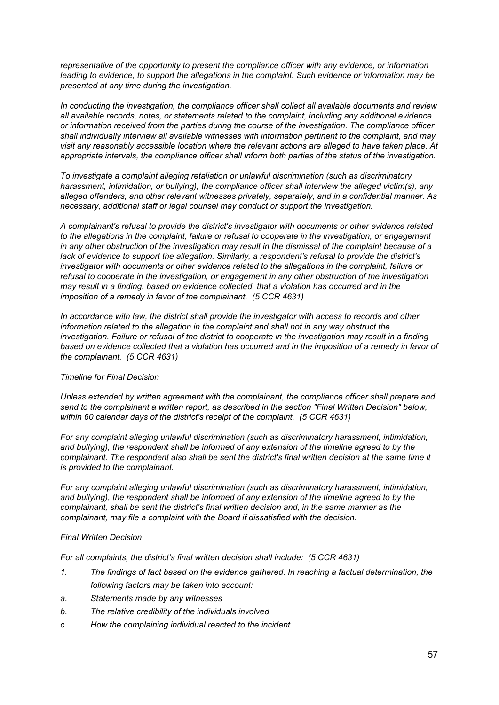*representative of the opportunity to present the compliance officer with any evidence, or information leading to evidence, to support the allegations in the complaint. Such evidence or information may be presented at any time during the investigation.*

*In conducting the investigation, the compliance officer shall collect all available documents and review all available records, notes, or statements related to the complaint, including any additional evidence or information received from the parties during the course of the investigation. The compliance officer shall individually interview all available witnesses with information pertinent to the complaint, and may visit any reasonably accessible location where the relevant actions are alleged to have taken place. At appropriate intervals, the compliance officer shall inform both parties of the status of the investigation.*

*To investigate a complaint alleging retaliation or unlawful discrimination (such as discriminatory harassment, intimidation, or bullying), the compliance officer shall interview the alleged victim(s), any alleged offenders, and other relevant witnesses privately, separately, and in a confidential manner. As necessary, additional staff or legal counsel may conduct or support the investigation.*

*A complainant's refusal to provide the district's investigator with documents or other evidence related to the allegations in the complaint, failure or refusal to cooperate in the investigation, or engagement* in any other obstruction of the investigation may result in the dismissal of the complaint because of a *lack of evidence to support the allegation. Similarly, a respondent's refusal to provide the district's investigator with documents or other evidence related to the allegations in the complaint, failure or refusal to cooperate in the investigation, or engagement in any other obstruction of the investigation may result in a finding, based on evidence collected, that a violation has occurred and in the imposition of a remedy in favor of the complainant. (5 CCR 4631)*

*In accordance with law, the district shall provide the investigator with access to records and other information related to the allegation in the complaint and shall not in any way obstruct the* investigation. Failure or refusal of the district to cooperate in the investigation may result in a finding based on evidence collected that a violation has occurred and in the imposition of a remedy in favor of *the complainant. (5 CCR 4631)*

## *Timeline for Final Decision*

*Unless extended by written agreement with the complainant, the compliance officer shall prepare and send to the complainant a written report, as described in the section "Final Written Decision" below, within 60 calendar days of the district's receipt of the complaint. (5 CCR 4631)*

*For any complaint alleging unlawful discrimination (such as discriminatory harassment, intimidation, and bullying), the respondent shall be informed of any extension of the timeline agreed to by the complainant. The respondent also shall be sent the district's final written decision at the same time it is provided to the complainant.*

*For any complaint alleging unlawful discrimination (such as discriminatory harassment, intimidation, and bullying), the respondent shall be informed of any extension of the timeline agreed to by the complainant, shall be sent the district's final written decision and, in the same manner as the complainant, may file a complaint with the Board if dissatisfied with the decision.*

## *Final Written Decision*

*For all complaints, the district's final written decision shall include: (5 CCR 4631)*

- *1. The findings of fact based on the evidence gathered. In reaching a factual determination, the following factors may be taken into account:*
- *a. Statements made by any witnesses*
- *b. The relative credibility of the individuals involved*
- *c. How the complaining individual reacted to the incident*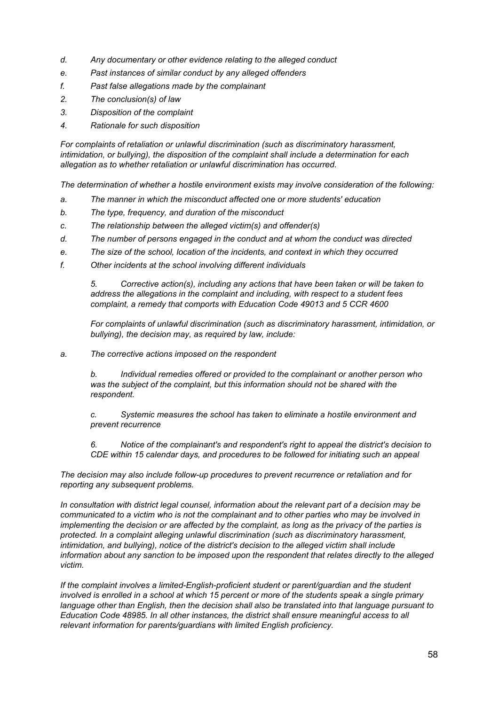- *d. Any documentary or other evidence relating to the alleged conduct*
- *e. Past instances of similar conduct by any alleged offenders*
- *f. Past false allegations made by the complainant*
- *2. The conclusion(s) of law*
- *3. Disposition of the complaint*
- *4. Rationale for such disposition*

*For complaints of retaliation or unlawful discrimination (such as discriminatory harassment, intimidation, or bullying), the disposition of the complaint shall include a determination for each allegation as to whether retaliation or unlawful discrimination has occurred.*

*The determination of whether a hostile environment exists may involve consideration of the following:*

- *a. The manner in which the misconduct affected one or more students' education*
- *b. The type, frequency, and duration of the misconduct*
- *c. The relationship between the alleged victim(s) and offender(s)*
- *d. The number of persons engaged in the conduct and at whom the conduct was directed*
- *e. The size of the school, location of the incidents, and context in which they occurred*
- *f. Other incidents at the school involving different individuals*

*5. Corrective action(s), including any actions that have been taken or will be taken to address the allegations in the complaint and including, with respect to a student fees complaint, a remedy that comports with Education Code 49013 and 5 CCR 4600*

*For complaints of unlawful discrimination (such as discriminatory harassment, intimidation, or bullying), the decision may, as required by law, include:*

*a. The corrective actions imposed on the respondent*

*b. Individual remedies offered or provided to the complainant or another person who was the subject of the complaint, but this information should not be shared with the respondent.*

*c. Systemic measures the school has taken to eliminate a hostile environment and prevent recurrence*

*6. Notice of the complainant's and respondent's right to appeal the district's decision to CDE within 15 calendar days, and procedures to be followed for initiating such an appeal*

*The decision may also include follow-up procedures to prevent recurrence or retaliation and for reporting any subsequent problems.*

*In consultation with district legal counsel, information about the relevant part of a decision may be communicated to a victim who is not the complainant and to other parties who may be involved in* implementing the decision or are affected by the complaint, as long as the privacy of the parties is *protected. In a complaint alleging unlawful discrimination (such as discriminatory harassment, intimidation, and bullying), notice of the district's decision to the alleged victim shall include information about any sanction to be imposed upon the respondent that relates directly to the alleged victim.*

*If the complaint involves a limited-English-proficient student or parent/guardian and the student* involved is enrolled in a school at which 15 percent or more of the students speak a single primary *language other than English, then the decision shall also be translated into that language pursuant to Education Code 48985. In all other instances, the district shall ensure meaningful access to all relevant information for parents/guardians with limited English proficiency.*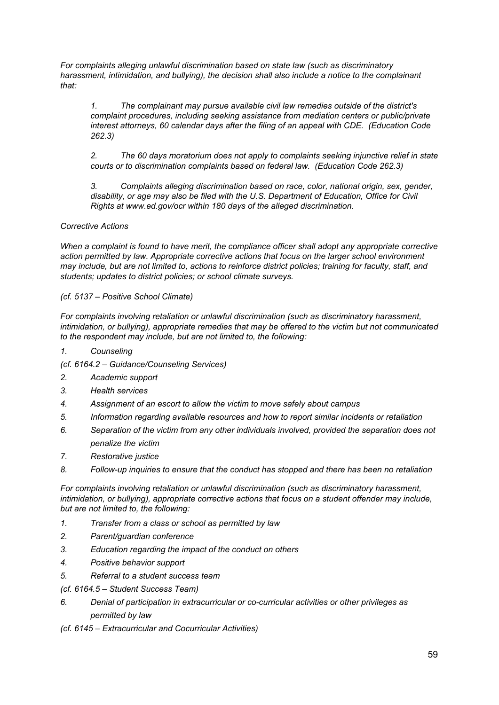*For complaints alleging unlawful discrimination based on state law (such as discriminatory harassment, intimidation, and bullying), the decision shall also include a notice to the complainant that:*

*1. The complainant may pursue available civil law remedies outside of the district's complaint procedures, including seeking assistance from mediation centers or public/private interest attorneys, 60 calendar days after the filing of an appeal with CDE. (Education Code 262.3)*

*2. The 60 days moratorium does not apply to complaints seeking injunctive relief in state courts or to discrimination complaints based on federal law. (Education Code 262.3)*

*3. Complaints alleging discrimination based on race, color, national origin, sex, gender, disability, or age may also be filed with the U.S. Department of Education, Office for Civil Rights at www.ed.gov/ocr within 180 days of the alleged discrimination.*

# *Corrective Actions*

*When a complaint is found to have merit, the compliance officer shall adopt any appropriate corrective action permitted by law. Appropriate corrective actions that focus on the larger school environment* may include, but are not limited to, actions to reinforce district policies; training for faculty, staff, and *students; updates to district policies; or school climate surveys.*

# *(cf. 5137 – Positive School Climate)*

*For complaints involving retaliation or unlawful discrimination (such as discriminatory harassment, intimidation, or bullying), appropriate remedies that may be offered to the victim but not communicated to the respondent may include, but are not limited to, the following:*

- *1. Counseling*
- *(cf. 6164.2 – Guidance/Counseling Services)*
- *2. Academic support*
- *3. Health services*
- *4. Assignment of an escort to allow the victim to move safely about campus*
- *5. Information regarding available resources and how to report similar incidents or retaliation*
- *6. Separation of the victim from any other individuals involved, provided the separation does not penalize the victim*
- *7. Restorative justice*
- *8. Follow-up inquiries to ensure that the conduct has stopped and there has been no retaliation*

*For complaints involving retaliation or unlawful discrimination (such as discriminatory harassment, intimidation, or bullying), appropriate corrective actions that focus on a student offender may include, but are not limited to, the following:*

- *1. Transfer from a class or school as permitted by law*
- *2. Parent/guardian conference*
- *3. Education regarding the impact of the conduct on others*
- *4. Positive behavior support*
- *5. Referral to a student success team*
- *(cf. 6164.5 – Student Success Team)*
- *6. Denial of participation in extracurricular or co-curricular activities or other privileges as permitted by law*
- *(cf. 6145 – Extracurricular and Cocurricular Activities)*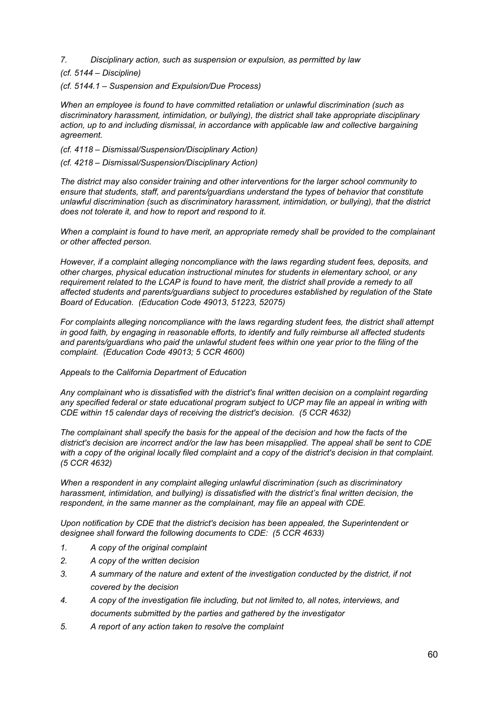- *7. Disciplinary action, such as suspension or expulsion, as permitted by law*
- *(cf. 5144 – Discipline)*
- *(cf. 5144.1 – Suspension and Expulsion/Due Process)*

*When an employee is found to have committed retaliation or unlawful discrimination (such as discriminatory harassment, intimidation, or bullying), the district shall take appropriate disciplinary action, up to and including dismissal, in accordance with applicable law and collective bargaining agreement.*

- *(cf. 4118 – Dismissal/Suspension/Disciplinary Action)*
- *(cf. 4218 – Dismissal/Suspension/Disciplinary Action)*

*The district may also consider training and other interventions for the larger school community to ensure that students, staff, and parents/guardians understand the types of behavior that constitute unlawful discrimination (such as discriminatory harassment, intimidation, or bullying), that the district does not tolerate it, and how to report and respond to it.*

*When a complaint is found to have merit, an appropriate remedy shall be provided to the complainant or other affected person.*

*However, if a complaint alleging noncompliance with the laws regarding student fees, deposits, and other charges, physical education instructional minutes for students in elementary school, or any requirement related to the LCAP is found to have merit, the district shall provide a remedy to all affected students and parents/guardians subject to procedures established by regulation of the State Board of Education. (Education Code 49013, 51223, 52075)*

*For complaints alleging noncompliance with the laws regarding student fees, the district shall attempt in good faith, by engaging in reasonable efforts, to identify and fully reimburse all affected students and parents/guardians who paid the unlawful student fees within one year prior to the filing of the complaint. (Education Code 49013; 5 CCR 4600)*

## *Appeals to the California Department of Education*

*Any complainant who is dissatisfied with the district's final written decision on a complaint regarding any specified federal or state educational program subject to UCP may file an appeal in writing with CDE within 15 calendar days of receiving the district's decision. (5 CCR 4632)*

*The complainant shall specify the basis for the appeal of the decision and how the facts of the district's decision are incorrect and/or the law has been misapplied. The appeal shall be sent to CDE* with a copy of the original locally filed complaint and a copy of the district's decision in that complaint. *(5 CCR 4632)*

*When a respondent in any complaint alleging unlawful discrimination (such as discriminatory harassment, intimidation, and bullying) is dissatisfied with the district's final written decision, the respondent, in the same manner as the complainant, may file an appeal with CDE.*

*Upon notification by CDE that the district's decision has been appealed, the Superintendent or designee shall forward the following documents to CDE: (5 CCR 4633)*

- *1. A copy of the original complaint*
- *2. A copy of the written decision*
- *3. A summary of the nature and extent of the investigation conducted by the district, if not covered by the decision*
- *4. A copy of the investigation file including, but not limited to, all notes, interviews, and documents submitted by the parties and gathered by the investigator*
- *5. A report of any action taken to resolve the complaint*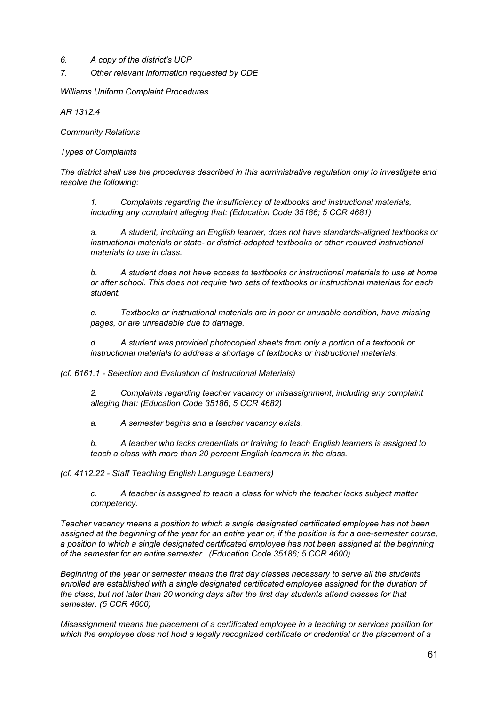- *6. A copy of the district's UCP*
- *7. Other relevant information requested by CDE*

*Williams Uniform Complaint Procedures*

*AR 1312.4*

*Community Relations*

*Types of Complaints*

*The district shall use the procedures described in this administrative regulation only to investigate and resolve the following:*

*1. Complaints regarding the insufficiency of textbooks and instructional materials, including any complaint alleging that: (Education Code 35186; 5 CCR 4681)*

*a. A student, including an English learner, does not have standards-aligned textbooks or instructional materials or state- or district-adopted textbooks or other required instructional materials to use in class.*

*b. A student does not have access to textbooks or instructional materials to use at home or after school. This does not require two sets of textbooks or instructional materials for each student.*

*c. Textbooks or instructional materials are in poor or unusable condition, have missing pages, or are unreadable due to damage.*

*d. A student was provided photocopied sheets from only a portion of a textbook or instructional materials to address a shortage of textbooks or instructional materials.*

*(cf. 6161.1 - Selection and Evaluation of Instructional Materials)*

*2. Complaints regarding teacher vacancy or misassignment, including any complaint alleging that: (Education Code 35186; 5 CCR 4682)*

*a. A semester begins and a teacher vacancy exists.*

*b. A teacher who lacks credentials or training to teach English learners is assigned to teach a class with more than 20 percent English learners in the class.*

*(cf. 4112.22 - Staff Teaching English Language Learners)*

*c. A teacher is assigned to teach a class for which the teacher lacks subject matter competency.*

*Teacher vacancy means a position to which a single designated certificated employee has not been* assigned at the beginning of the year for an entire year or, if the position is for a one-semester course, *a position to which a single designated certificated employee has not been assigned at the beginning of the semester for an entire semester. (Education Code 35186; 5 CCR 4600)*

*Beginning of the year or semester means the first day classes necessary to serve all the students enrolled are established with a single designated certificated employee assigned for the duration of the class, but not later than 20 working days after the first day students attend classes for that semester. (5 CCR 4600)*

*Misassignment means the placement of a certificated employee in a teaching or services position for which the employee does not hold a legally recognized certificate or credential or the placement of a*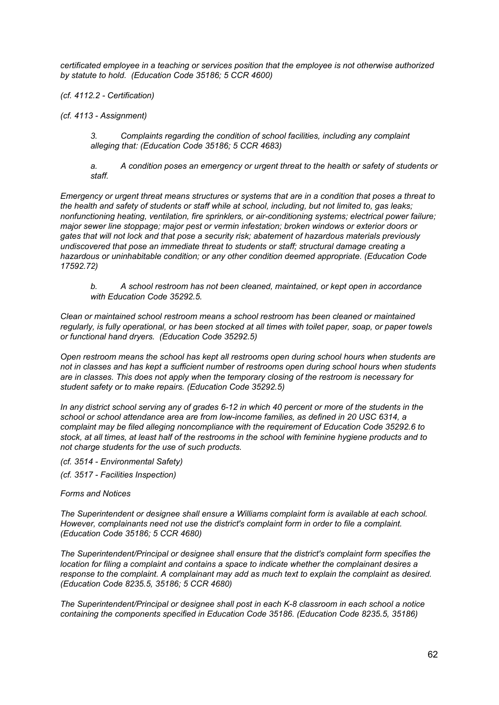*certificated employee in a teaching or services position that the employee is not otherwise authorized by statute to hold. (Education Code 35186; 5 CCR 4600)*

*(cf. 4112.2 - Certification)*

*(cf. 4113 - Assignment)*

*3. Complaints regarding the condition of school facilities, including any complaint alleging that: (Education Code 35186; 5 CCR 4683)*

*a. A condition poses an emergency or urgent threat to the health or safety of students or staff.*

Emergency or urgent threat means structures or systems that are in a condition that poses a threat to the health and safety of students or staff while at school, including, but not limited to, gas leaks; *nonfunctioning heating, ventilation, fire sprinklers, or air-conditioning systems; electrical power failure; major sewer line stoppage; major pest or vermin infestation; broken windows or exterior doors or gates that will not lock and that pose a security risk; abatement of hazardous materials previously undiscovered that pose an immediate threat to students or staff; structural damage creating a hazardous or uninhabitable condition; or any other condition deemed appropriate. (Education Code 17592.72)*

*b. A school restroom has not been cleaned, maintained, or kept open in accordance with Education Code 35292.5.*

*Clean or maintained school restroom means a school restroom has been cleaned or maintained* regularly, is fully operational, or has been stocked at all times with toilet paper, soap, or paper towels *or functional hand dryers. (Education Code 35292.5)*

*Open restroom means the school has kept all restrooms open during school hours when students are not in classes and has kept a sufficient number of restrooms open during school hours when students are in classes. This does not apply when the temporary closing of the restroom is necessary for student safety or to make repairs. (Education Code 35292.5)*

In any district school serving any of grades 6-12 in which 40 percent or more of the students in the *school or school attendance area are from low-income families, as defined in 20 USC 6314, a complaint may be filed alleging noncompliance with the requirement of Education Code 35292.6 to* stock, at all times, at least half of the restrooms in the school with feminine hygiene products and to *not charge students for the use of such products.*

*(cf. 3514 - Environmental Safety)*

*(cf. 3517 - Facilities Inspection)*

*Forms and Notices*

*The Superintendent or designee shall ensure a Williams complaint form is available at each school. However, complainants need not use the district's complaint form in order to file a complaint. (Education Code 35186; 5 CCR 4680)*

*The Superintendent/Principal or designee shall ensure that the district's complaint form specifies the location for filing a complaint and contains a space to indicate whether the complainant desires a response to the complaint. A complainant may add as much text to explain the complaint as desired. (Education Code 8235.5, 35186; 5 CCR 4680)*

*The Superintendent/Principal or designee shall post in each K-8 classroom in each school a notice containing the components specified in Education Code 35186. (Education Code 8235.5, 35186)*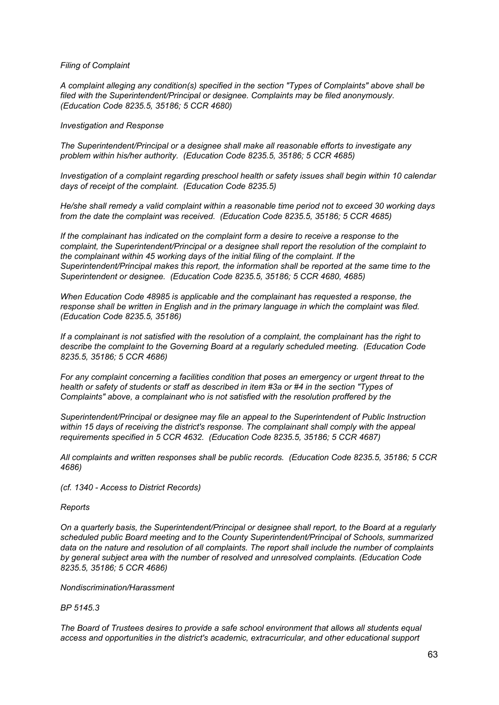## *Filing of Complaint*

*A complaint alleging any condition(s) specified in the section "Types of Complaints" above shall be filed with the Superintendent/Principal or designee. Complaints may be filed anonymously. (Education Code 8235.5, 35186; 5 CCR 4680)*

#### *Investigation and Response*

*The Superintendent/Principal or a designee shall make all reasonable efforts to investigate any problem within his/her authority. (Education Code 8235.5, 35186; 5 CCR 4685)*

*Investigation of a complaint regarding preschool health or safety issues shall begin within 10 calendar days of receipt of the complaint. (Education Code 8235.5)*

*He/she shall remedy a valid complaint within a reasonable time period not to exceed 30 working days from the date the complaint was received. (Education Code 8235.5, 35186; 5 CCR 4685)*

*If the complainant has indicated on the complaint form a desire to receive a response to the complaint, the Superintendent/Principal or a designee shall report the resolution of the complaint to the complainant within 45 working days of the initial filing of the complaint. If the Superintendent/Principal makes this report, the information shall be reported at the same time to the Superintendent or designee. (Education Code 8235.5, 35186; 5 CCR 4680, 4685)*

*When Education Code 48985 is applicable and the complainant has requested a response, the response shall be written in English and in the primary language in which the complaint was filed. (Education Code 8235.5, 35186)*

If a complainant is not satisfied with the resolution of a complaint, the complainant has the right to *describe the complaint to the Governing Board at a regularly scheduled meeting. (Education Code 8235.5, 35186; 5 CCR 4686)*

*For any complaint concerning a facilities condition that poses an emergency or urgent threat to the* health or safety of students or staff as described in item #3a or #4 in the section "Types of *Complaints" above, a complainant who is not satisfied with the resolution proffered by the*

*Superintendent/Principal or designee may file an appeal to the Superintendent of Public Instruction within 15 days of receiving the district's response. The complainant shall comply with the appeal requirements specified in 5 CCR 4632. (Education Code 8235.5, 35186; 5 CCR 4687)*

*All complaints and written responses shall be public records. (Education Code 8235.5, 35186; 5 CCR 4686)*

*(cf. 1340 - Access to District Records)*

#### *Reports*

*On a quarterly basis, the Superintendent/Principal or designee shall report, to the Board at a regularly scheduled public Board meeting and to the County Superintendent/Principal of Schools, summarized data on the nature and resolution of all complaints. The report shall include the number of complaints by general subject area with the number of resolved and unresolved complaints. (Education Code 8235.5, 35186; 5 CCR 4686)*

#### *Nondiscrimination/Harassment*

## *BP 5145.3*

*The Board of Trustees desires to provide a safe school environment that allows all students equal access and opportunities in the district's academic, extracurricular, and other educational support*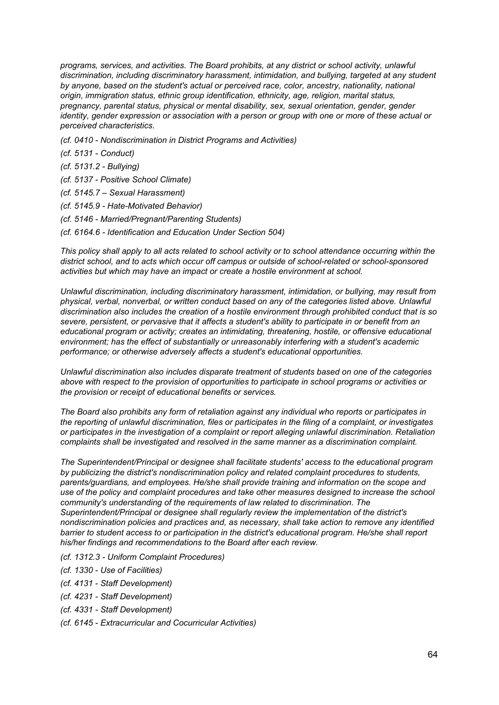*programs, services, and activities. The Board prohibits, at any district or school activity, unlawful discrimination, including discriminatory harassment, intimidation, and bullying, targeted at any student by anyone, based on the student's actual or perceived race, color, ancestry, nationality, national origin, immigration status, ethnic group identification, ethnicity, age, religion, marital status, pregnancy, parental status, physical or mental disability, sex, sexual orientation, gender, gender* identity, gender expression or association with a person or group with one or more of these actual or *perceived characteristics.*

- *(cf. 0410 - Nondiscrimination in District Programs and Activities)*
- *(cf. 5131 - Conduct)*
- *(cf. 5131.2 - Bullying)*
- *(cf. 5137 - Positive School Climate)*
- *(cf. 5145.7 – Sexual Harassment)*
- *(cf. 5145.9 - Hate-Motivated Behavior)*
- *(cf. 5146 - Married/Pregnant/Parenting Students)*
- *(cf. 6164.6 - Identification and Education Under Section 504)*

This policy shall apply to all acts related to school activity or to school attendance occurring within the *district school, and to acts which occur off campus or outside of school-related or school-sponsored activities but which may have an impact or create a hostile environment at school.*

*Unlawful discrimination, including discriminatory harassment, intimidation, or bullying, may result from physical, verbal, nonverbal, or written conduct based on any of the categories listed above. Unlawful discrimination also includes the creation of a hostile environment through prohibited conduct that is so severe, persistent, or pervasive that it affects a student's ability to participate in or benefit from an educational program or activity; creates an intimidating, threatening, hostile, or offensive educational environment; has the effect of substantially or unreasonably interfering with a student's academic performance; or otherwise adversely affects a student's educational opportunities.*

*Unlawful discrimination also includes disparate treatment of students based on one of the categories above with respect to the provision of opportunities to participate in school programs or activities or the provision or receipt of educational benefits or services.*

*The Board also prohibits any form of retaliation against any individual who reports or participates in the reporting of unlawful discrimination, files or participates in the filing of a complaint, or investigates or participates in the investigation of a complaint or report alleging unlawful discrimination. Retaliation complaints shall be investigated and resolved in the same manner as a discrimination complaint.*

*The Superintendent/Principal or designee shall facilitate students' access to the educational program by publicizing the district's nondiscrimination policy and related complaint procedures to students, parents/guardians, and employees. He/she shall provide training and information on the scope and use of the policy and complaint procedures and take other measures designed to increase the school community's understanding of the requirements of law related to discrimination. The Superintendent/Principal or designee shall regularly review the implementation of the district's nondiscrimination policies and practices and, as necessary, shall take action to remove any identified barrier to student access to or participation in the district's educational program. He/she shall report his/her findings and recommendations to the Board after each review.*

- *(cf. 1312.3 - Uniform Complaint Procedures)*
- *(cf. 1330 - Use of Facilities)*
- *(cf. 4131 - Staff Development)*
- *(cf. 4231 - Staff Development)*
- *(cf. 4331 - Staff Development)*
- *(cf. 6145 - Extracurricular and Cocurricular Activities)*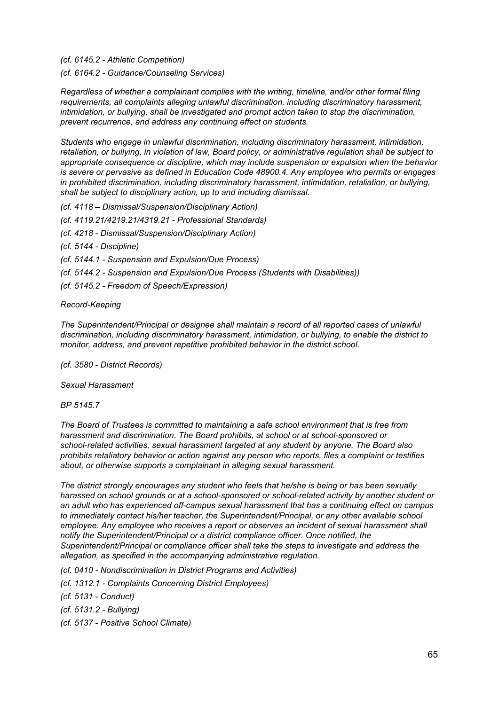*(cf. 6145.2 - Athletic Competition)*

*(cf. 6164.2 - Guidance/Counseling Services)*

*Regardless of whether a complainant complies with the writing, timeline, and/or other formal filing requirements, all complaints alleging unlawful discrimination, including discriminatory harassment, intimidation, or bullying, shall be investigated and prompt action taken to stop the discrimination, prevent recurrence, and address any continuing effect on students.*

*Students who engage in unlawful discrimination, including discriminatory harassment, intimidation, retaliation, or bullying, in violation of law, Board policy, or administrative regulation shall be subject to appropriate consequence or discipline, which may include suspension or expulsion when the behavior is severe or pervasive as defined in Education Code 48900.4. Any employee who permits or engages in prohibited discrimination, including discriminatory harassment, intimidation, retaliation, or bullying, shall be subject to disciplinary action, up to and including dismissal.*

*(cf. 4118 – Dismissal/Suspension/Disciplinary Action)*

*(cf. 4119.21/4219.21/4319.21 - Professional Standards)*

*(cf. 4218 - Dismissal/Suspension/Disciplinary Action)*

*(cf. 5144 - Discipline)*

*(cf. 5144.1 - Suspension and Expulsion/Due Process)*

*(cf. 5144.2 - Suspension and Expulsion/Due Process (Students with Disabilities))*

*(cf. 5145.2 - Freedom of Speech/Expression)*

*Record-Keeping*

*The Superintendent/Principal or designee shall maintain a record of all reported cases of unlawful discrimination, including discriminatory harassment, intimidation, or bullying, to enable the district to monitor, address, and prevent repetitive prohibited behavior in the district school.*

*(cf. 3580 - District Records)*

*Sexual Harassment*

*BP 5145.7*

*The Board of Trustees is committed to maintaining a safe school environment that is free from harassment and discrimination. The Board prohibits, at school or at school-sponsored or school-related activities, sexual harassment targeted at any student by anyone. The Board also prohibits retaliatory behavior or action against any person who reports, files a complaint or testifies about, or otherwise supports a complainant in alleging sexual harassment.*

*The district strongly encourages any student who feels that he/she is being or has been sexually harassed on school grounds or at a school-sponsored or school-related activity by another student or an adult who has experienced off-campus sexual harassment that has a continuing effect on campus to immediately contact his/her teacher, the Superintendent/Principal, or any other available school employee. Any employee who receives a report or observes an incident of sexual harassment shall notify the Superintendent/Principal or a district compliance officer. Once notified, the Superintendent/Principal or compliance officer shall take the steps to investigate and address the allegation, as specified in the accompanying administrative regulation.*

*(cf. 0410 - Nondiscrimination in District Programs and Activities)*

*(cf. 1312.1 - Complaints Concerning District Employees)*

*(cf. 5131 - Conduct)*

*(cf. 5131.2 - Bullying)*

*(cf. 5137 - Positive School Climate)*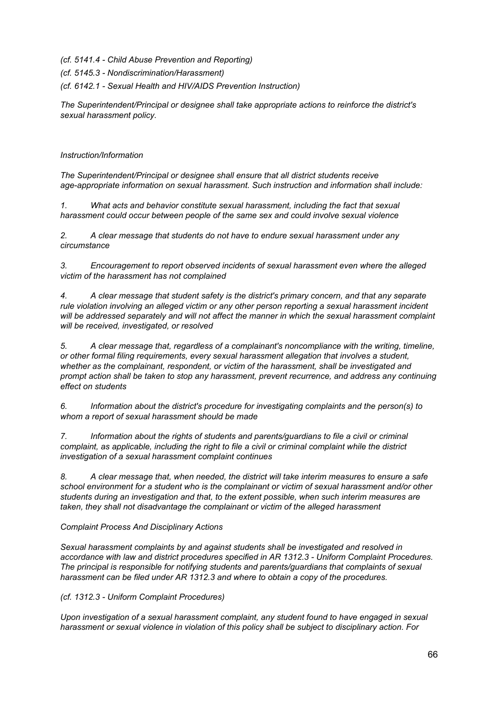*(cf. 5141.4 - Child Abuse Prevention and Reporting)*

*(cf. 5145.3 - Nondiscrimination/Harassment)*

*(cf. 6142.1 - Sexual Health and HIV/AIDS Prevention Instruction)*

*The Superintendent/Principal or designee shall take appropriate actions to reinforce the district's sexual harassment policy.*

# *Instruction/Information*

*The Superintendent/Principal or designee shall ensure that all district students receive age-appropriate information on sexual harassment. Such instruction and information shall include:*

*1. What acts and behavior constitute sexual harassment, including the fact that sexual harassment could occur between people of the same sex and could involve sexual violence*

*2. A clear message that students do not have to endure sexual harassment under any circumstance*

*3. Encouragement to report observed incidents of sexual harassment even where the alleged victim of the harassment has not complained*

*4. A clear message that student safety is the district's primary concern, and that any separate rule violation involving an alleged victim or any other person reporting a sexual harassment incident will be addressed separately and will not affect the manner in which the sexual harassment complaint will be received, investigated, or resolved*

*5. A clear message that, regardless of a complainant's noncompliance with the writing, timeline, or other formal filing requirements, every sexual harassment allegation that involves a student, whether as the complainant, respondent, or victim of the harassment, shall be investigated and prompt action shall be taken to stop any harassment, prevent recurrence, and address any continuing effect on students*

*6. Information about the district's procedure for investigating complaints and the person(s) to whom a report of sexual harassment should be made*

*7. Information about the rights of students and parents/guardians to file a civil or criminal complaint, as applicable, including the right to file a civil or criminal complaint while the district investigation of a sexual harassment complaint continues*

*8. A clear message that, when needed, the district will take interim measures to ensure a safe school environment for a student who is the complainant or victim of sexual harassment and/or other students during an investigation and that, to the extent possible, when such interim measures are taken, they shall not disadvantage the complainant or victim of the alleged harassment*

# *Complaint Process And Disciplinary Actions*

*Sexual harassment complaints by and against students shall be investigated and resolved in accordance with law and district procedures specified in AR 1312.3 - Uniform Complaint Procedures. The principal is responsible for notifying students and parents/guardians that complaints of sexual harassment can be filed under AR 1312.3 and where to obtain a copy of the procedures.*

*(cf. 1312.3 - Uniform Complaint Procedures)*

*Upon investigation of a sexual harassment complaint, any student found to have engaged in sexual harassment or sexual violence in violation of this policy shall be subject to disciplinary action. For*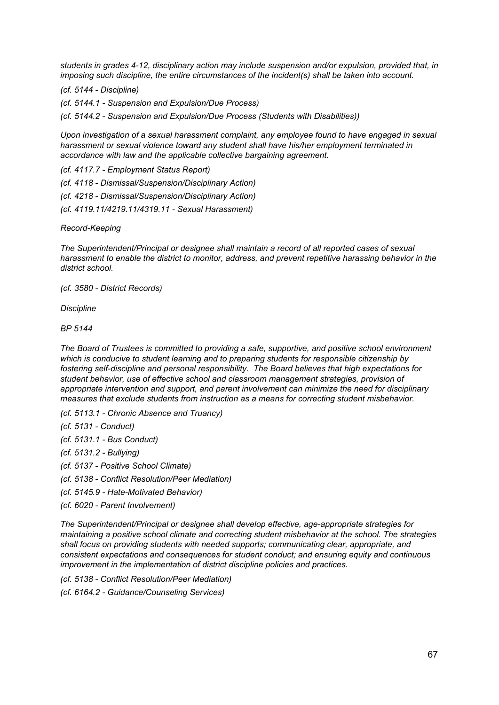*students in grades 4-12, disciplinary action may include suspension and/or expulsion, provided that, in imposing such discipline, the entire circumstances of the incident(s) shall be taken into account.*

*(cf. 5144 - Discipline)*

*(cf. 5144.1 - Suspension and Expulsion/Due Process)*

*(cf. 5144.2 - Suspension and Expulsion/Due Process (Students with Disabilities))*

*Upon investigation of a sexual harassment complaint, any employee found to have engaged in sexual harassment or sexual violence toward any student shall have his/her employment terminated in accordance with law and the applicable collective bargaining agreement.*

*(cf. 4117.7 - Employment Status Report) (cf. 4118 - Dismissal/Suspension/Disciplinary Action) (cf. 4218 - Dismissal/Suspension/Disciplinary Action) (cf. 4119.11/4219.11/4319.11 - Sexual Harassment)*

*Record-Keeping*

*The Superintendent/Principal or designee shall maintain a record of all reported cases of sexual harassment to enable the district to monitor, address, and prevent repetitive harassing behavior in the district school.*

*(cf. 3580 - District Records)*

*Discipline*

*BP 5144*

*The Board of Trustees is committed to providing a safe, supportive, and positive school environment which is conducive to student learning and to preparing students for responsible citizenship by fostering self-discipline and personal responsibility. The Board believes that high expectations for student behavior, use of effective school and classroom management strategies, provision of appropriate intervention and support, and parent involvement can minimize the need for disciplinary measures that exclude students from instruction as a means for correcting student misbehavior.*

*(cf. 5113.1 - Chronic Absence and Truancy)*

*(cf. 5131 - Conduct)*

- *(cf. 5131.1 - Bus Conduct)*
- *(cf. 5131.2 - Bullying)*

*(cf. 5137 - Positive School Climate)*

*(cf. 5138 - Conflict Resolution/Peer Mediation)*

- *(cf. 5145.9 - Hate-Motivated Behavior)*
- *(cf. 6020 - Parent Involvement)*

*The Superintendent/Principal or designee shall develop effective, age-appropriate strategies for maintaining a positive school climate and correcting student misbehavior at the school. The strategies shall focus on providing students with needed supports; communicating clear, appropriate, and consistent expectations and consequences for student conduct; and ensuring equity and continuous improvement in the implementation of district discipline policies and practices.*

*(cf. 5138 - Conflict Resolution/Peer Mediation)*

*(cf. 6164.2 - Guidance/Counseling Services)*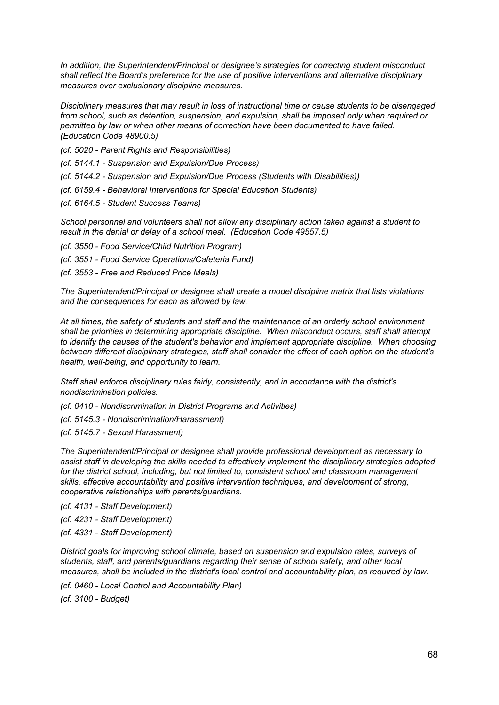*In addition, the Superintendent/Principal or designee's strategies for correcting student misconduct shall reflect the Board's preference for the use of positive interventions and alternative disciplinary measures over exclusionary discipline measures.*

*Disciplinary measures that may result in loss of instructional time or cause students to be disengaged from school, such as detention, suspension, and expulsion, shall be imposed only when required or permitted by law or when other means of correction have been documented to have failed. (Education Code 48900.5)*

*(cf. 5020 - Parent Rights and Responsibilities)*

*(cf. 5144.1 - Suspension and Expulsion/Due Process)*

*(cf. 5144.2 - Suspension and Expulsion/Due Process (Students with Disabilities))*

*(cf. 6159.4 - Behavioral Interventions for Special Education Students)*

*(cf. 6164.5 - Student Success Teams)*

*School personnel and volunteers shall not allow any disciplinary action taken against a student to result in the denial or delay of a school meal. (Education Code 49557.5)*

*(cf. 3550 - Food Service/Child Nutrition Program)*

*(cf. 3551 - Food Service Operations/Cafeteria Fund)*

*(cf. 3553 - Free and Reduced Price Meals)*

*The Superintendent/Principal or designee shall create a model discipline matrix that lists violations and the consequences for each as allowed by law.*

*At all times, the safety of students and staff and the maintenance of an orderly school environment shall be priorities in determining appropriate discipline. When misconduct occurs, staff shall attempt to identify the causes of the student's behavior and implement appropriate discipline. When choosing between different disciplinary strategies, staff shall consider the effect of each option on the student's health, well-being, and opportunity to learn.*

*Staff shall enforce disciplinary rules fairly, consistently, and in accordance with the district's nondiscrimination policies.*

*(cf. 0410 - Nondiscrimination in District Programs and Activities)*

*(cf. 5145.3 - Nondiscrimination/Harassment)*

*(cf. 5145.7 - Sexual Harassment)*

*The Superintendent/Principal or designee shall provide professional development as necessary to assist staff in developing the skills needed to effectively implement the disciplinary strategies adopted for the district school, including, but not limited to, consistent school and classroom management skills, effective accountability and positive intervention techniques, and development of strong, cooperative relationships with parents/guardians.*

*(cf. 4131 - Staff Development)*

*(cf. 4231 - Staff Development)*

*(cf. 4331 - Staff Development)*

*District goals for improving school climate, based on suspension and expulsion rates, surveys of students, staff, and parents/guardians regarding their sense of school safety, and other local measures, shall be included in the district's local control and accountability plan, as required by law.*

*(cf. 0460 - Local Control and Accountability Plan)*

*(cf. 3100 - Budget)*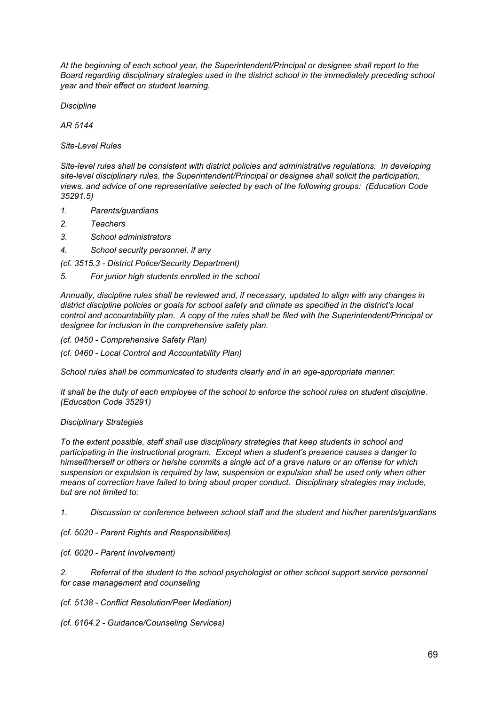*At the beginning of each school year, the Superintendent/Principal or designee shall report to the Board regarding disciplinary strategies used in the district school in the immediately preceding school year and their effect on student learning.*

*Discipline*

*AR 5144*

*Site-Level Rules*

*Site-level rules shall be consistent with district policies and administrative regulations. In developing site-level disciplinary rules, the Superintendent/Principal or designee shall solicit the participation, views, and advice of one representative selected by each of the following groups: (Education Code 35291.5)*

- *1. Parents/guardians*
- *2. Teachers*
- *3. School administrators*
- *4. School security personnel, if any*

*(cf. 3515.3 - District Police/Security Department)*

*5. For junior high students enrolled in the school*

*Annually, discipline rules shall be reviewed and, if necessary, updated to align with any changes in district discipline policies or goals for school safety and climate as specified in the district's local control and accountability plan. A copy of the rules shall be filed with the Superintendent/Principal or designee for inclusion in the comprehensive safety plan.*

*(cf. 0450 - Comprehensive Safety Plan)*

*(cf. 0460 - Local Control and Accountability Plan)*

*School rules shall be communicated to students clearly and in an age-appropriate manner.*

It shall be the duty of each employee of the school to enforce the school rules on student discipline. *(Education Code 35291)*

## *Disciplinary Strategies*

*To the extent possible, staff shall use disciplinary strategies that keep students in school and participating in the instructional program. Except when a student's presence causes a danger to himself/herself or others or he/she commits a single act of a grave nature or an offense for which suspension or expulsion is required by law, suspension or expulsion shall be used only when other means of correction have failed to bring about proper conduct. Disciplinary strategies may include, but are not limited to:*

*1. Discussion or conference between school staff and the student and his/her parents/guardians*

*(cf. 5020 - Parent Rights and Responsibilities)*

*(cf. 6020 - Parent Involvement)*

*2. Referral of the student to the school psychologist or other school support service personnel for case management and counseling*

*(cf. 5138 - Conflict Resolution/Peer Mediation)*

*(cf. 6164.2 - Guidance/Counseling Services)*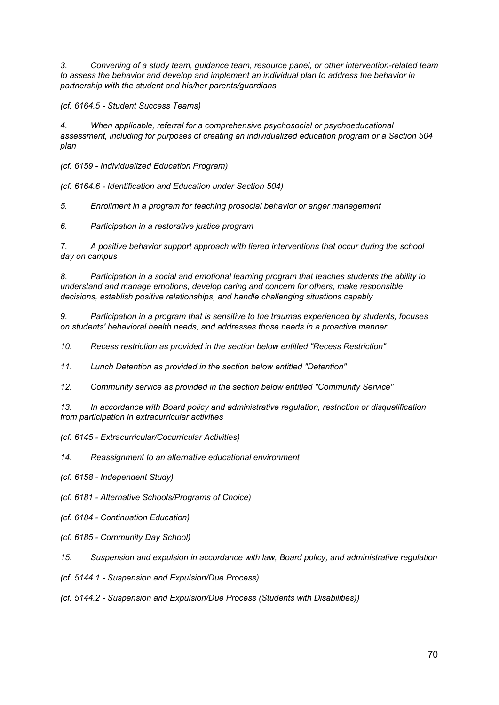*3. Convening of a study team, guidance team, resource panel, or other intervention-related team to assess the behavior and develop and implement an individual plan to address the behavior in partnership with the student and his/her parents/guardians*

*(cf. 6164.5 - Student Success Teams)*

*4. When applicable, referral for a comprehensive psychosocial or psychoeducational assessment, including for purposes of creating an individualized education program or a Section 504 plan*

*(cf. 6159 - Individualized Education Program)*

*(cf. 6164.6 - Identification and Education under Section 504)*

*5. Enrollment in a program for teaching prosocial behavior or anger management*

*6. Participation in a restorative justice program*

*7. A positive behavior support approach with tiered interventions that occur during the school day on campus*

*8. Participation in a social and emotional learning program that teaches students the ability to understand and manage emotions, develop caring and concern for others, make responsible decisions, establish positive relationships, and handle challenging situations capably*

*9. Participation in a program that is sensitive to the traumas experienced by students, focuses on students' behavioral health needs, and addresses those needs in a proactive manner*

*10. Recess restriction as provided in the section below entitled "Recess Restriction"*

*11. Lunch Detention as provided in the section below entitled "Detention"*

*12. Community service as provided in the section below entitled "Community Service"*

*13. In accordance with Board policy and administrative regulation, restriction or disqualification from participation in extracurricular activities*

*(cf. 6145 - Extracurricular/Cocurricular Activities)*

*14. Reassignment to an alternative educational environment*

*(cf. 6158 - Independent Study)*

*(cf. 6181 - Alternative Schools/Programs of Choice)*

- *(cf. 6184 - Continuation Education)*
- *(cf. 6185 - Community Day School)*

*15. Suspension and expulsion in accordance with law, Board policy, and administrative regulation*

*(cf. 5144.1 - Suspension and Expulsion/Due Process)*

*(cf. 5144.2 - Suspension and Expulsion/Due Process (Students with Disabilities))*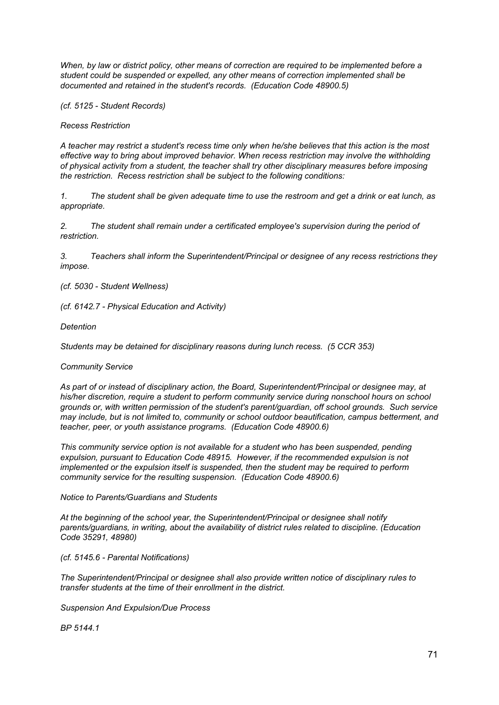*When, by law or district policy, other means of correction are required to be implemented before a student could be suspended or expelled, any other means of correction implemented shall be documented and retained in the student's records. (Education Code 48900.5)*

*(cf. 5125 - Student Records)*

*Recess Restriction*

A teacher may restrict a student's recess time only when he/she believes that this action is the most *effective way to bring about improved behavior. When recess restriction may involve the withholding of physical activity from a student, the teacher shall try other disciplinary measures before imposing the restriction. Recess restriction shall be subject to the following conditions:*

1. The student shall be given adequate time to use the restroom and get a drink or eat lunch, as *appropriate.*

*2. The student shall remain under a certificated employee's supervision during the period of restriction.*

*3. Teachers shall inform the Superintendent/Principal or designee of any recess restrictions they impose.*

*(cf. 5030 - Student Wellness)*

*(cf. 6142.7 - Physical Education and Activity)*

*Detention*

*Students may be detained for disciplinary reasons during lunch recess. (5 CCR 353)*

## *Community Service*

*As part of or instead of disciplinary action, the Board, Superintendent/Principal or designee may, at his/her discretion, require a student to perform community service during nonschool hours on school grounds or, with written permission of the student's parent/guardian, off school grounds. Such service may include, but is not limited to, community or school outdoor beautification, campus betterment, and teacher, peer, or youth assistance programs. (Education Code 48900.6)*

*This community service option is not available for a student who has been suspended, pending expulsion, pursuant to Education Code 48915. However, if the recommended expulsion is not implemented or the expulsion itself is suspended, then the student may be required to perform community service for the resulting suspension. (Education Code 48900.6)*

*Notice to Parents/Guardians and Students*

*At the beginning of the school year, the Superintendent/Principal or designee shall notify parents/guardians, in writing, about the availability of district rules related to discipline. (Education Code 35291, 48980)*

*(cf. 5145.6 - Parental Notifications)*

*The Superintendent/Principal or designee shall also provide written notice of disciplinary rules to transfer students at the time of their enrollment in the district.*

*Suspension And Expulsion/Due Process*

*BP 5144.1*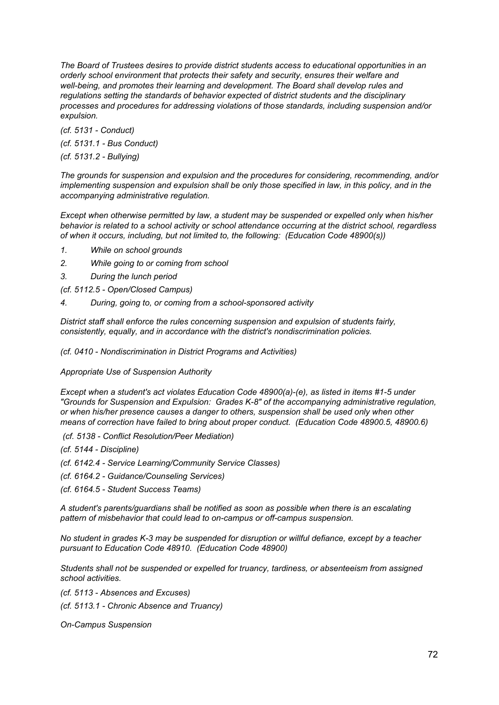*The Board of Trustees desires to provide district students access to educational opportunities in an orderly school environment that protects their safety and security, ensures their welfare and well-being, and promotes their learning and development. The Board shall develop rules and regulations setting the standards of behavior expected of district students and the disciplinary processes and procedures for addressing violations of those standards, including suspension and/or expulsion.*

*(cf. 5131 - Conduct) (cf. 5131.1 - Bus Conduct)*

*(cf. 5131.2 - Bullying)*

*The grounds for suspension and expulsion and the procedures for considering, recommending, and/or implementing suspension and expulsion shall be only those specified in law, in this policy, and in the accompanying administrative regulation.*

*Except when otherwise permitted by law, a student may be suspended or expelled only when his/her behavior is related to a school activity or school attendance occurring at the district school, regardless of when it occurs, including, but not limited to, the following: (Education Code 48900(s))*

- *1. While on school grounds*
- *2. While going to or coming from school*
- *3. During the lunch period*
- *(cf. 5112.5 - Open/Closed Campus)*
- *4. During, going to, or coming from a school-sponsored activity*

*District staff shall enforce the rules concerning suspension and expulsion of students fairly, consistently, equally, and in accordance with the district's nondiscrimination policies.*

*(cf. 0410 - Nondiscrimination in District Programs and Activities)*

*Appropriate Use of Suspension Authority*

*Except when a student's act violates Education Code 48900(a)-(e), as listed in items #1-5 under "Grounds for Suspension and Expulsion: Grades K-8" of the accompanying administrative regulation, or when his/her presence causes a danger to others, suspension shall be used only when other means of correction have failed to bring about proper conduct. (Education Code 48900.5, 48900.6)*

- *(cf. 5138 - Conflict Resolution/Peer Mediation)*
- *(cf. 5144 - Discipline)*
- *(cf. 6142.4 - Service Learning/Community Service Classes)*
- *(cf. 6164.2 - Guidance/Counseling Services)*
- *(cf. 6164.5 - Student Success Teams)*

*A student's parents/guardians shall be notified as soon as possible when there is an escalating pattern of misbehavior that could lead to on-campus or off-campus suspension.*

*No student in grades K-3 may be suspended for disruption or willful defiance, except by a teacher pursuant to Education Code 48910. (Education Code 48900)*

*Students shall not be suspended or expelled for truancy, tardiness, or absenteeism from assigned school activities.*

*(cf. 5113 - Absences and Excuses)*

*(cf. 5113.1 - Chronic Absence and Truancy)*

*On-Campus Suspension*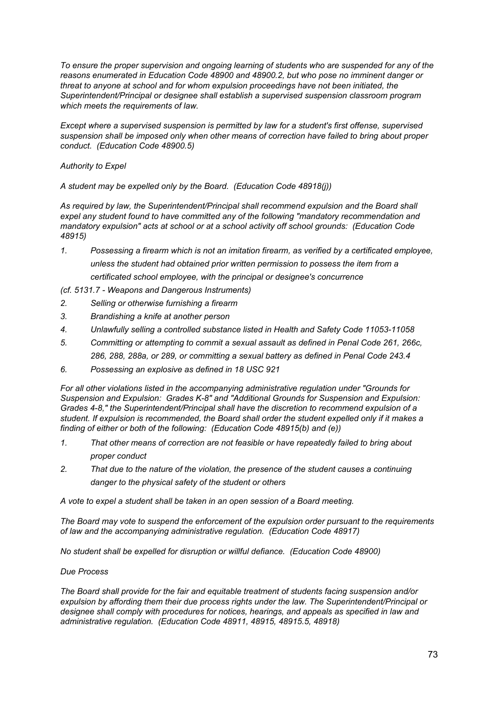*To ensure the proper supervision and ongoing learning of students who are suspended for any of the reasons enumerated in Education Code 48900 and 48900.2, but who pose no imminent danger or threat to anyone at school and for whom expulsion proceedings have not been initiated, the Superintendent/Principal or designee shall establish a supervised suspension classroom program which meets the requirements of law.*

*Except where a supervised suspension is permitted by law for a student's first offense, supervised suspension shall be imposed only when other means of correction have failed to bring about proper conduct. (Education Code 48900.5)*

# *Authority to Expel*

*A student may be expelled only by the Board. (Education Code 48918(j))*

*As required by law, the Superintendent/Principal shall recommend expulsion and the Board shall expel any student found to have committed any of the following "mandatory recommendation and mandatory expulsion" acts at school or at a school activity off school grounds: (Education Code 48915)*

*1. Possessing a firearm which is not an imitation firearm, as verified by a certificated employee, unless the student had obtained prior written permission to possess the item from a certificated school employee, with the principal or designee's concurrence*

*(cf. 5131.7 - Weapons and Dangerous Instruments)*

- *2. Selling or otherwise furnishing a firearm*
- *3. Brandishing a knife at another person*
- *4. Unlawfully selling a controlled substance listed in Health and Safety Code 11053-11058*
- *5. Committing or attempting to commit a sexual assault as defined in Penal Code 261, 266c, 286, 288, 288a, or 289, or committing a sexual battery as defined in Penal Code 243.4*
- *6. Possessing an explosive as defined in 18 USC 921*

*For all other violations listed in the accompanying administrative regulation under "Grounds for Suspension and Expulsion: Grades K-8" and "Additional Grounds for Suspension and Expulsion: Grades 4-8," the Superintendent/Principal shall have the discretion to recommend expulsion of a student. If expulsion is recommended, the Board shall order the student expelled only if it makes a finding of either or both of the following: (Education Code 48915(b) and (e))*

- *1. That other means of correction are not feasible or have repeatedly failed to bring about proper conduct*
- *2. That due to the nature of the violation, the presence of the student causes a continuing danger to the physical safety of the student or others*

*A vote to expel a student shall be taken in an open session of a Board meeting.*

*The Board may vote to suspend the enforcement of the expulsion order pursuant to the requirements of law and the accompanying administrative regulation. (Education Code 48917)*

*No student shall be expelled for disruption or willful defiance. (Education Code 48900)*

# *Due Process*

*The Board shall provide for the fair and equitable treatment of students facing suspension and/or expulsion by affording them their due process rights under the law. The Superintendent/Principal or designee shall comply with procedures for notices, hearings, and appeals as specified in law and administrative regulation. (Education Code 48911, 48915, 48915.5, 48918)*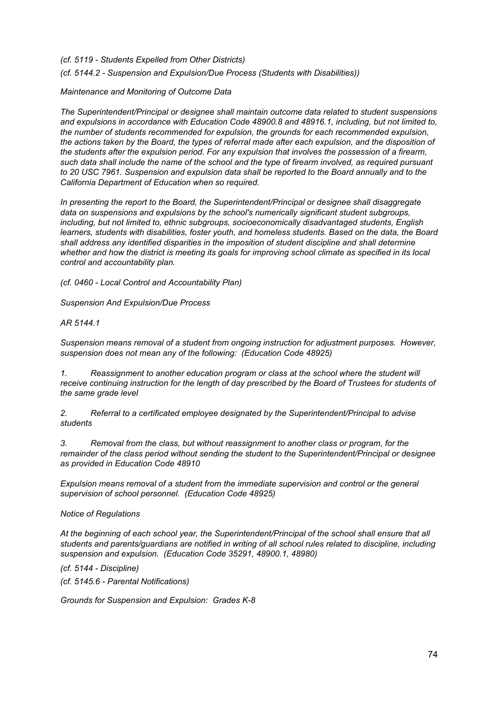*(cf. 5119 - Students Expelled from Other Districts)*

*(cf. 5144.2 - Suspension and Expulsion/Due Process (Students with Disabilities))*

### *Maintenance and Monitoring of Outcome Data*

*The Superintendent/Principal or designee shall maintain outcome data related to student suspensions and expulsions in accordance with Education Code 48900.8 and 48916.1, including, but not limited to, the number of students recommended for expulsion, the grounds for each recommended expulsion,* the actions taken by the Board, the types of referral made after each expulsion, and the disposition of *the students after the expulsion period. For any expulsion that involves the possession of a firearm,* such data shall include the name of the school and the type of firearm involved, as required pursuant *to 20 USC 7961. Suspension and expulsion data shall be reported to the Board annually and to the California Department of Education when so required.*

*In presenting the report to the Board, the Superintendent/Principal or designee shall disaggregate data on suspensions and expulsions by the school's numerically significant student subgroups, including, but not limited to, ethnic subgroups, socioeconomically disadvantaged students, English learners, students with disabilities, foster youth, and homeless students. Based on the data, the Board shall address any identified disparities in the imposition of student discipline and shall determine* whether and how the district is meeting its goals for improving school climate as specified in its local *control and accountability plan.*

*(cf. 0460 - Local Control and Accountability Plan)*

*Suspension And Expulsion/Due Process*

*AR 5144.1*

*Suspension means removal of a student from ongoing instruction for adjustment purposes. However, suspension does not mean any of the following: (Education Code 48925)*

*1. Reassignment to another education program or class at the school where the student will receive continuing instruction for the length of day prescribed by the Board of Trustees for students of the same grade level*

*2. Referral to a certificated employee designated by the Superintendent/Principal to advise students*

*3. Removal from the class, but without reassignment to another class or program, for the remainder of the class period without sending the student to the Superintendent/Principal or designee as provided in Education Code 48910*

*Expulsion means removal of a student from the immediate supervision and control or the general supervision of school personnel. (Education Code 48925)*

### *Notice of Regulations*

*At the beginning of each school year, the Superintendent/Principal of the school shall ensure that all students and parents/guardians are notified in writing of all school rules related to discipline, including suspension and expulsion. (Education Code 35291, 48900.1, 48980)*

*(cf. 5144 - Discipline)*

*(cf. 5145.6 - Parental Notifications)*

*Grounds for Suspension and Expulsion: Grades K-8*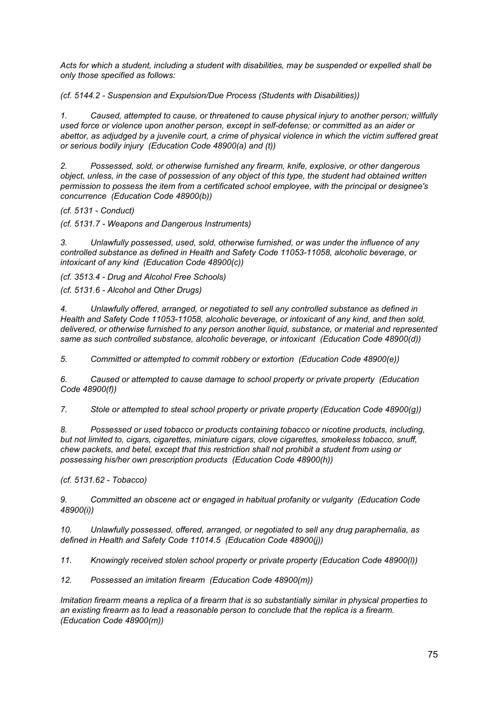*Acts for which a student, including a student with disabilities, may be suspended or expelled shall be only those specified as follows:*

*(cf. 5144.2 - Suspension and Expulsion/Due Process (Students with Disabilities))*

*1. Caused, attempted to cause, or threatened to cause physical injury to another person; willfully used force or violence upon another person, except in self-defense; or committed as an aider or* abettor, as adjudged by a juvenile court, a crime of physical violence in which the victim suffered great *or serious bodily injury (Education Code 48900(a) and (t))*

*2. Possessed, sold, or otherwise furnished any firearm, knife, explosive, or other dangerous* object, unless, in the case of possession of any object of this type, the student had obtained written *permission to possess the item from a certificated school employee, with the principal or designee's concurrence (Education Code 48900(b))*

*(cf. 5131 - Conduct)*

*(cf. 5131.7 - Weapons and Dangerous Instruments)*

*3. Unlawfully possessed, used, sold, otherwise furnished, or was under the influence of any controlled substance as defined in Health and Safety Code 11053-11058, alcoholic beverage, or intoxicant of any kind (Education Code 48900(c))*

*(cf. 3513.4 - Drug and Alcohol Free Schools)*

*(cf. 5131.6 - Alcohol and Other Drugs)*

*4. Unlawfully offered, arranged, or negotiated to sell any controlled substance as defined in Health and Safety Code 11053-11058, alcoholic beverage, or intoxicant of any kind, and then sold, delivered, or otherwise furnished to any person another liquid, substance, or material and represented same as such controlled substance, alcoholic beverage, or intoxicant (Education Code 48900(d))*

*5. Committed or attempted to commit robbery or extortion (Education Code 48900(e))*

*6. Caused or attempted to cause damage to school property or private property (Education Code 48900(f))*

*7. Stole or attempted to steal school property or private property (Education Code 48900(g))*

*8. Possessed or used tobacco or products containing tobacco or nicotine products, including, but not limited to, cigars, cigarettes, miniature cigars, clove cigarettes, smokeless tobacco, snuff, chew packets, and betel, except that this restriction shall not prohibit a student from using or possessing his/her own prescription products (Education Code 48900(h))*

*(cf. 5131.62 - Tobacco)*

*9. Committed an obscene act or engaged in habitual profanity or vulgarity (Education Code 48900(i))*

*10. Unlawfully possessed, offered, arranged, or negotiated to sell any drug paraphernalia, as defined in Health and Safety Code 11014.5 (Education Code 48900(j))*

*11. Knowingly received stolen school property or private property (Education Code 48900(l))*

*12. Possessed an imitation firearm (Education Code 48900(m))*

*Imitation firearm means a replica of a firearm that is so substantially similar in physical properties to an existing firearm as to lead a reasonable person to conclude that the replica is a firearm. (Education Code 48900(m))*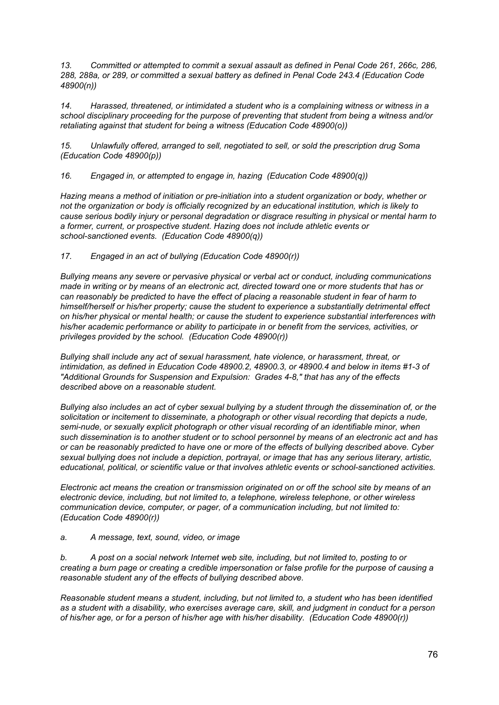*13. Committed or attempted to commit a sexual assault as defined in Penal Code 261, 266c, 286, 288, 288a, or 289, or committed a sexual battery as defined in Penal Code 243.4 (Education Code 48900(n))*

*14. Harassed, threatened, or intimidated a student who is a complaining witness or witness in a school disciplinary proceeding for the purpose of preventing that student from being a witness and/or retaliating against that student for being a witness (Education Code 48900(o))*

*15. Unlawfully offered, arranged to sell, negotiated to sell, or sold the prescription drug Soma (Education Code 48900(p))*

*16. Engaged in, or attempted to engage in, hazing (Education Code 48900(q))*

*Hazing means a method of initiation or pre-initiation into a student organization or body, whether or not the organization or body is officially recognized by an educational institution, which is likely to cause serious bodily injury or personal degradation or disgrace resulting in physical or mental harm to a former, current, or prospective student. Hazing does not include athletic events or school-sanctioned events. (Education Code 48900(q))*

*17. Engaged in an act of bullying (Education Code 48900(r))*

*Bullying means any severe or pervasive physical or verbal act or conduct, including communications* made in writing or by means of an electronic act, directed toward one or more students that has or *can reasonably be predicted to have the effect of placing a reasonable student in fear of harm to himself/herself or his/her property; cause the student to experience a substantially detrimental effect on his/her physical or mental health; or cause the student to experience substantial interferences with his/her academic performance or ability to participate in or benefit from the services, activities, or privileges provided by the school. (Education Code 48900(r))*

*Bullying shall include any act of sexual harassment, hate violence, or harassment, threat, or intimidation, as defined in Education Code 48900.2, 48900.3, or 48900.4 and below in items #1-3 of "Additional Grounds for Suspension and Expulsion: Grades 4-8," that has any of the effects described above on a reasonable student.*

Bullying also includes an act of cyber sexual bullying by a student through the dissemination of, or the *solicitation or incitement to disseminate, a photograph or other visual recording that depicts a nude, semi-nude, or sexually explicit photograph or other visual recording of an identifiable minor, when* such dissemination is to another student or to school personnel by means of an electronic act and has or can be reasonably predicted to have one or more of the effects of bullying described above. Cyber *sexual bullying does not include a depiction, portrayal, or image that has any serious literary, artistic, educational, political, or scientific value or that involves athletic events or school-sanctioned activities.*

Electronic act means the creation or transmission originated on or off the school site by means of an *electronic device, including, but not limited to, a telephone, wireless telephone, or other wireless communication device, computer, or pager, of a communication including, but not limited to: (Education Code 48900(r))*

*a. A message, text, sound, video, or image*

*b. A post on a social network Internet web site, including, but not limited to, posting to or* creating a burn page or creating a credible impersonation or false profile for the purpose of causing a *reasonable student any of the effects of bullying described above.*

*Reasonable student means a student, including, but not limited to, a student who has been identified* as a student with a disability, who exercises average care, skill, and judgment in conduct for a person *of his/her age, or for a person of his/her age with his/her disability. (Education Code 48900(r))*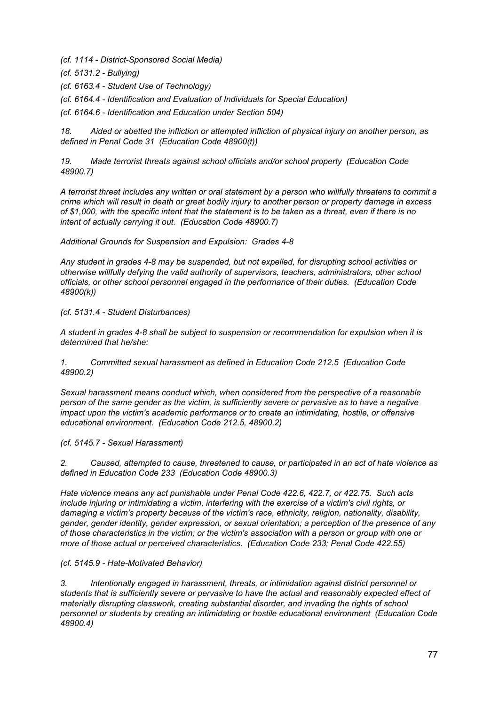*(cf. 1114 - District-Sponsored Social Media)*

*(cf. 5131.2 - Bullying)*

*(cf. 6163.4 - Student Use of Technology)*

*(cf. 6164.4 - Identification and Evaluation of Individuals for Special Education)*

*(cf. 6164.6 - Identification and Education under Section 504)*

*18. Aided or abetted the infliction or attempted infliction of physical injury on another person, as defined in Penal Code 31 (Education Code 48900(t))*

*19. Made terrorist threats against school officials and/or school property (Education Code 48900.7)*

A terrorist threat includes any written or oral statement by a person who willfully threatens to commit a crime which will result in death or great bodily injury to another person or property damage in excess of \$1,000, with the specific intent that the statement is to be taken as a threat, even if there is no *intent of actually carrying it out. (Education Code 48900.7)*

*Additional Grounds for Suspension and Expulsion: Grades 4-8*

*Any student in grades 4-8 may be suspended, but not expelled, for disrupting school activities or otherwise willfully defying the valid authority of supervisors, teachers, administrators, other school officials, or other school personnel engaged in the performance of their duties. (Education Code 48900(k))*

*(cf. 5131.4 - Student Disturbances)*

*A student in grades 4-8 shall be subject to suspension or recommendation for expulsion when it is determined that he/she:*

*1. Committed sexual harassment as defined in Education Code 212.5 (Education Code 48900.2)*

*Sexual harassment means conduct which, when considered from the perspective of a reasonable person of the same gender as the victim, is sufficiently severe or pervasive as to have a negative impact upon the victim's academic performance or to create an intimidating, hostile, or offensive educational environment. (Education Code 212.5, 48900.2)*

*(cf. 5145.7 - Sexual Harassment)*

*2. Caused, attempted to cause, threatened to cause, or participated in an act of hate violence as defined in Education Code 233 (Education Code 48900.3)*

*Hate violence means any act punishable under Penal Code 422.6, 422.7, or 422.75. Such acts include injuring or intimidating a victim, interfering with the exercise of a victim's civil rights, or damaging a victim's property because of the victim's race, ethnicity, religion, nationality, disability, gender, gender identity, gender expression, or sexual orientation; a perception of the presence of any* of those characteristics in the victim; or the victim's association with a person or group with one or *more of those actual or perceived characteristics. (Education Code 233; Penal Code 422.55)*

# *(cf. 5145.9 - Hate-Motivated Behavior)*

*3. Intentionally engaged in harassment, threats, or intimidation against district personnel or students that is sufficiently severe or pervasive to have the actual and reasonably expected effect of materially disrupting classwork, creating substantial disorder, and invading the rights of school personnel or students by creating an intimidating or hostile educational environment (Education Code 48900.4)*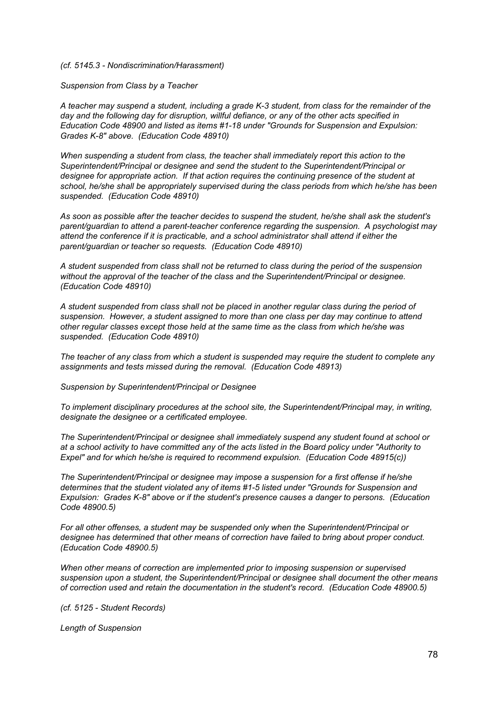#### *(cf. 5145.3 - Nondiscrimination/Harassment)*

*Suspension from Class by a Teacher*

A teacher may suspend a student, including a grade K-3 student, from class for the remainder of the *day and the following day for disruption, willful defiance, or any of the other acts specified in Education Code 48900 and listed as items #1-18 under "Grounds for Suspension and Expulsion: Grades K-8" above. (Education Code 48910)*

*When suspending a student from class, the teacher shall immediately report this action to the Superintendent/Principal or designee and send the student to the Superintendent/Principal or designee for appropriate action. If that action requires the continuing presence of the student at school, he/she shall be appropriately supervised during the class periods from which he/she has been suspended. (Education Code 48910)*

*As soon as possible after the teacher decides to suspend the student, he/she shall ask the student's parent/guardian to attend a parent-teacher conference regarding the suspension. A psychologist may attend the conference if it is practicable, and a school administrator shall attend if either the parent/guardian or teacher so requests. (Education Code 48910)*

*A student suspended from class shall not be returned to class during the period of the suspension without the approval of the teacher of the class and the Superintendent/Principal or designee. (Education Code 48910)*

*A student suspended from class shall not be placed in another regular class during the period of suspension. However, a student assigned to more than one class per day may continue to attend other regular classes except those held at the same time as the class from which he/she was suspended. (Education Code 48910)*

*The teacher of any class from which a student is suspended may require the student to complete any assignments and tests missed during the removal. (Education Code 48913)*

*Suspension by Superintendent/Principal or Designee*

*To implement disciplinary procedures at the school site, the Superintendent/Principal may, in writing, designate the designee or a certificated employee.*

*The Superintendent/Principal or designee shall immediately suspend any student found at school or* at a school activity to have committed any of the acts listed in the Board policy under "Authority to *Expel" and for which he/she is required to recommend expulsion. (Education Code 48915(c))*

*The Superintendent/Principal or designee may impose a suspension for a first offense if he/she determines that the student violated any of items #1-5 listed under "Grounds for Suspension and Expulsion: Grades K-8" above or if the student's presence causes a danger to persons. (Education Code 48900.5)*

*For all other offenses, a student may be suspended only when the Superintendent/Principal or designee has determined that other means of correction have failed to bring about proper conduct. (Education Code 48900.5)*

*When other means of correction are implemented prior to imposing suspension or supervised suspension upon a student, the Superintendent/Principal or designee shall document the other means of correction used and retain the documentation in the student's record. (Education Code 48900.5)*

*(cf. 5125 - Student Records)*

*Length of Suspension*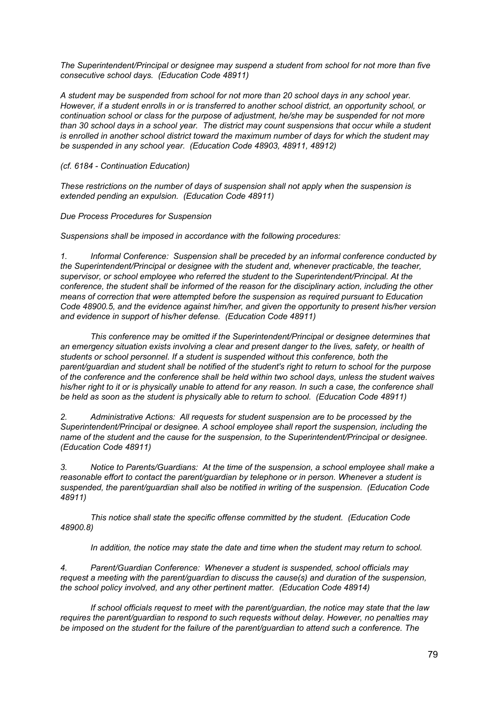*The Superintendent/Principal or designee may suspend a student from school for not more than five consecutive school days. (Education Code 48911)*

*A student may be suspended from school for not more than 20 school days in any school year. However, if a student enrolls in or is transferred to another school district, an opportunity school, or continuation school or class for the purpose of adjustment, he/she may be suspended for not more* than 30 school days in a school year. The district may count suspensions that occur while a student *is enrolled in another school district toward the maximum number of days for which the student may be suspended in any school year. (Education Code 48903, 48911, 48912)*

*(cf. 6184 - Continuation Education)*

*These restrictions on the number of days of suspension shall not apply when the suspension is extended pending an expulsion. (Education Code 48911)*

*Due Process Procedures for Suspension*

*Suspensions shall be imposed in accordance with the following procedures:*

*1. Informal Conference: Suspension shall be preceded by an informal conference conducted by the Superintendent/Principal or designee with the student and, whenever practicable, the teacher, supervisor, or school employee who referred the student to the Superintendent/Principal. At the conference, the student shall be informed of the reason for the disciplinary action, including the other means of correction that were attempted before the suspension as required pursuant to Education Code 48900.5, and the evidence against him/her, and given the opportunity to present his/her version and evidence in support of his/her defense. (Education Code 48911)*

*This conference may be omitted if the Superintendent/Principal or designee determines that an emergency situation exists involving a clear and present danger to the lives, safety, or health of students or school personnel. If a student is suspended without this conference, both the parent/guardian and student shall be notified of the student's right to return to school for the purpose of the conference and the conference shall be held within two school days, unless the student waives* his/her right to it or is physically unable to attend for any reason. In such a case, the conference shall *be held as soon as the student is physically able to return to school. (Education Code 48911)*

*2. Administrative Actions: All requests for student suspension are to be processed by the Superintendent/Principal or designee. A school employee shall report the suspension, including the name of the student and the cause for the suspension, to the Superintendent/Principal or designee. (Education Code 48911)*

*3. Notice to Parents/Guardians: At the time of the suspension, a school employee shall make a reasonable effort to contact the parent/guardian by telephone or in person. Whenever a student is suspended, the parent/guardian shall also be notified in writing of the suspension. (Education Code 48911)*

*This notice shall state the specific offense committed by the student. (Education Code 48900.8)*

*In addition, the notice may state the date and time when the student may return to school.*

*4. Parent/Guardian Conference: Whenever a student is suspended, school officials may request a meeting with the parent/guardian to discuss the cause(s) and duration of the suspension, the school policy involved, and any other pertinent matter. (Education Code 48914)*

*If school officials request to meet with the parent/guardian, the notice may state that the law requires the parent/guardian to respond to such requests without delay. However, no penalties may be imposed on the student for the failure of the parent/guardian to attend such a conference. The*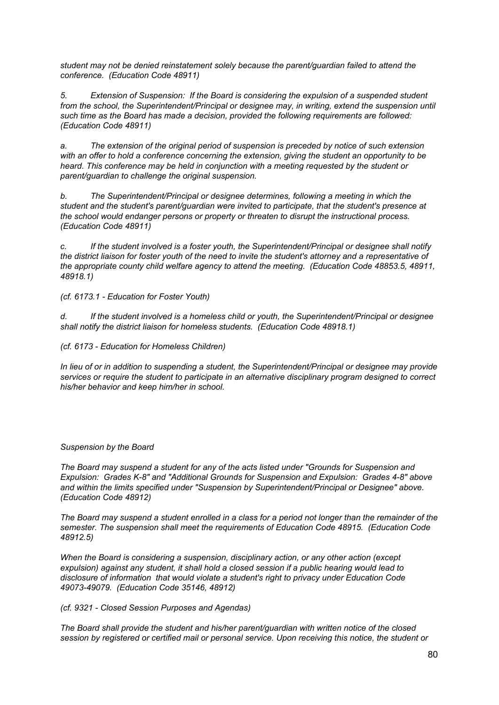*student may not be denied reinstatement solely because the parent/guardian failed to attend the conference. (Education Code 48911)*

*5. Extension of Suspension: If the Board is considering the expulsion of a suspended student from the school, the Superintendent/Principal or designee may, in writing, extend the suspension until such time as the Board has made a decision, provided the following requirements are followed: (Education Code 48911)*

*a. The extension of the original period of suspension is preceded by notice of such extension with an offer to hold a conference concerning the extension, giving the student an opportunity to be heard. This conference may be held in conjunction with a meeting requested by the student or parent/guardian to challenge the original suspension.*

*b. The Superintendent/Principal or designee determines, following a meeting in which the student and the student's parent/guardian were invited to participate, that the student's presence at the school would endanger persons or property or threaten to disrupt the instructional process. (Education Code 48911)*

*c. If the student involved is a foster youth, the Superintendent/Principal or designee shall notify* the district liaison for foster youth of the need to invite the student's attorney and a representative of *the appropriate county child welfare agency to attend the meeting. (Education Code 48853.5, 48911, 48918.1)*

*(cf. 6173.1 - Education for Foster Youth)*

*d. If the student involved is a homeless child or youth, the Superintendent/Principal or designee shall notify the district liaison for homeless students. (Education Code 48918.1)*

*(cf. 6173 - Education for Homeless Children)*

*In lieu of or in addition to suspending a student, the Superintendent/Principal or designee may provide services or require the student to participate in an alternative disciplinary program designed to correct his/her behavior and keep him/her in school.*

# *Suspension by the Board*

*The Board may suspend a student for any of the acts listed under "Grounds for Suspension and Expulsion: Grades K-8" and "Additional Grounds for Suspension and Expulsion: Grades 4-8" above and within the limits specified under "Suspension by Superintendent/Principal or Designee" above. (Education Code 48912)*

The Board may suspend a student enrolled in a class for a period not longer than the remainder of the *semester. The suspension shall meet the requirements of Education Code 48915. (Education Code 48912.5)*

*When the Board is considering a suspension, disciplinary action, or any other action (except expulsion) against any student, it shall hold a closed session if a public hearing would lead to disclosure of information that would violate a student's right to privacy under Education Code 49073-49079. (Education Code 35146, 48912)*

*(cf. 9321 - Closed Session Purposes and Agendas)*

*The Board shall provide the student and his/her parent/guardian with written notice of the closed session by registered or certified mail or personal service. Upon receiving this notice, the student or*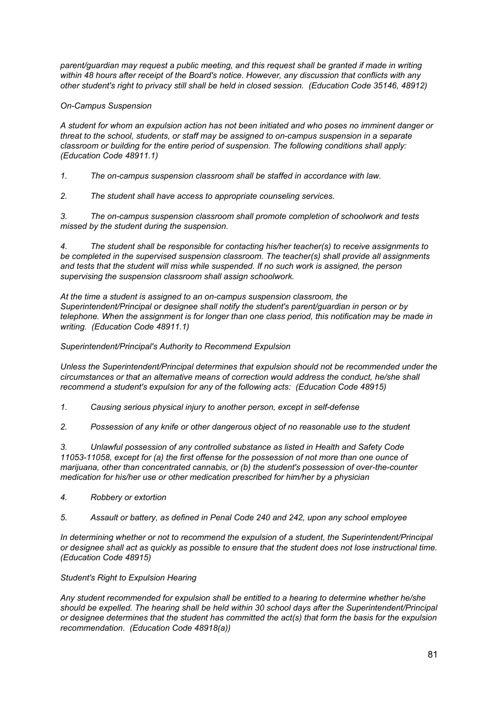*parent/guardian may request a public meeting, and this request shall be granted if made in writing within 48 hours after receipt of the Board's notice. However, any discussion that conflicts with any other student's right to privacy still shall be held in closed session. (Education Code 35146, 48912)*

# *On-Campus Suspension*

*A student for whom an expulsion action has not been initiated and who poses no imminent danger or threat to the school, students, or staff may be assigned to on-campus suspension in a separate classroom or building for the entire period of suspension. The following conditions shall apply: (Education Code 48911.1)*

*1. The on-campus suspension classroom shall be staffed in accordance with law.*

*2. The student shall have access to appropriate counseling services.*

*3. The on-campus suspension classroom shall promote completion of schoolwork and tests missed by the student during the suspension.*

*4. The student shall be responsible for contacting his/her teacher(s) to receive assignments to be completed in the supervised suspension classroom. The teacher(s) shall provide all assignments and tests that the student will miss while suspended. If no such work is assigned, the person supervising the suspension classroom shall assign schoolwork.*

*At the time a student is assigned to an on-campus suspension classroom, the Superintendent/Principal or designee shall notify the student's parent/guardian in person or by telephone. When the assignment is for longer than one class period, this notification may be made in writing. (Education Code 48911.1)*

# *Superintendent/Principal's Authority to Recommend Expulsion*

*Unless the Superintendent/Principal determines that expulsion should not be recommended under the circumstances or that an alternative means of correction would address the conduct, he/she shall recommend a student's expulsion for any of the following acts: (Education Code 48915)*

- *1. Causing serious physical injury to another person, except in self-defense*
- *2. Possession of any knife or other dangerous object of no reasonable use to the student*

*3. Unlawful possession of any controlled substance as listed in Health and Safety Code 11053-11058, except for (a) the first offense for the possession of not more than one ounce of marijuana, other than concentrated cannabis, or (b) the student's possession of over-the-counter medication for his/her use or other medication prescribed for him/her by a physician*

- *4. Robbery or extortion*
- *5. Assault or battery, as defined in Penal Code 240 and 242, upon any school employee*

*In determining whether or not to recommend the expulsion of a student, the Superintendent/Principal* or designee shall act as quickly as possible to ensure that the student does not lose instructional time. *(Education Code 48915)*

# *Student's Right to Expulsion Hearing*

*Any student recommended for expulsion shall be entitled to a hearing to determine whether he/she should be expelled. The hearing shall be held within 30 school days after the Superintendent/Principal or designee determines that the student has committed the act(s) that form the basis for the expulsion recommendation. (Education Code 48918(a))*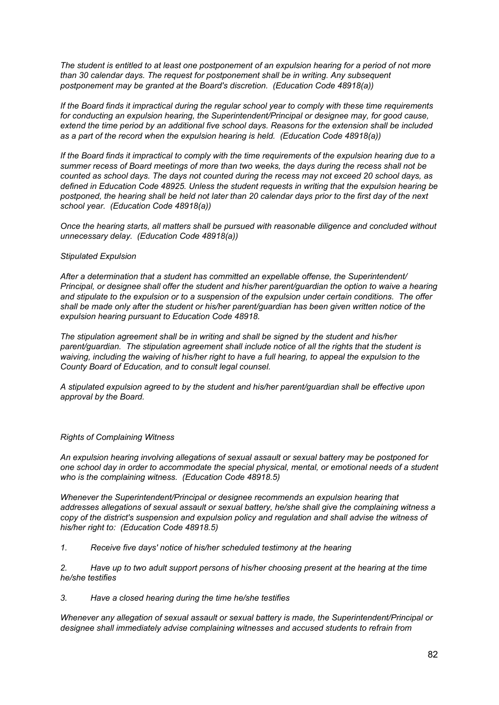The student is entitled to at least one postponement of an expulsion hearing for a period of not more *than 30 calendar days. The request for postponement shall be in writing. Any subsequent postponement may be granted at the Board's discretion. (Education Code 48918(a))*

*If the Board finds it impractical during the regular school year to comply with these time requirements for conducting an expulsion hearing, the Superintendent/Principal or designee may, for good cause, extend the time period by an additional five school days. Reasons for the extension shall be included as a part of the record when the expulsion hearing is held. (Education Code 48918(a))*

If the Board finds it impractical to comply with the time requirements of the expulsion hearing due to a *summer recess of Board meetings of more than two weeks, the days during the recess shall not be counted as school days. The days not counted during the recess may not exceed 20 school days, as defined in Education Code 48925. Unless the student requests in writing that the expulsion hearing be* postponed, the hearing shall be held not later than 20 calendar days prior to the first day of the next *school year. (Education Code 48918(a))*

*Once the hearing starts, all matters shall be pursued with reasonable diligence and concluded without unnecessary delay. (Education Code 48918(a))*

### *Stipulated Expulsion*

*After a determination that a student has committed an expellable offense, the Superintendent/ Principal, or designee shall offer the student and his/her parent/guardian the option to waive a hearing and stipulate to the expulsion or to a suspension of the expulsion under certain conditions. The offer shall be made only after the student or his/her parent/guardian has been given written notice of the expulsion hearing pursuant to Education Code 48918.*

*The stipulation agreement shall be in writing and shall be signed by the student and his/her parent/guardian. The stipulation agreement shall include notice of all the rights that the student is* waiving, including the waiving of his/her right to have a full hearing, to appeal the expulsion to the *County Board of Education, and to consult legal counsel.*

*A stipulated expulsion agreed to by the student and his/her parent/guardian shall be effective upon approval by the Board.*

### *Rights of Complaining Witness*

*An expulsion hearing involving allegations of sexual assault or sexual battery may be postponed for one school day in order to accommodate the special physical, mental, or emotional needs of a student who is the complaining witness. (Education Code 48918.5)*

*Whenever the Superintendent/Principal or designee recommends an expulsion hearing that addresses allegations of sexual assault or sexual battery, he/she shall give the complaining witness a copy of the district's suspension and expulsion policy and regulation and shall advise the witness of his/her right to: (Education Code 48918.5)*

*1. Receive five days' notice of his/her scheduled testimony at the hearing*

*2. Have up to two adult support persons of his/her choosing present at the hearing at the time he/she testifies*

*3. Have a closed hearing during the time he/she testifies*

*Whenever any allegation of sexual assault or sexual battery is made, the Superintendent/Principal or designee shall immediately advise complaining witnesses and accused students to refrain from*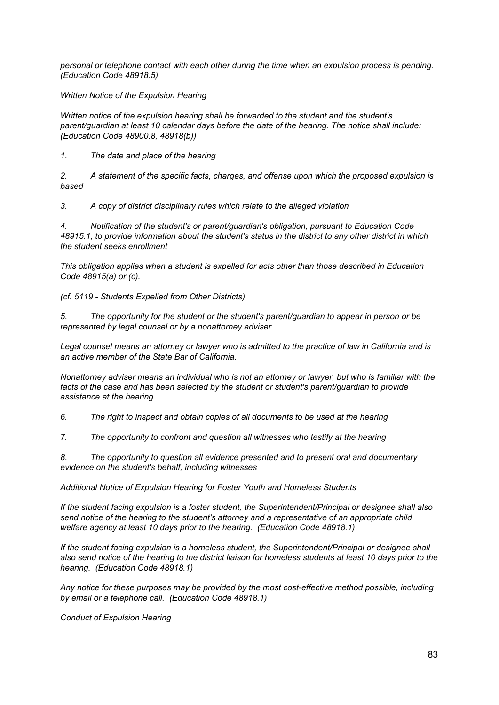*personal or telephone contact with each other during the time when an expulsion process is pending. (Education Code 48918.5)*

*Written Notice of the Expulsion Hearing*

*Written notice of the expulsion hearing shall be forwarded to the student and the student's parent/guardian at least 10 calendar days before the date of the hearing. The notice shall include: (Education Code 48900.8, 48918(b))*

*1. The date and place of the hearing*

*2. A statement of the specific facts, charges, and offense upon which the proposed expulsion is based*

*3. A copy of district disciplinary rules which relate to the alleged violation*

*4. Notification of the student's or parent/guardian's obligation, pursuant to Education Code 48915.1, to provide information about the student's status in the district to any other district in which the student seeks enrollment*

*This obligation applies when a student is expelled for acts other than those described in Education Code 48915(a) or (c).*

*(cf. 5119 - Students Expelled from Other Districts)*

*5. The opportunity for the student or the student's parent/guardian to appear in person or be represented by legal counsel or by a nonattorney adviser*

Legal counsel means an attorney or lawyer who is admitted to the practice of law in California and is *an active member of the State Bar of California.*

Nonattorney adviser means an individual who is not an attorney or lawyer, but who is familiar with the *facts of the case and has been selected by the student or student's parent/guardian to provide assistance at the hearing.*

*6. The right to inspect and obtain copies of all documents to be used at the hearing*

*7. The opportunity to confront and question all witnesses who testify at the hearing*

*8. The opportunity to question all evidence presented and to present oral and documentary evidence on the student's behalf, including witnesses*

*Additional Notice of Expulsion Hearing for Foster Youth and Homeless Students*

*If the student facing expulsion is a foster student, the Superintendent/Principal or designee shall also send notice of the hearing to the student's attorney and a representative of an appropriate child welfare agency at least 10 days prior to the hearing. (Education Code 48918.1)*

*If the student facing expulsion is a homeless student, the Superintendent/Principal or designee shall* also send notice of the hearing to the district liaison for homeless students at least 10 days prior to the *hearing. (Education Code 48918.1)*

*Any notice for these purposes may be provided by the most cost-effective method possible, including by email or a telephone call. (Education Code 48918.1)*

*Conduct of Expulsion Hearing*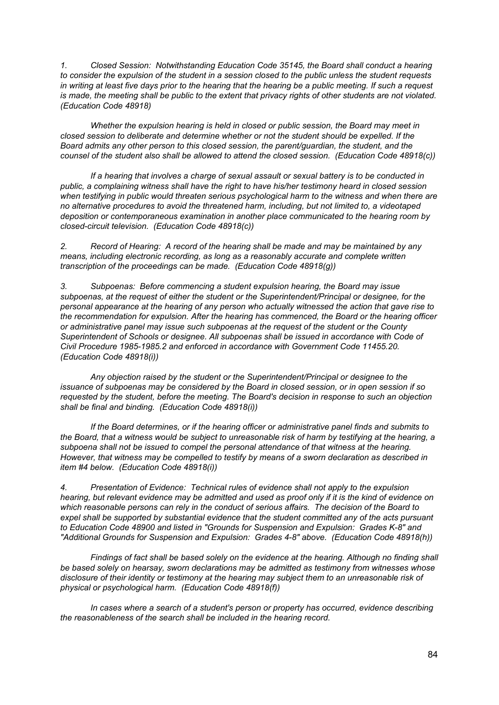*1. Closed Session: Notwithstanding Education Code 35145, the Board shall conduct a hearing* to consider the expulsion of the student in a session closed to the public unless the student requests in writing at least five days prior to the hearing that the hearing be a public meeting. If such a request is made, the meeting shall be public to the extent that privacy rights of other students are not violated. *(Education Code 48918)*

*Whether the expulsion hearing is held in closed or public session, the Board may meet in closed session to deliberate and determine whether or not the student should be expelled. If the Board admits any other person to this closed session, the parent/guardian, the student, and the counsel of the student also shall be allowed to attend the closed session. (Education Code 48918(c))*

*If a hearing that involves a charge of sexual assault or sexual battery is to be conducted in public, a complaining witness shall have the right to have his/her testimony heard in closed session when testifying in public would threaten serious psychological harm to the witness and when there are no alternative procedures to avoid the threatened harm, including, but not limited to, a videotaped deposition or contemporaneous examination in another place communicated to the hearing room by closed-circuit television. (Education Code 48918(c))*

*2. Record of Hearing: A record of the hearing shall be made and may be maintained by any means, including electronic recording, as long as a reasonably accurate and complete written transcription of the proceedings can be made. (Education Code 48918(g))*

*3. Subpoenas: Before commencing a student expulsion hearing, the Board may issue subpoenas, at the request of either the student or the Superintendent/Principal or designee, for the personal appearance at the hearing of any person who actually witnessed the action that gave rise to the recommendation for expulsion. After the hearing has commenced, the Board or the hearing officer or administrative panel may issue such subpoenas at the request of the student or the County Superintendent of Schools or designee. All subpoenas shall be issued in accordance with Code of Civil Procedure 1985-1985.2 and enforced in accordance with Government Code 11455.20. (Education Code 48918(i))*

*Any objection raised by the student or the Superintendent/Principal or designee to the issuance of subpoenas may be considered by the Board in closed session, or in open session if so requested by the student, before the meeting. The Board's decision in response to such an objection shall be final and binding. (Education Code 48918(i))*

*If the Board determines, or if the hearing officer or administrative panel finds and submits to* the Board, that a witness would be subject to unreasonable risk of harm by testifying at the hearing, a *subpoena shall not be issued to compel the personal attendance of that witness at the hearing. However, that witness may be compelled to testify by means of a sworn declaration as described in item #4 below. (Education Code 48918(i))*

*4. Presentation of Evidence: Technical rules of evidence shall not apply to the expulsion* hearing, but relevant evidence may be admitted and used as proof only if it is the kind of evidence on *which reasonable persons can rely in the conduct of serious affairs. The decision of the Board to expel shall be supported by substantial evidence that the student committed any of the acts pursuant to Education Code 48900 and listed in "Grounds for Suspension and Expulsion: Grades K-8" and "Additional Grounds for Suspension and Expulsion: Grades 4-8" above. (Education Code 48918(h))*

*Findings of fact shall be based solely on the evidence at the hearing. Although no finding shall be based solely on hearsay, sworn declarations may be admitted as testimony from witnesses whose disclosure of their identity or testimony at the hearing may subject them to an unreasonable risk of physical or psychological harm. (Education Code 48918(f))*

*In cases where a search of a student's person or property has occurred, evidence describing the reasonableness of the search shall be included in the hearing record.*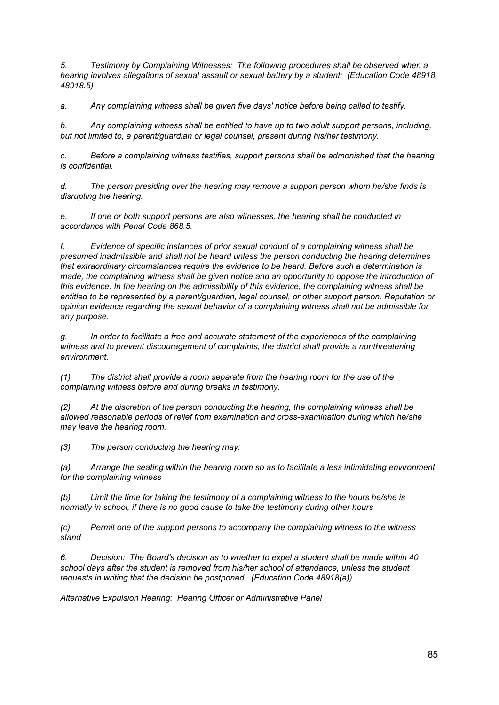*5. Testimony by Complaining Witnesses: The following procedures shall be observed when a hearing involves allegations of sexual assault or sexual battery by a student: (Education Code 48918, 48918.5)*

*a. Any complaining witness shall be given five days' notice before being called to testify.*

*b. Any complaining witness shall be entitled to have up to two adult support persons, including, but not limited to, a parent/guardian or legal counsel, present during his/her testimony.*

*c. Before a complaining witness testifies, support persons shall be admonished that the hearing is confidential.*

*d. The person presiding over the hearing may remove a support person whom he/she finds is disrupting the hearing.*

*e. If one or both support persons are also witnesses, the hearing shall be conducted in accordance with Penal Code 868.5.*

*f. Evidence of specific instances of prior sexual conduct of a complaining witness shall be presumed inadmissible and shall not be heard unless the person conducting the hearing determines that extraordinary circumstances require the evidence to be heard. Before such a determination is made, the complaining witness shall be given notice and an opportunity to oppose the introduction of this evidence. In the hearing on the admissibility of this evidence, the complaining witness shall be entitled to be represented by a parent/guardian, legal counsel, or other support person. Reputation or opinion evidence regarding the sexual behavior of a complaining witness shall not be admissible for any purpose.*

*g. In order to facilitate a free and accurate statement of the experiences of the complaining witness and to prevent discouragement of complaints, the district shall provide a nonthreatening environment.*

*(1) The district shall provide a room separate from the hearing room for the use of the complaining witness before and during breaks in testimony.*

*(2) At the discretion of the person conducting the hearing, the complaining witness shall be allowed reasonable periods of relief from examination and cross-examination during which he/she may leave the hearing room.*

*(3) The person conducting the hearing may:*

*(a) Arrange the seating within the hearing room so as to facilitate a less intimidating environment for the complaining witness*

*(b) Limit the time for taking the testimony of a complaining witness to the hours he/she is normally in school, if there is no good cause to take the testimony during other hours*

*(c) Permit one of the support persons to accompany the complaining witness to the witness stand*

*6. Decision: The Board's decision as to whether to expel a student shall be made within 40 school days after the student is removed from his/her school of attendance, unless the student requests in writing that the decision be postponed. (Education Code 48918(a))*

*Alternative Expulsion Hearing: Hearing Officer or Administrative Panel*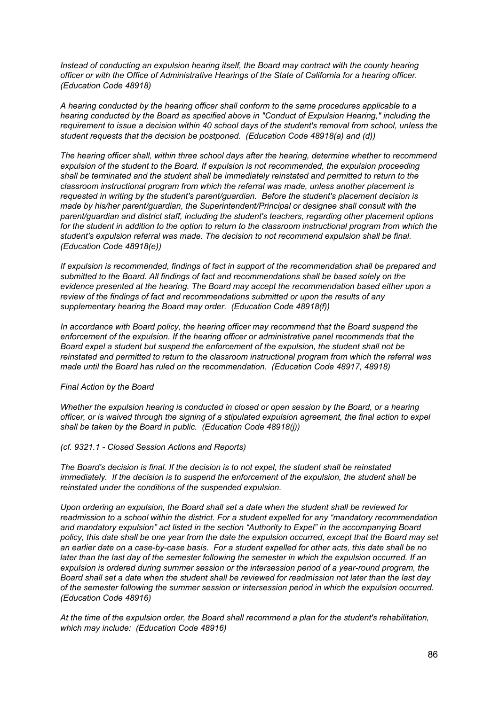*Instead of conducting an expulsion hearing itself, the Board may contract with the county hearing officer or with the Office of Administrative Hearings of the State of California for a hearing officer. (Education Code 48918)*

*A hearing conducted by the hearing officer shall conform to the same procedures applicable to a hearing conducted by the Board as specified above in "Conduct of Expulsion Hearing," including the requirement to issue a decision within 40 school days of the student's removal from school, unless the student requests that the decision be postponed. (Education Code 48918(a) and (d))*

*The hearing officer shall, within three school days after the hearing, determine whether to recommend expulsion of the student to the Board. If expulsion is not recommended, the expulsion proceeding shall be terminated and the student shall be immediately reinstated and permitted to return to the classroom instructional program from which the referral was made, unless another placement is requested in writing by the student's parent/guardian. Before the student's placement decision is made by his/her parent/guardian, the Superintendent/Principal or designee shall consult with the parent/guardian and district staff, including the student's teachers, regarding other placement options* for the student in addition to the option to return to the classroom instructional program from which the *student's expulsion referral was made. The decision to not recommend expulsion shall be final. (Education Code 48918(e))*

*If expulsion is recommended, findings of fact in support of the recommendation shall be prepared and submitted to the Board. All findings of fact and recommendations shall be based solely on the evidence presented at the hearing. The Board may accept the recommendation based either upon a review of the findings of fact and recommendations submitted or upon the results of any supplementary hearing the Board may order. (Education Code 48918(f))*

*In accordance with Board policy, the hearing officer may recommend that the Board suspend the enforcement of the expulsion. If the hearing officer or administrative panel recommends that the Board expel a student but suspend the enforcement of the expulsion, the student shall not be reinstated and permitted to return to the classroom instructional program from which the referral was made until the Board has ruled on the recommendation. (Education Code 48917, 48918)*

### *Final Action by the Board*

*Whether the expulsion hearing is conducted in closed or open session by the Board, or a hearing officer, or is waived through the signing of a stipulated expulsion agreement, the final action to expel shall be taken by the Board in public. (Education Code 48918(j))*

### *(cf. 9321.1 - Closed Session Actions and Reports)*

*The Board's decision is final. If the decision is to not expel, the student shall be reinstated immediately. If the decision is to suspend the enforcement of the expulsion, the student shall be reinstated under the conditions of the suspended expulsion.*

*Upon ordering an expulsion, the Board shall set a date when the student shall be reviewed for readmission to a school within the district. For a student expelled for any "mandatory recommendation and mandatory expulsion" act listed in the section "Authority to Expel" in the accompanying Board* policy, this date shall be one year from the date the expulsion occurred, except that the Board may set an earlier date on a case-by-case basis. For a student expelled for other acts, this date shall be no later than the last day of the semester following the semester in which the expulsion occurred. If an *expulsion is ordered during summer session or the intersession period of a year-round program, the* Board shall set a date when the student shall be reviewed for readmission not later than the last day *of the semester following the summer session or intersession period in which the expulsion occurred. (Education Code 48916)*

*At the time of the expulsion order, the Board shall recommend a plan for the student's rehabilitation, which may include: (Education Code 48916)*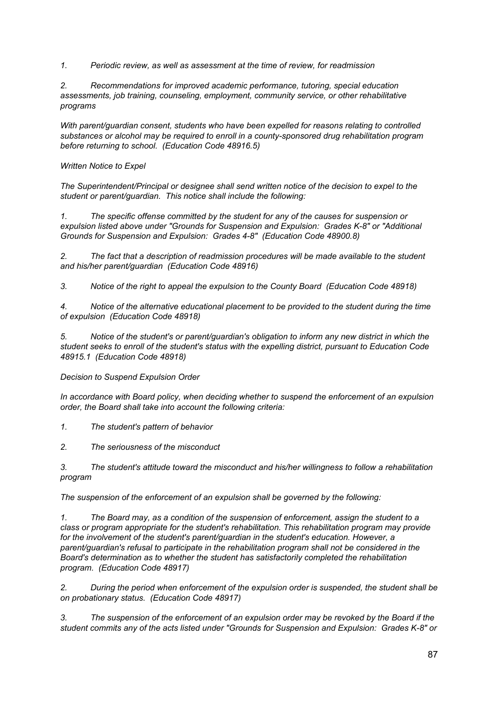*1. Periodic review, as well as assessment at the time of review, for readmission*

*2. Recommendations for improved academic performance, tutoring, special education assessments, job training, counseling, employment, community service, or other rehabilitative programs*

*With parent/guardian consent, students who have been expelled for reasons relating to controlled substances or alcohol may be required to enroll in a county-sponsored drug rehabilitation program before returning to school. (Education Code 48916.5)*

### *Written Notice to Expel*

*The Superintendent/Principal or designee shall send written notice of the decision to expel to the student or parent/guardian. This notice shall include the following:*

*1. The specific offense committed by the student for any of the causes for suspension or expulsion listed above under "Grounds for Suspension and Expulsion: Grades K-8" or "Additional Grounds for Suspension and Expulsion: Grades 4-8" (Education Code 48900.8)*

*2. The fact that a description of readmission procedures will be made available to the student and his/her parent/guardian (Education Code 48916)*

*3. Notice of the right to appeal the expulsion to the County Board (Education Code 48918)*

*4. Notice of the alternative educational placement to be provided to the student during the time of expulsion (Education Code 48918)*

*5. Notice of the student's or parent/guardian's obligation to inform any new district in which the student seeks to enroll of the student's status with the expelling district, pursuant to Education Code 48915.1 (Education Code 48918)*

# *Decision to Suspend Expulsion Order*

*In accordance with Board policy, when deciding whether to suspend the enforcement of an expulsion order, the Board shall take into account the following criteria:*

*1. The student's pattern of behavior*

*2. The seriousness of the misconduct*

*3. The student's attitude toward the misconduct and his/her willingness to follow a rehabilitation program*

*The suspension of the enforcement of an expulsion shall be governed by the following:*

*1. The Board may, as a condition of the suspension of enforcement, assign the student to a class or program appropriate for the student's rehabilitation. This rehabilitation program may provide for the involvement of the student's parent/guardian in the student's education. However, a parent/guardian's refusal to participate in the rehabilitation program shall not be considered in the Board's determination as to whether the student has satisfactorily completed the rehabilitation program. (Education Code 48917)*

*2. During the period when enforcement of the expulsion order is suspended, the student shall be on probationary status. (Education Code 48917)*

*3. The suspension of the enforcement of an expulsion order may be revoked by the Board if the student commits any of the acts listed under "Grounds for Suspension and Expulsion: Grades K-8" or*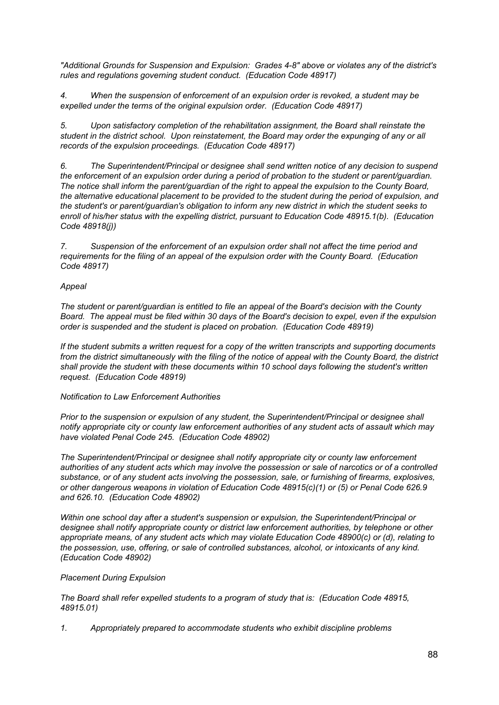*"Additional Grounds for Suspension and Expulsion: Grades 4-8" above or violates any of the district's rules and regulations governing student conduct. (Education Code 48917)*

*4. When the suspension of enforcement of an expulsion order is revoked, a student may be expelled under the terms of the original expulsion order. (Education Code 48917)*

*5. Upon satisfactory completion of the rehabilitation assignment, the Board shall reinstate the student in the district school. Upon reinstatement, the Board may order the expunging of any or all records of the expulsion proceedings. (Education Code 48917)*

*6. The Superintendent/Principal or designee shall send written notice of any decision to suspend the enforcement of an expulsion order during a period of probation to the student or parent/guardian. The notice shall inform the parent/guardian of the right to appeal the expulsion to the County Board, the alternative educational placement to be provided to the student during the period of expulsion, and the student's or parent/guardian's obligation to inform any new district in which the student seeks to enroll of his/her status with the expelling district, pursuant to Education Code 48915.1(b). (Education Code 48918(j))*

*7. Suspension of the enforcement of an expulsion order shall not affect the time period and requirements for the filing of an appeal of the expulsion order with the County Board. (Education Code 48917)*

# *Appeal*

*The student or parent/guardian is entitled to file an appeal of the Board's decision with the County* Board. The appeal must be filed within 30 days of the Board's decision to expel, even if the expulsion *order is suspended and the student is placed on probation. (Education Code 48919)*

*If the student submits a written request for a copy of the written transcripts and supporting documents* from the district simultaneously with the filing of the notice of appeal with the County Board, the district *shall provide the student with these documents within 10 school days following the student's written request. (Education Code 48919)*

# *Notification to Law Enforcement Authorities*

*Prior to the suspension or expulsion of any student, the Superintendent/Principal or designee shall notify appropriate city or county law enforcement authorities of any student acts of assault which may have violated Penal Code 245. (Education Code 48902)*

*The Superintendent/Principal or designee shall notify appropriate city or county law enforcement* authorities of any student acts which may involve the possession or sale of narcotics or of a controlled *substance, or of any student acts involving the possession, sale, or furnishing of firearms, explosives, or other dangerous weapons in violation of Education Code 48915(c)(1) or (5) or Penal Code 626.9 and 626.10. (Education Code 48902)*

*Within one school day after a student's suspension or expulsion, the Superintendent/Principal or designee shall notify appropriate county or district law enforcement authorities, by telephone or other appropriate means, of any student acts which may violate Education Code 48900(c) or (d), relating to the possession, use, offering, or sale of controlled substances, alcohol, or intoxicants of any kind. (Education Code 48902)*

# *Placement During Expulsion*

*The Board shall refer expelled students to a program of study that is: (Education Code 48915, 48915.01)*

*1. Appropriately prepared to accommodate students who exhibit discipline problems*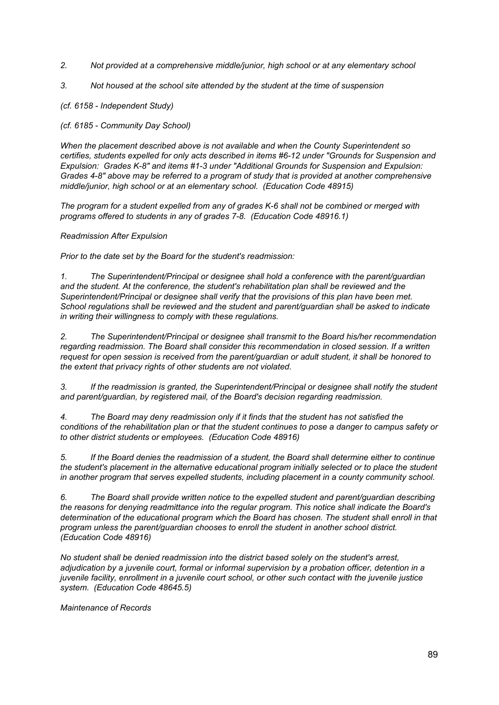- *2. Not provided at a comprehensive middle/junior, high school or at any elementary school*
- *3. Not housed at the school site attended by the student at the time of suspension*

*(cf. 6158 - Independent Study)*

*(cf. 6185 - Community Day School)*

*When the placement described above is not available and when the County Superintendent so certifies, students expelled for only acts described in items #6-12 under "Grounds for Suspension and Expulsion: Grades K-8" and items #1-3 under "Additional Grounds for Suspension and Expulsion: Grades 4-8" above may be referred to a program of study that is provided at another comprehensive middle/junior, high school or at an elementary school. (Education Code 48915)*

*The program for a student expelled from any of grades K-6 shall not be combined or merged with programs offered to students in any of grades 7-8. (Education Code 48916.1)*

# *Readmission After Expulsion*

*Prior to the date set by the Board for the student's readmission:*

*1. The Superintendent/Principal or designee shall hold a conference with the parent/guardian and the student. At the conference, the student's rehabilitation plan shall be reviewed and the Superintendent/Principal or designee shall verify that the provisions of this plan have been met. School regulations shall be reviewed and the student and parent/guardian shall be asked to indicate in writing their willingness to comply with these regulations.*

*2. The Superintendent/Principal or designee shall transmit to the Board his/her recommendation regarding readmission. The Board shall consider this recommendation in closed session. If a written request for open session is received from the parent/guardian or adult student, it shall be honored to the extent that privacy rights of other students are not violated.*

*3. If the readmission is granted, the Superintendent/Principal or designee shall notify the student and parent/guardian, by registered mail, of the Board's decision regarding readmission.*

*4. The Board may deny readmission only if it finds that the student has not satisfied the* conditions of the rehabilitation plan or that the student continues to pose a danger to campus safety or *to other district students or employees. (Education Code 48916)*

*5. If the Board denies the readmission of a student, the Board shall determine either to continue the student's placement in the alternative educational program initially selected or to place the student in another program that serves expelled students, including placement in a county community school.*

*6. The Board shall provide written notice to the expelled student and parent/guardian describing the reasons for denying readmittance into the regular program. This notice shall indicate the Board's determination of the educational program which the Board has chosen. The student shall enroll in that program unless the parent/guardian chooses to enroll the student in another school district. (Education Code 48916)*

*No student shall be denied readmission into the district based solely on the student's arrest, adjudication by a juvenile court, formal or informal supervision by a probation officer, detention in a juvenile facility, enrollment in a juvenile court school, or other such contact with the juvenile justice system. (Education Code 48645.5)*

*Maintenance of Records*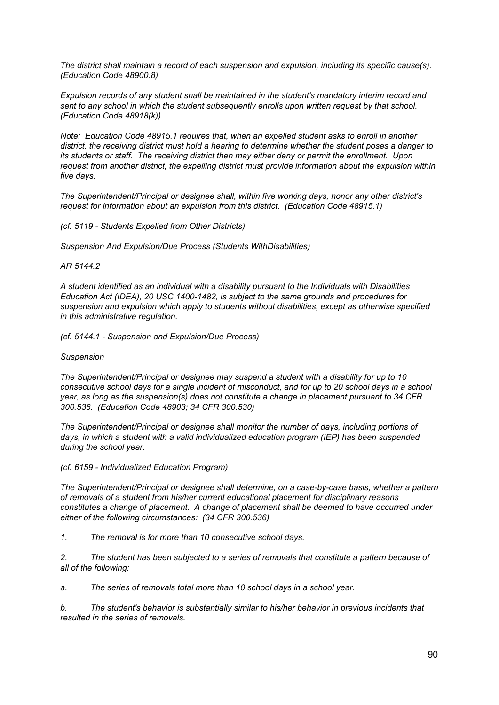*The district shall maintain a record of each suspension and expulsion, including its specific cause(s). (Education Code 48900.8)*

*Expulsion records of any student shall be maintained in the student's mandatory interim record and sent to any school in which the student subsequently enrolls upon written request by that school. (Education Code 48918(k))*

*Note: Education Code 48915.1 requires that, when an expelled student asks to enroll in another district, the receiving district must hold a hearing to determine whether the student poses a danger to its students or staff. The receiving district then may either deny or permit the enrollment. Upon request from another district, the expelling district must provide information about the expulsion within five days.*

*The Superintendent/Principal or designee shall, within five working days, honor any other district's request for information about an expulsion from this district. (Education Code 48915.1)*

*(cf. 5119 - Students Expelled from Other Districts)*

*Suspension And Expulsion/Due Process (Students WithDisabilities)*

### *AR 5144.2*

*A student identified as an individual with a disability pursuant to the Individuals with Disabilities Education Act (IDEA), 20 USC 1400-1482, is subject to the same grounds and procedures for suspension and expulsion which apply to students without disabilities, except as otherwise specified in this administrative regulation.*

*(cf. 5144.1 - Suspension and Expulsion/Due Process)*

### *Suspension*

*The Superintendent/Principal or designee may suspend a student with a disability for up to 10* consecutive school days for a single incident of misconduct, and for up to 20 school days in a school *year, as long as the suspension(s) does not constitute a change in placement pursuant to 34 CFR 300.536. (Education Code 48903; 34 CFR 300.530)*

*The Superintendent/Principal or designee shall monitor the number of days, including portions of days, in which a student with a valid individualized education program (IEP) has been suspended during the school year.*

*(cf. 6159 - Individualized Education Program)*

*The Superintendent/Principal or designee shall determine, on a case-by-case basis, whether a pattern of removals of a student from his/her current educational placement for disciplinary reasons constitutes a change of placement. A change of placement shall be deemed to have occurred under either of the following circumstances: (34 CFR 300.536)*

*1. The removal is for more than 10 consecutive school days.*

*2. The student has been subjected to a series of removals that constitute a pattern because of all of the following:*

*a. The series of removals total more than 10 school days in a school year.*

*b. The student's behavior is substantially similar to his/her behavior in previous incidents that resulted in the series of removals.*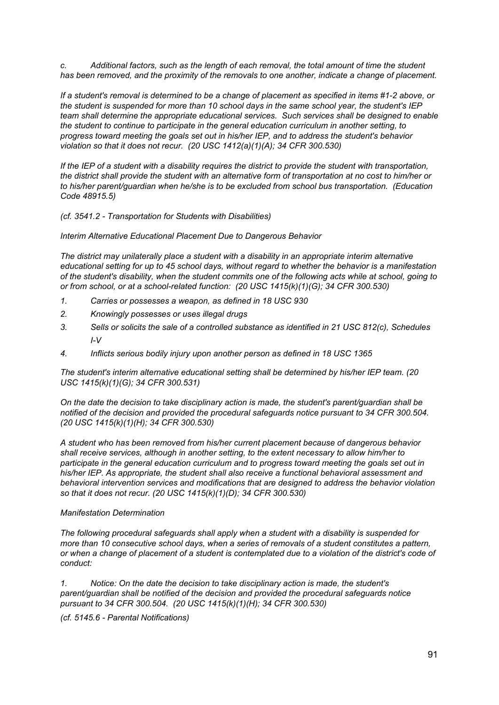*c. Additional factors, such as the length of each removal, the total amount of time the student has been removed, and the proximity of the removals to one another, indicate a change of placement.*

If a student's removal is determined to be a change of placement as specified in items #1-2 above, or *the student is suspended for more than 10 school days in the same school year, the student's IEP team shall determine the appropriate educational services. Such services shall be designed to enable the student to continue to participate in the general education curriculum in another setting, to progress toward meeting the goals set out in his/her IEP, and to address the student's behavior violation so that it does not recur. (20 USC 1412(a)(1)(A); 34 CFR 300.530)*

If the IEP of a student with a disability requires the district to provide the student with transportation, the district shall provide the student with an alternative form of transportation at no cost to him/her or *to his/her parent/guardian when he/she is to be excluded from school bus transportation. (Education Code 48915.5)*

*(cf. 3541.2 - Transportation for Students with Disabilities)*

*Interim Alternative Educational Placement Due to Dangerous Behavior*

*The district may unilaterally place a student with a disability in an appropriate interim alternative educational setting for up to 45 school days, without regard to whether the behavior is a manifestation* of the student's disability, when the student commits one of the following acts while at school, going to *or from school, or at a school-related function: (20 USC 1415(k)(1)(G); 34 CFR 300.530)*

- *1. Carries or possesses a weapon, as defined in 18 USC 930*
- *2. Knowingly possesses or uses illegal drugs*
- *3. Sells or solicits the sale of a controlled substance as identified in 21 USC 812(c), Schedules I-V*
- *4. Inflicts serious bodily injury upon another person as defined in 18 USC 1365*

*The student's interim alternative educational setting shall be determined by his/her IEP team. (20 USC 1415(k)(1)(G); 34 CFR 300.531)*

*On the date the decision to take disciplinary action is made, the student's parent/guardian shall be notified of the decision and provided the procedural safeguards notice pursuant to 34 CFR 300.504. (20 USC 1415(k)(1)(H); 34 CFR 300.530)*

*A student who has been removed from his/her current placement because of dangerous behavior shall receive services, although in another setting, to the extent necessary to allow him/her to participate in the general education curriculum and to progress toward meeting the goals set out in his/her IEP. As appropriate, the student shall also receive a functional behavioral assessment and behavioral intervention services and modifications that are designed to address the behavior violation so that it does not recur. (20 USC 1415(k)(1)(D); 34 CFR 300.530)*

### *Manifestation Determination*

*The following procedural safeguards shall apply when a student with a disability is suspended for more than 10 consecutive school days, when a series of removals of a student constitutes a pattern,* or when a change of placement of a student is contemplated due to a violation of the district's code of *conduct:*

*1. Notice: On the date the decision to take disciplinary action is made, the student's parent/guardian shall be notified of the decision and provided the procedural safeguards notice pursuant to 34 CFR 300.504. (20 USC 1415(k)(1)(H); 34 CFR 300.530)*

*(cf. 5145.6 - Parental Notifications)*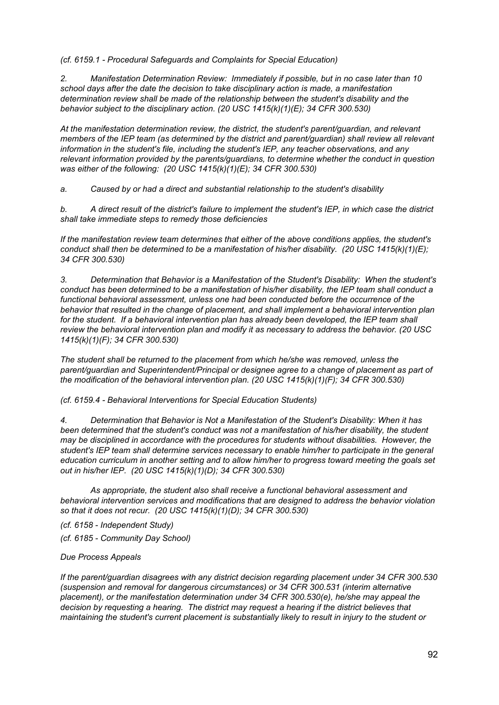*(cf. 6159.1 - Procedural Safeguards and Complaints for Special Education)*

*2. Manifestation Determination Review: Immediately if possible, but in no case later than 10 school days after the date the decision to take disciplinary action is made, a manifestation determination review shall be made of the relationship between the student's disability and the behavior subject to the disciplinary action. (20 USC 1415(k)(1)(E); 34 CFR 300.530)*

*At the manifestation determination review, the district, the student's parent/guardian, and relevant members of the IEP team (as determined by the district and parent/guardian) shall review all relevant information in the student's file, including the student's IEP, any teacher observations, and any relevant information provided by the parents/guardians, to determine whether the conduct in question was either of the following: (20 USC 1415(k)(1)(E); 34 CFR 300.530)*

*a. Caused by or had a direct and substantial relationship to the student's disability*

b. A direct result of the district's failure to implement the student's IEP, in which case the district *shall take immediate steps to remedy those deficiencies*

*If the manifestation review team determines that either of the above conditions applies, the student's conduct shall then be determined to be a manifestation of his/her disability. (20 USC 1415(k)(1)(E); 34 CFR 300.530)*

*3. Determination that Behavior is a Manifestation of the Student's Disability: When the student's conduct has been determined to be a manifestation of his/her disability, the IEP team shall conduct a functional behavioral assessment, unless one had been conducted before the occurrence of the behavior that resulted in the change of placement, and shall implement a behavioral intervention plan for the student. If a behavioral intervention plan has already been developed, the IEP team shall review the behavioral intervention plan and modify it as necessary to address the behavior. (20 USC 1415(k)(1)(F); 34 CFR 300.530)*

*The student shall be returned to the placement from which he/she was removed, unless the parent/guardian and Superintendent/Principal or designee agree to a change of placement as part of the modification of the behavioral intervention plan. (20 USC 1415(k)(1)(F); 34 CFR 300.530)*

*(cf. 6159.4 - Behavioral Interventions for Special Education Students)*

*4. Determination that Behavior is Not a Manifestation of the Student's Disability: When it has been determined that the student's conduct was not a manifestation of his/her disability, the student may be disciplined in accordance with the procedures for students without disabilities. However, the student's IEP team shall determine services necessary to enable him/her to participate in the general education curriculum in another setting and to allow him/her to progress toward meeting the goals set out in his/her IEP. (20 USC 1415(k)(1)(D); 34 CFR 300.530)*

*As appropriate, the student also shall receive a functional behavioral assessment and behavioral intervention services and modifications that are designed to address the behavior violation so that it does not recur. (20 USC 1415(k)(1)(D); 34 CFR 300.530)*

*(cf. 6158 - Independent Study)*

*(cf. 6185 - Community Day School)*

*Due Process Appeals*

*If the parent/guardian disagrees with any district decision regarding placement under 34 CFR 300.530 (suspension and removal for dangerous circumstances) or 34 CFR 300.531 (interim alternative placement), or the manifestation determination under 34 CFR 300.530(e), he/she may appeal the decision by requesting a hearing. The district may request a hearing if the district believes that maintaining the student's current placement is substantially likely to result in injury to the student or*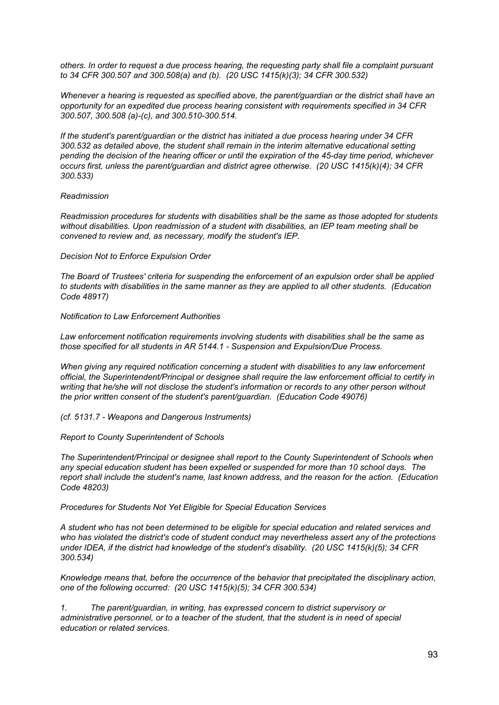*others. In order to request a due process hearing, the requesting party shall file a complaint pursuant to 34 CFR 300.507 and 300.508(a) and (b). (20 USC 1415(k)(3); 34 CFR 300.532)*

*Whenever a hearing is requested as specified above, the parent/guardian or the district shall have an opportunity for an expedited due process hearing consistent with requirements specified in 34 CFR 300.507, 300.508 (a)-(c), and 300.510-300.514.*

*If the student's parent/guardian or the district has initiated a due process hearing under 34 CFR 300.532 as detailed above, the student shall remain in the interim alternative educational setting pending the decision of the hearing officer or until the expiration of the 45-day time period, whichever occurs first, unless the parent/guardian and district agree otherwise. (20 USC 1415(k)(4); 34 CFR 300.533)*

### *Readmission*

*Readmission procedures for students with disabilities shall be the same as those adopted for students without disabilities. Upon readmission of a student with disabilities, an IEP team meeting shall be convened to review and, as necessary, modify the student's IEP.*

#### *Decision Not to Enforce Expulsion Order*

*The Board of Trustees' criteria for suspending the enforcement of an expulsion order shall be applied to students with disabilities in the same manner as they are applied to all other students. (Education Code 48917)*

#### *Notification to Law Enforcement Authorities*

*Law enforcement notification requirements involving students with disabilities shall be the same as those specified for all students in AR 5144.1 - Suspension and Expulsion/Due Process.*

*When giving any required notification concerning a student with disabilities to any law enforcement official, the Superintendent/Principal or designee shall require the law enforcement official to certify in writing that he/she will not disclose the student's information or records to any other person without the prior written consent of the student's parent/guardian. (Education Code 49076)*

#### *(cf. 5131.7 - Weapons and Dangerous Instruments)*

*Report to County Superintendent of Schools*

*The Superintendent/Principal or designee shall report to the County Superintendent of Schools when any special education student has been expelled or suspended for more than 10 school days. The report shall include the student's name, last known address, and the reason for the action. (Education Code 48203)*

*Procedures for Students Not Yet Eligible for Special Education Services*

*A student who has not been determined to be eligible for special education and related services and who has violated the district's code of student conduct may nevertheless assert any of the protections under IDEA, if the district had knowledge of the student's disability. (20 USC 1415(k)(5); 34 CFR 300.534)*

*Knowledge means that, before the occurrence of the behavior that precipitated the disciplinary action, one of the following occurred: (20 USC 1415(k)(5); 34 CFR 300.534)*

*1. The parent/guardian, in writing, has expressed concern to district supervisory or administrative personnel, or to a teacher of the student, that the student is in need of special education or related services.*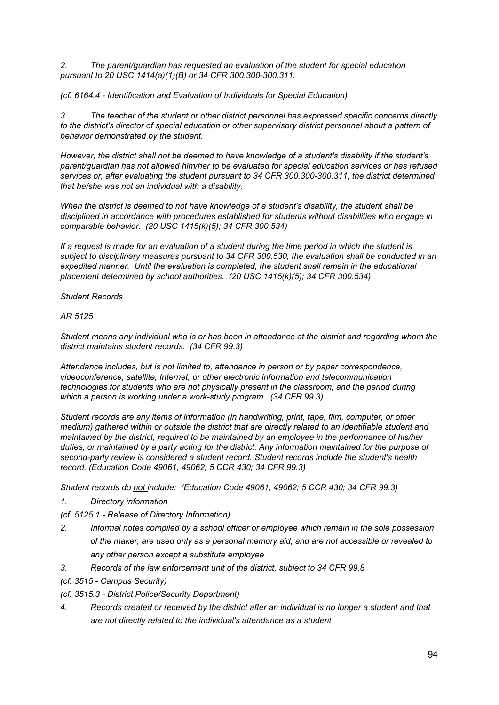*2. The parent/guardian has requested an evaluation of the student for special education pursuant to 20 USC 1414(a)(1)(B) or 34 CFR 300.300-300.311.*

*(cf. 6164.4 - Identification and Evaluation of Individuals for Special Education)*

*3. The teacher of the student or other district personnel has expressed specific concerns directly to the district's director of special education or other supervisory district personnel about a pattern of behavior demonstrated by the student.*

*However, the district shall not be deemed to have knowledge of a student's disability if the student's parent/guardian has not allowed him/her to be evaluated for special education services or has refused services or, after evaluating the student pursuant to 34 CFR 300.300-300.311, the district determined that he/she was not an individual with a disability.*

*When the district is deemed to not have knowledge of a student's disability, the student shall be disciplined in accordance with procedures established for students without disabilities who engage in comparable behavior. (20 USC 1415(k)(5); 34 CFR 300.534)*

If a request is made for an evaluation of a student during the time period in which the student is *subject to disciplinary measures pursuant to 34 CFR 300.530, the evaluation shall be conducted in an expedited manner. Until the evaluation is completed, the student shall remain in the educational placement determined by school authorities. (20 USC 1415(k)(5); 34 CFR 300.534)*

*Student Records*

### *AR 5125*

Student means any individual who is or has been in attendance at the district and regarding whom the *district maintains student records. (34 CFR 99.3)*

*Attendance includes, but is not limited to, attendance in person or by paper correspondence, videoconference, satellite, Internet, or other electronic information and telecommunication technologies for students who are not physically present in the classroom, and the period during which a person is working under a work-study program. (34 CFR 99.3)*

*Student records are any items of information (in handwriting, print, tape, film, computer, or other medium) gathered within or outside the district that are directly related to an identifiable student and maintained by the district, required to be maintained by an employee in the performance of his/her duties, or maintained by a party acting for the district. Any information maintained for the purpose of second-party review is considered a student record. Student records include the student's health record. (Education Code 49061, 49062; 5 CCR 430; 34 CFR 99.3)*

*Student records do not include: (Education Code 49061, 49062; 5 CCR 430; 34 CFR 99.3)*

*1. Directory information*

*(cf. 5125.1 - Release of Directory Information)*

- *2. Informal notes compiled by a school officer or employee which remain in the sole possession of the maker, are used only as a personal memory aid, and are not accessible or revealed to any other person except a substitute employee*
- *3. Records of the law enforcement unit of the district, subject to 34 CFR 99.8*
- *(cf. 3515 - Campus Security)*
- *(cf. 3515.3 - District Police/Security Department)*
- *4. Records created or received by the district after an individual is no longer a student and that are not directly related to the individual's attendance as a student*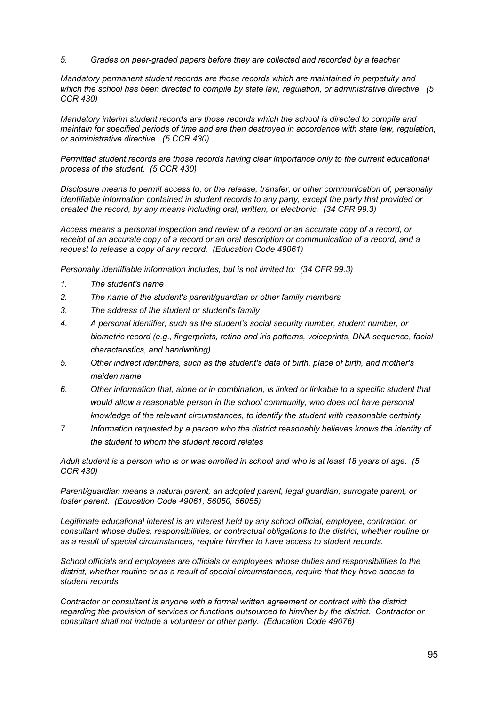*5. Grades on peer-graded papers before they are collected and recorded by a teacher*

*Mandatory permanent student records are those records which are maintained in perpetuity and which the school has been directed to compile by state law, regulation, or administrative directive. (5 CCR 430)*

*Mandatory interim student records are those records which the school is directed to compile and maintain for specified periods of time and are then destroyed in accordance with state law, regulation, or administrative directive. (5 CCR 430)*

*Permitted student records are those records having clear importance only to the current educational process of the student. (5 CCR 430)*

*Disclosure means to permit access to, or the release, transfer, or other communication of, personally identifiable information contained in student records to any party, except the party that provided or created the record, by any means including oral, written, or electronic. (34 CFR 99.3)*

*Access means a personal inspection and review of a record or an accurate copy of a record, or* receipt of an accurate copy of a record or an oral description or communication of a record, and a *request to release a copy of any record. (Education Code 49061)*

*Personally identifiable information includes, but is not limited to: (34 CFR 99.3)*

- *1. The student's name*
- *2. The name of the student's parent/guardian or other family members*
- *3. The address of the student or student's family*
- *4. A personal identifier, such as the student's social security number, student number, or biometric record (e.g., fingerprints, retina and iris patterns, voiceprints, DNA sequence, facial characteristics, and handwriting)*
- *5. Other indirect identifiers, such as the student's date of birth, place of birth, and mother's maiden name*
- *6. Other information that, alone or in combination, is linked or linkable to a specific student that would allow a reasonable person in the school community, who does not have personal knowledge of the relevant circumstances, to identify the student with reasonable certainty*
- *7. Information requested by a person who the district reasonably believes knows the identity of the student to whom the student record relates*

Adult student is a person who is or was enrolled in school and who is at least 18 years of age. (5 *CCR 430)*

*Parent/guardian means a natural parent, an adopted parent, legal guardian, surrogate parent, or foster parent. (Education Code 49061, 56050, 56055)*

*Legitimate educational interest is an interest held by any school official, employee, contractor, or consultant whose duties, responsibilities, or contractual obligations to the district, whether routine or as a result of special circumstances, require him/her to have access to student records.*

*School officials and employees are officials or employees whose duties and responsibilities to the district, whether routine or as a result of special circumstances, require that they have access to student records.*

*Contractor or consultant is anyone with a formal written agreement or contract with the district regarding the provision of services or functions outsourced to him/her by the district. Contractor or consultant shall not include a volunteer or other party. (Education Code 49076)*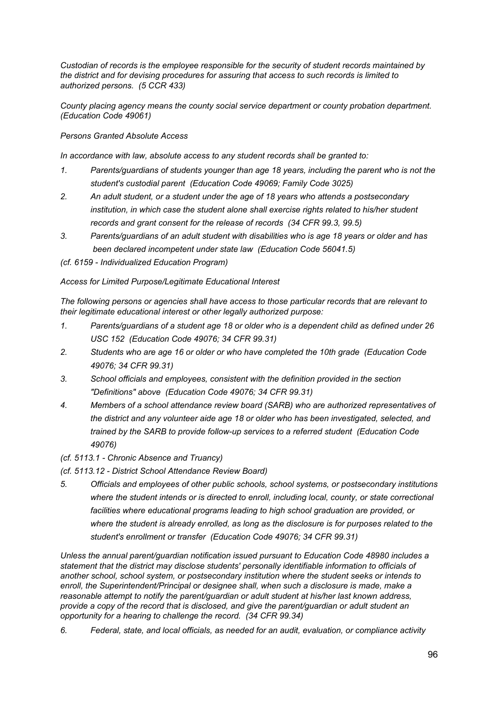*Custodian of records is the employee responsible for the security of student records maintained by the district and for devising procedures for assuring that access to such records is limited to authorized persons. (5 CCR 433)*

*County placing agency means the county social service department or county probation department. (Education Code 49061)*

*Persons Granted Absolute Access*

*In accordance with law, absolute access to any student records shall be granted to:*

- *1. Parents/guardians of students younger than age 18 years, including the parent who is not the student's custodial parent (Education Code 49069; Family Code 3025)*
- *2. An adult student, or a student under the age of 18 years who attends a postsecondary institution, in which case the student alone shall exercise rights related to his/her student records and grant consent for the release of records (34 CFR 99.3, 99.5)*
- *3. Parents/guardians of an adult student with disabilities who is age 18 years or older and has been declared incompetent under state law (Education Code 56041.5)*

*(cf. 6159 - Individualized Education Program)*

*Access for Limited Purpose/Legitimate Educational Interest*

*The following persons or agencies shall have access to those particular records that are relevant to their legitimate educational interest or other legally authorized purpose:*

- *1. Parents/guardians of a student age 18 or older who is a dependent child as defined under 26 USC 152 (Education Code 49076; 34 CFR 99.31)*
- *2. Students who are age 16 or older or who have completed the 10th grade (Education Code 49076; 34 CFR 99.31)*
- *3. School officials and employees, consistent with the definition provided in the section "Definitions" above (Education Code 49076; 34 CFR 99.31)*
- *4. Members of a school attendance review board (SARB) who are authorized representatives of the district and any volunteer aide age 18 or older who has been investigated, selected, and trained by the SARB to provide follow-up services to a referred student (Education Code 49076)*
- *(cf. 5113.1 - Chronic Absence and Truancy)*
- *(cf. 5113.12 - District School Attendance Review Board)*
- *5. Officials and employees of other public schools, school systems, or postsecondary institutions where the student intends or is directed to enroll, including local, county, or state correctional facilities where educational programs leading to high school graduation are provided, or where the student is already enrolled, as long as the disclosure is for purposes related to the student's enrollment or transfer (Education Code 49076; 34 CFR 99.31)*

*Unless the annual parent/guardian notification issued pursuant to Education Code 48980 includes a statement that the district may disclose students' personally identifiable information to officials of another school, school system, or postsecondary institution where the student seeks or intends to enroll, the Superintendent/Principal or designee shall, when such a disclosure is made, make a reasonable attempt to notify the parent/guardian or adult student at his/her last known address, provide a copy of the record that is disclosed, and give the parent/guardian or adult student an opportunity for a hearing to challenge the record. (34 CFR 99.34)*

*6. Federal, state, and local officials, as needed for an audit, evaluation, or compliance activity*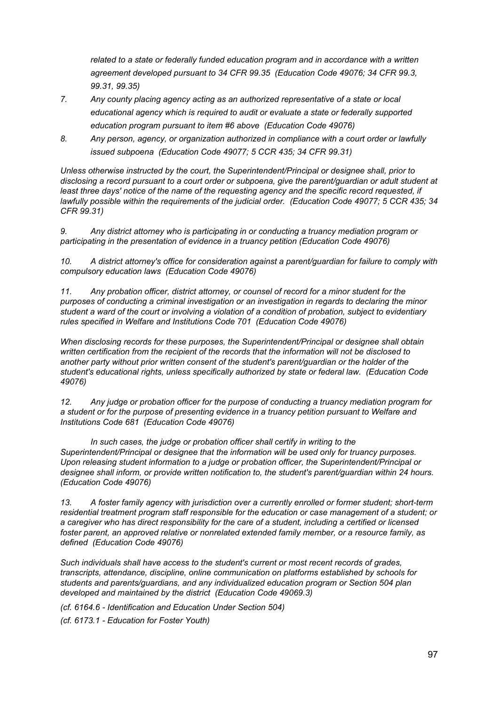*related to a state or federally funded education program and in accordance with a written agreement developed pursuant to 34 CFR 99.35 (Education Code 49076; 34 CFR 99.3, 99.31, 99.35)*

- *7. Any county placing agency acting as an authorized representative of a state or local educational agency which is required to audit or evaluate a state or federally supported education program pursuant to item #6 above (Education Code 49076)*
- *8. Any person, agency, or organization authorized in compliance with a court order or lawfully issued subpoena (Education Code 49077; 5 CCR 435; 34 CFR 99.31)*

*Unless otherwise instructed by the court, the Superintendent/Principal or designee shall, prior to disclosing a record pursuant to a court order or subpoena, give the parent/guardian or adult student at least three days' notice of the name of the requesting agency and the specific record requested, if lawfully possible within the requirements of the judicial order. (Education Code 49077; 5 CCR 435; 34 CFR 99.31)*

*9. Any district attorney who is participating in or conducting a truancy mediation program or participating in the presentation of evidence in a truancy petition (Education Code 49076)*

*10. A district attorney's office for consideration against a parent/guardian for failure to comply with compulsory education laws (Education Code 49076)*

*11. Any probation officer, district attorney, or counsel of record for a minor student for the purposes of conducting a criminal investigation or an investigation in regards to declaring the minor* student a ward of the court or involving a violation of a condition of probation, subject to evidentiary *rules specified in Welfare and Institutions Code 701 (Education Code 49076)*

*When disclosing records for these purposes, the Superintendent/Principal or designee shall obtain written certification from the recipient of the records that the information will not be disclosed to another party without prior written consent of the student's parent/guardian or the holder of the student's educational rights, unless specifically authorized by state or federal law. (Education Code 49076)*

*12. Any judge or probation officer for the purpose of conducting a truancy mediation program for a student or for the purpose of presenting evidence in a truancy petition pursuant to Welfare and Institutions Code 681 (Education Code 49076)*

*In such cases, the judge or probation officer shall certify in writing to the Superintendent/Principal or designee that the information will be used only for truancy purposes. Upon releasing student information to a judge or probation officer, the Superintendent/Principal or designee shall inform, or provide written notification to, the student's parent/guardian within 24 hours. (Education Code 49076)*

*13. A foster family agency with jurisdiction over a currently enrolled or former student; short-term residential treatment program staff responsible for the education or case management of a student; or a caregiver who has direct responsibility for the care of a student, including a certified or licensed foster parent, an approved relative or nonrelated extended family member, or a resource family, as defined (Education Code 49076)*

*Such individuals shall have access to the student's current or most recent records of grades, transcripts, attendance, discipline, online communication on platforms established by schools for students and parents/guardians, and any individualized education program or Section 504 plan developed and maintained by the district (Education Code 49069.3)*

*(cf. 6164.6 - Identification and Education Under Section 504) (cf. 6173.1 - Education for Foster Youth)*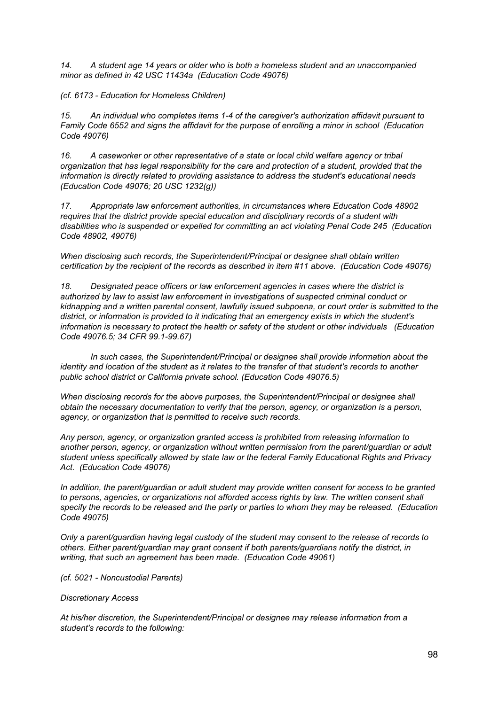*14. A student age 14 years or older who is both a homeless student and an unaccompanied minor as defined in 42 USC 11434a (Education Code 49076)*

*(cf. 6173 - Education for Homeless Children)*

*15. An individual who completes items 1-4 of the caregiver's authorization affidavit pursuant to Family Code 6552 and signs the affidavit for the purpose of enrolling a minor in school (Education Code 49076)*

*16. A caseworker or other representative of a state or local child welfare agency or tribal organization that has legal responsibility for the care and protection of a student, provided that the information is directly related to providing assistance to address the student's educational needs (Education Code 49076; 20 USC 1232(g))*

*17. Appropriate law enforcement authorities, in circumstances where Education Code 48902 requires that the district provide special education and disciplinary records of a student with disabilities who is suspended or expelled for committing an act violating Penal Code 245 (Education Code 48902, 49076)*

*When disclosing such records, the Superintendent/Principal or designee shall obtain written certification by the recipient of the records as described in item #11 above. (Education Code 49076)*

*18. Designated peace officers or law enforcement agencies in cases where the district is authorized by law to assist law enforcement in investigations of suspected criminal conduct or kidnapping and a written parental consent, lawfully issued subpoena, or court order is submitted to the district, or information is provided to it indicating that an emergency exists in which the student's information is necessary to protect the health or safety of the student or other individuals (Education Code 49076.5; 34 CFR 99.1-99.67)*

*In such cases, the Superintendent/Principal or designee shall provide information about the* identity and location of the student as it relates to the transfer of that student's records to another *public school district or California private school. (Education Code 49076.5)*

*When disclosing records for the above purposes, the Superintendent/Principal or designee shall obtain the necessary documentation to verify that the person, agency, or organization is a person, agency, or organization that is permitted to receive such records.*

*Any person, agency, or organization granted access is prohibited from releasing information to another person, agency, or organization without written permission from the parent/guardian or adult student unless specifically allowed by state law or the federal Family Educational Rights and Privacy Act. (Education Code 49076)*

*In addition, the parent/guardian or adult student may provide written consent for access to be granted to persons, agencies, or organizations not afforded access rights by law. The written consent shall* specify the records to be released and the party or parties to whom they may be released. (Education *Code 49075)*

*Only a parent/guardian having legal custody of the student may consent to the release of records to others. Either parent/guardian may grant consent if both parents/guardians notify the district, in writing, that such an agreement has been made. (Education Code 49061)*

*(cf. 5021 - Noncustodial Parents)*

### *Discretionary Access*

*At his/her discretion, the Superintendent/Principal or designee may release information from a student's records to the following:*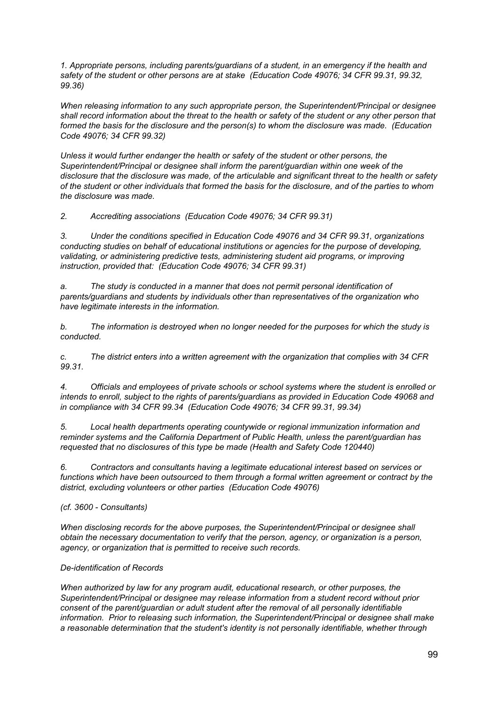*1. Appropriate persons, including parents/guardians of a student, in an emergency if the health and safety of the student or other persons are at stake (Education Code 49076; 34 CFR 99.31, 99.32, 99.36)*

*When releasing information to any such appropriate person, the Superintendent/Principal or designee* shall record information about the threat to the health or safety of the student or any other person that *formed the basis for the disclosure and the person(s) to whom the disclosure was made. (Education Code 49076; 34 CFR 99.32)*

*Unless it would further endanger the health or safety of the student or other persons, the Superintendent/Principal or designee shall inform the parent/guardian within one week of the* disclosure that the disclosure was made, of the articulable and significant threat to the health or safety of the student or other individuals that formed the basis for the disclosure, and of the parties to whom *the disclosure was made.*

*2. Accrediting associations (Education Code 49076; 34 CFR 99.31)*

*3. Under the conditions specified in Education Code 49076 and 34 CFR 99.31, organizations conducting studies on behalf of educational institutions or agencies for the purpose of developing, validating, or administering predictive tests, administering student aid programs, or improving instruction, provided that: (Education Code 49076; 34 CFR 99.31)*

*a. The study is conducted in a manner that does not permit personal identification of parents/guardians and students by individuals other than representatives of the organization who have legitimate interests in the information.*

*b. The information is destroyed when no longer needed for the purposes for which the study is conducted.*

*c. The district enters into a written agreement with the organization that complies with 34 CFR 99.31.*

*4. Officials and employees of private schools or school systems where the student is enrolled or intends to enroll, subject to the rights of parents/guardians as provided in Education Code 49068 and in compliance with 34 CFR 99.34 (Education Code 49076; 34 CFR 99.31, 99.34)*

*5. Local health departments operating countywide or regional immunization information and reminder systems and the California Department of Public Health, unless the parent/guardian has requested that no disclosures of this type be made (Health and Safety Code 120440)*

*6. Contractors and consultants having a legitimate educational interest based on services or functions which have been outsourced to them through a formal written agreement or contract by the district, excluding volunteers or other parties (Education Code 49076)*

*(cf. 3600 - Consultants)*

*When disclosing records for the above purposes, the Superintendent/Principal or designee shall obtain the necessary documentation to verify that the person, agency, or organization is a person, agency, or organization that is permitted to receive such records.*

# *De-identification of Records*

*When authorized by law for any program audit, educational research, or other purposes, the Superintendent/Principal or designee may release information from a student record without prior consent of the parent/guardian or adult student after the removal of all personally identifiable information. Prior to releasing such information, the Superintendent/Principal or designee shall make a reasonable determination that the student's identity is not personally identifiable, whether through*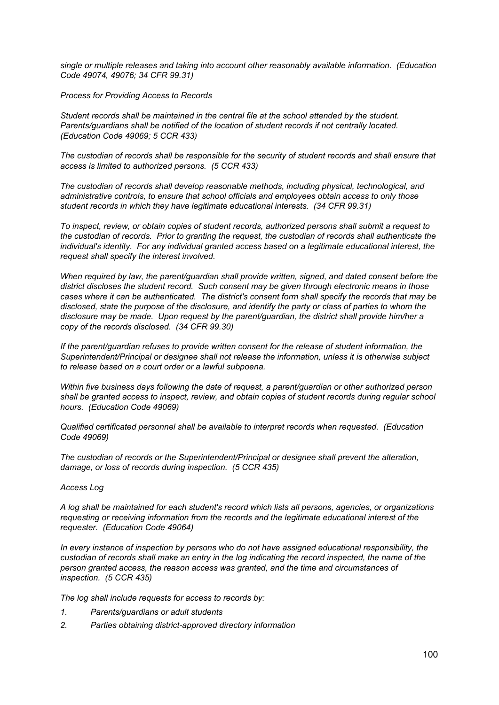*single or multiple releases and taking into account other reasonably available information. (Education Code 49074, 49076; 34 CFR 99.31)*

*Process for Providing Access to Records*

*Student records shall be maintained in the central file at the school attended by the student. Parents/guardians shall be notified of the location of student records if not centrally located. (Education Code 49069; 5 CCR 433)*

*The custodian of records shall be responsible for the security of student records and shall ensure that access is limited to authorized persons. (5 CCR 433)*

*The custodian of records shall develop reasonable methods, including physical, technological, and administrative controls, to ensure that school officials and employees obtain access to only those student records in which they have legitimate educational interests. (34 CFR 99.31)*

*To inspect, review, or obtain copies of student records, authorized persons shall submit a request to the custodian of records. Prior to granting the request, the custodian of records shall authenticate the individual's identity. For any individual granted access based on a legitimate educational interest, the request shall specify the interest involved.*

*When required by law, the parent/guardian shall provide written, signed, and dated consent before the district discloses the student record. Such consent may be given through electronic means in those cases where it can be authenticated. The district's consent form shall specify the records that may be* disclosed, state the purpose of the disclosure, and identify the party or class of parties to whom the *disclosure may be made. Upon request by the parent/guardian, the district shall provide him/her a copy of the records disclosed. (34 CFR 99.30)*

*If the parent/guardian refuses to provide written consent for the release of student information, the Superintendent/Principal or designee shall not release the information, unless it is otherwise subject to release based on a court order or a lawful subpoena.*

*Within five business days following the date of request, a parent/guardian or other authorized person shall be granted access to inspect, review, and obtain copies of student records during regular school hours. (Education Code 49069)*

*Qualified certificated personnel shall be available to interpret records when requested. (Education Code 49069)*

*The custodian of records or the Superintendent/Principal or designee shall prevent the alteration, damage, or loss of records during inspection. (5 CCR 435)*

### *Access Log*

*A log shall be maintained for each student's record which lists all persons, agencies, or organizations requesting or receiving information from the records and the legitimate educational interest of the requester. (Education Code 49064)*

*In every instance of inspection by persons who do not have assigned educational responsibility, the* custodian of records shall make an entry in the log indicating the record inspected, the name of the *person granted access, the reason access was granted, and the time and circumstances of inspection. (5 CCR 435)*

*The log shall include requests for access to records by:*

- *1. Parents/guardians or adult students*
- *2. Parties obtaining district-approved directory information*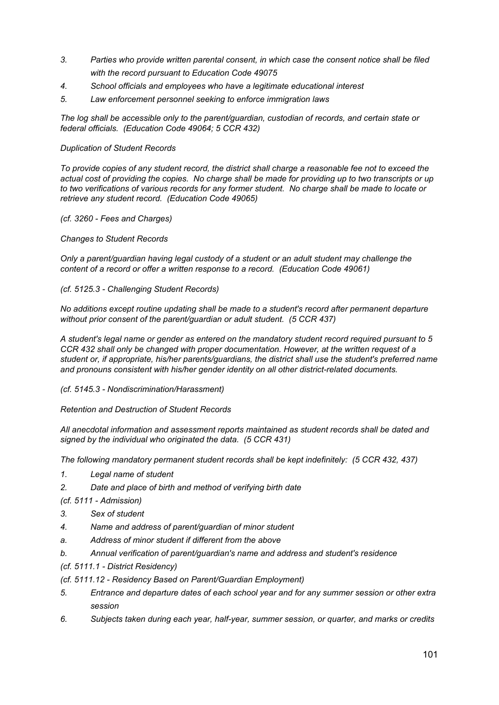- *3. Parties who provide written parental consent, in which case the consent notice shall be filed with the record pursuant to Education Code 49075*
- *4. School officials and employees who have a legitimate educational interest*
- *5. Law enforcement personnel seeking to enforce immigration laws*

*The log shall be accessible only to the parent/guardian, custodian of records, and certain state or federal officials. (Education Code 49064; 5 CCR 432)*

### *Duplication of Student Records*

To provide copies of any student record, the district shall charge a reasonable fee not to exceed the actual cost of providing the copies. No charge shall be made for providing up to two transcripts or up to two verifications of various records for any former student. No charge shall be made to locate or *retrieve any student record. (Education Code 49065)*

### *(cf. 3260 - Fees and Charges)*

### *Changes to Student Records*

*Only a parent/guardian having legal custody of a student or an adult student may challenge the content of a record or offer a written response to a record. (Education Code 49061)*

### *(cf. 5125.3 - Challenging Student Records)*

*No additions except routine updating shall be made to a student's record after permanent departure without prior consent of the parent/guardian or adult student. (5 CCR 437)*

*A student's legal name or gender as entered on the mandatory student record required pursuant to 5 CCR 432 shall only be changed with proper documentation. However, at the written request of a student or, if appropriate, his/her parents/guardians, the district shall use the student's preferred name and pronouns consistent with his/her gender identity on all other district-related documents.*

### *(cf. 5145.3 - Nondiscrimination/Harassment)*

*Retention and Destruction of Student Records*

*All anecdotal information and assessment reports maintained as student records shall be dated and signed by the individual who originated the data. (5 CCR 431)*

*The following mandatory permanent student records shall be kept indefinitely: (5 CCR 432, 437)*

- *1. Legal name of student*
- *2. Date and place of birth and method of verifying birth date*

*(cf. 5111 - Admission)*

- *3. Sex of student*
- *4. Name and address of parent/guardian of minor student*
- *a. Address of minor student if different from the above*
- *b. Annual verification of parent/guardian's name and address and student's residence*
- *(cf. 5111.1 - District Residency)*
- *(cf. 5111.12 - Residency Based on Parent/Guardian Employment)*
- *5. Entrance and departure dates of each school year and for any summer session or other extra session*
- *6. Subjects taken during each year, half-year, summer session, or quarter, and marks or credits*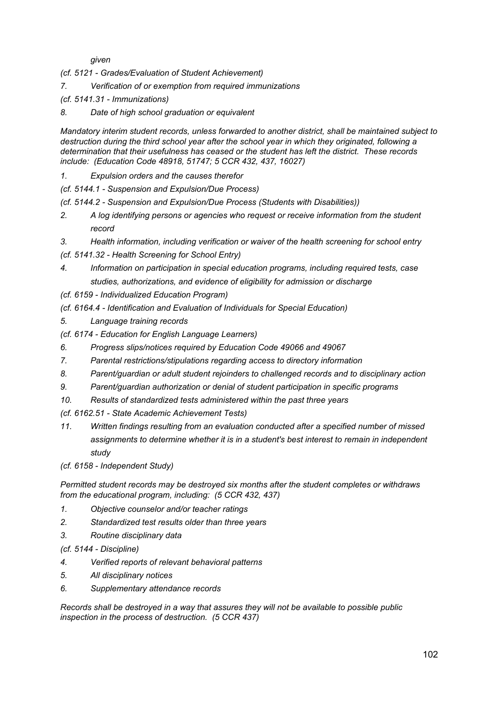*given*

*(cf. 5121 - Grades/Evaluation of Student Achievement)*

- *7. Verification of or exemption from required immunizations*
- *(cf. 5141.31 - Immunizations)*
- *8. Date of high school graduation or equivalent*

*Mandatory interim student records, unless forwarded to another district, shall be maintained subject to destruction during the third school year after the school year in which they originated, following a determination that their usefulness has ceased or the student has left the district. These records include: (Education Code 48918, 51747; 5 CCR 432, 437, 16027)*

*1. Expulsion orders and the causes therefor*

*(cf. 5144.1 - Suspension and Expulsion/Due Process)*

- *(cf. 5144.2 - Suspension and Expulsion/Due Process (Students with Disabilities))*
- *2. A log identifying persons or agencies who request or receive information from the student record*
- *3. Health information, including verification or waiver of the health screening for school entry*
- *(cf. 5141.32 - Health Screening for School Entry)*
- *4. Information on participation in special education programs, including required tests, case studies, authorizations, and evidence of eligibility for admission or discharge*
- *(cf. 6159 - Individualized Education Program)*
- *(cf. 6164.4 - Identification and Evaluation of Individuals for Special Education)*
- *5. Language training records*
- *(cf. 6174 - Education for English Language Learners)*
- *6. Progress slips/notices required by Education Code 49066 and 49067*
- *7. Parental restrictions/stipulations regarding access to directory information*
- *8. Parent/guardian or adult student rejoinders to challenged records and to disciplinary action*
- *9. Parent/guardian authorization or denial of student participation in specific programs*
- *10. Results of standardized tests administered within the past three years*

*(cf. 6162.51 - State Academic Achievement Tests)*

*11. Written findings resulting from an evaluation conducted after a specified number of missed assignments to determine whether it is in a student's best interest to remain in independent study*

*(cf. 6158 - Independent Study)*

*Permitted student records may be destroyed six months after the student completes or withdraws from the educational program, including: (5 CCR 432, 437)*

- *1. Objective counselor and/or teacher ratings*
- *2. Standardized test results older than three years*
- *3. Routine disciplinary data*

*(cf. 5144 - Discipline)*

- *4. Verified reports of relevant behavioral patterns*
- *5. All disciplinary notices*
- *6. Supplementary attendance records*

*Records shall be destroyed in a way that assures they will not be available to possible public inspection in the process of destruction. (5 CCR 437)*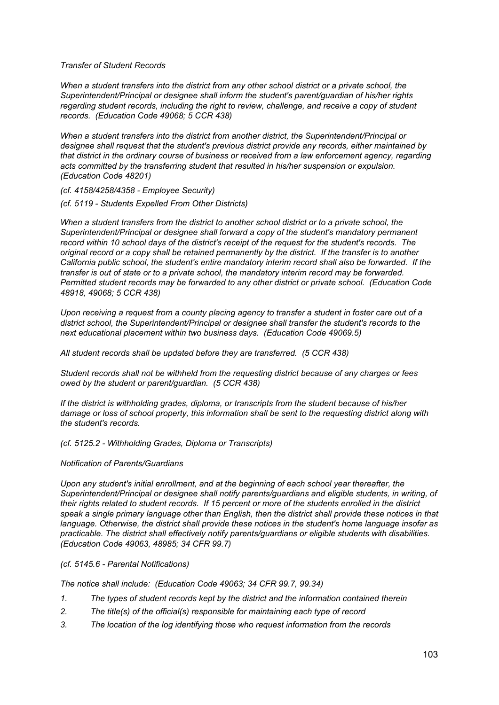*Transfer of Student Records*

*When a student transfers into the district from any other school district or a private school, the Superintendent/Principal or designee shall inform the student's parent/guardian of his/her rights regarding student records, including the right to review, challenge, and receive a copy of student records. (Education Code 49068; 5 CCR 438)*

*When a student transfers into the district from another district, the Superintendent/Principal or designee shall request that the student's previous district provide any records, either maintained by that district in the ordinary course of business or received from a law enforcement agency, regarding acts committed by the transferring student that resulted in his/her suspension or expulsion. (Education Code 48201)*

*(cf. 4158/4258/4358 - Employee Security)*

*(cf. 5119 - Students Expelled From Other Districts)*

*When a student transfers from the district to another school district or to a private school, the Superintendent/Principal or designee shall forward a copy of the student's mandatory permanent record within 10 school days of the district's receipt of the request for the student's records. The* original record or a copy shall be retained permanently by the district. If the transfer is to another *California public school, the student's entire mandatory interim record shall also be forwarded. If the transfer is out of state or to a private school, the mandatory interim record may be forwarded. Permitted student records may be forwarded to any other district or private school. (Education Code 48918, 49068; 5 CCR 438)*

Upon receiving a request from a county placing agency to transfer a student in foster care out of a *district school, the Superintendent/Principal or designee shall transfer the student's records to the next educational placement within two business days. (Education Code 49069.5)*

*All student records shall be updated before they are transferred. (5 CCR 438)*

*Student records shall not be withheld from the requesting district because of any charges or fees owed by the student or parent/guardian. (5 CCR 438)*

*If the district is withholding grades, diploma, or transcripts from the student because of his/her damage or loss of school property, this information shall be sent to the requesting district along with the student's records.*

### *(cf. 5125.2 - Withholding Grades, Diploma or Transcripts)*

### *Notification of Parents/Guardians*

*Upon any student's initial enrollment, and at the beginning of each school year thereafter, the Superintendent/Principal or designee shall notify parents/guardians and eligible students, in writing, of* their rights related to student records. If 15 percent or more of the students enrolled in the district *speak a single primary language other than English, then the district shall provide these notices in that language. Otherwise, the district shall provide these notices in the student's home language insofar as practicable. The district shall effectively notify parents/guardians or eligible students with disabilities. (Education Code 49063, 48985; 34 CFR 99.7)*

### *(cf. 5145.6 - Parental Notifications)*

*The notice shall include: (Education Code 49063; 34 CFR 99.7, 99.34)*

- *1. The types of student records kept by the district and the information contained therein*
- *2. The title(s) of the official(s) responsible for maintaining each type of record*
- *3. The location of the log identifying those who request information from the records*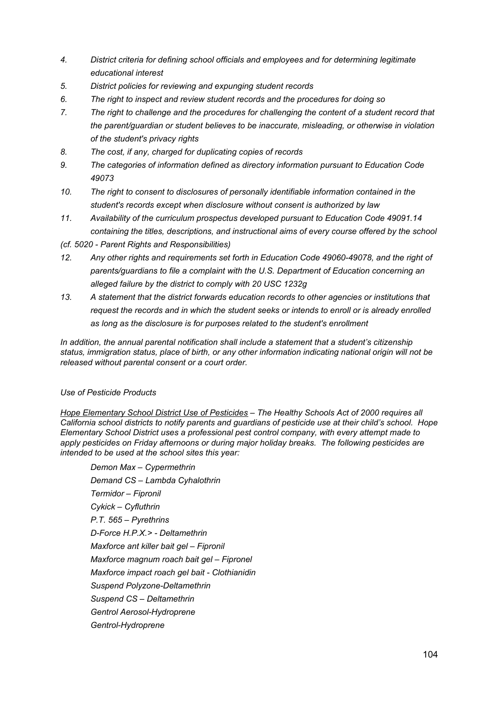- *4. District criteria for defining school officials and employees and for determining legitimate educational interest*
- *5. District policies for reviewing and expunging student records*
- *6. The right to inspect and review student records and the procedures for doing so*
- *7. The right to challenge and the procedures for challenging the content of a student record that the parent/guardian or student believes to be inaccurate, misleading, or otherwise in violation of the student's privacy rights*
- *8. The cost, if any, charged for duplicating copies of records*
- *9. The categories of information defined as directory information pursuant to Education Code 49073*
- *10. The right to consent to disclosures of personally identifiable information contained in the student's records except when disclosure without consent is authorized by law*
- *11. Availability of the curriculum prospectus developed pursuant to Education Code 49091.14 containing the titles, descriptions, and instructional aims of every course offered by the school*
- *(cf. 5020 - Parent Rights and Responsibilities)*
- *12. Any other rights and requirements set forth in Education Code 49060-49078, and the right of parents/guardians to file a complaint with the U.S. Department of Education concerning an alleged failure by the district to comply with 20 USC 1232g*
- *13. A statement that the district forwards education records to other agencies or institutions that request the records and in which the student seeks or intends to enroll or is already enrolled as long as the disclosure is for purposes related to the student's enrollment*

*In addition, the annual parental notification shall include a statement that a student's citizenship status, immigration status, place of birth, or any other information indicating national origin will not be released without parental consent or a court order.*

# *Use of Pesticide Products*

*Hope Elementary School District Use of Pesticides – The Healthy Schools Act of 2000 requires all California school districts to notify parents and guardians of pesticide use at their child's school. Hope Elementary School District uses a professional pest control company, with every attempt made to apply pesticides on Friday afternoons or during major holiday breaks. The following pesticides are intended to be used at the school sites this year:*

*Demon Max – Cypermethrin Demand CS – Lambda Cyhalothrin Termidor – Fipronil Cykick – Cyfluthrin P.T. 565 – Pyrethrins D-Force H.P.X.> - Deltamethrin Maxforce ant killer bait gel – Fipronil Maxforce magnum roach bait gel – Fipronel Maxforce impact roach gel bait - Clothianidin Suspend Polyzone-Deltamethrin Suspend CS – Deltamethrin Gentrol Aerosol-Hydroprene Gentrol-Hydroprene*